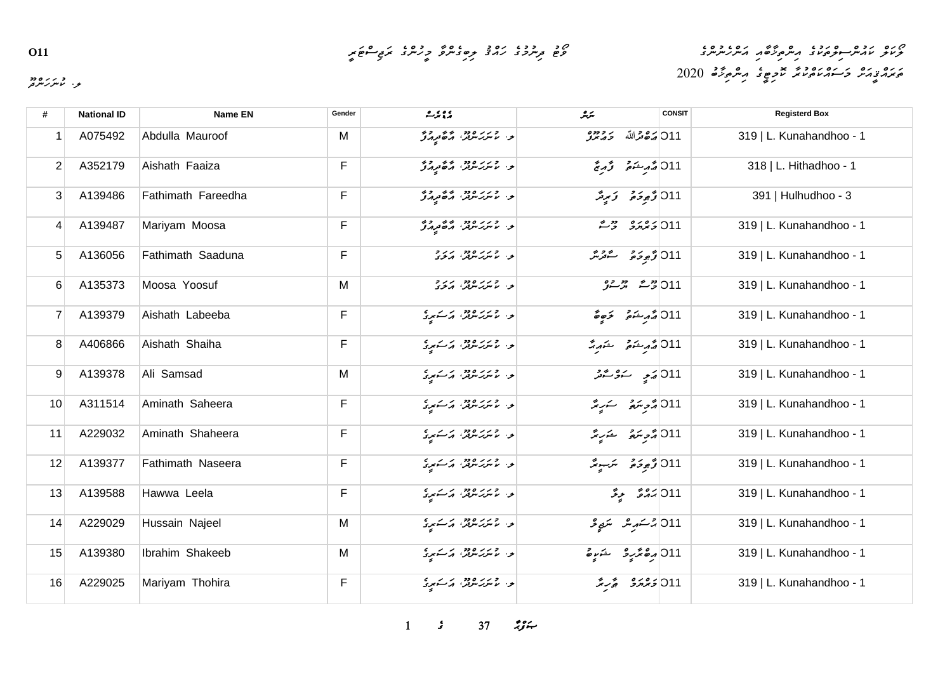*sCw7q7s5w7m< o<n9nOoAw7o< sCq;mAwBoEw7q<m; wBm;vB 2020*<br>*په پوهر وسوډيرونو لومو د موجو د مرمونه* 2020

*r@w7m5m7q; .B*

| #              | <b>National ID</b> | <b>Name EN</b>     | Gender      | <u>پيءِ رو</u>                               | سرير                                   | <b>CONSIT</b> | <b>Registerd Box</b>     |
|----------------|--------------------|--------------------|-------------|----------------------------------------------|----------------------------------------|---------------|--------------------------|
|                | A075492            | Abdulla Mauroof    | M           | و. رورودون وه وو                             | 011 كەھەراللە ئەمەمىر                  |               | 319   L. Kunahandhoo - 1 |
| $\overline{2}$ | A352179            | Aishath Faaiza     | F           | و. تأسر رودو. وه در وو                       | 011 مەم شىم ئىم ئى                     |               | 318   L. Hithadhoo - 1   |
| 3              | A139486            | Fathimath Fareedha | F           | و. رورو وو. ده وو.<br>د. رسرس                | 011 ۇ <sub>ج</sub> وقى ق <i>وم</i> ىتر |               | 391   Hulhudhoo - 3      |
| 4              | A139487            | Mariyam Moosa      | F           |                                              | 011 كەبۇرۇ بۇ شە                       |               | 319   L. Kunahandhoo - 1 |
| 5              | A136056            | Fathimath Saaduna  | F           | ى ئاس شەرق بەر د                             | 011  <i>وُّجِ دَمْ</i> جَمْعَتْهُ مُ   |               | 319   L. Kunahandhoo - 1 |
| 6              | A135373            | Moosa Yoosuf       | M           | و . د برره دو . در و                         | 011 جي پير پيرو                        |               | 319   L. Kunahandhoo - 1 |
|                | A139379            | Aishath Labeeba    | $\mathsf F$ | و ، ئائىرىكىلىقى كەسكەنى                     | 011 مُدمِشَعْ وَحِقَّ                  |               | 319   L. Kunahandhoo - 1 |
| 8              | A406866            | Aishath Shaiha     | $\mathsf F$ | و ، ئاس سرچار ، کاسکایری                     | 011 ۾ پرڪند ڪرپڙ                       |               | 319   L. Kunahandhoo - 1 |
| 9              | A139378            | Ali Samsad         | M           | والممتركيلوق أركبتها                         | 011 كەبىر سەۋسەتر                      |               | 319   L. Kunahandhoo - 1 |
| 10             | A311514            | Aminath Saheera    | $\mathsf F$ | و. ئاس سرچار کاسکایری                        | 011 مُرْحِبَهُ جَرِبَّهُ               |               | 319   L. Kunahandhoo - 1 |
| 11             | A229032            | Aminath Shaheera   | $\mathsf F$ | و ، ئائىرىكىلىقى كەسكەنى                     | 011 ۾ً <i>جِي مَنْهُ</i> شَمَبِيَّر    |               | 319   L. Kunahandhoo - 1 |
| 12             | A139377            | Fathimath Naseera  | $\mathsf F$ | و . الانگرېزوده . لاکستونونو                 | 011 رَّجِوحَةُ سَسَبِيَّتُ             |               | 319   L. Kunahandhoo - 1 |
| 13             | A139588            | Hawwa Leela        | F           | و ، ئائىرىكى بەر كەسكەن                      | 011 يَرْدُوَّ مِرَّدَّ                 |               | 319   L. Kunahandhoo - 1 |
| 14             | A229029            | Hussain Najeel     | M           | و . الم مرکز مرکز اور این دیگری که است میران | 011 پرڪيرنگر - سَرَمِ پُو              |               | 319   L. Kunahandhoo - 1 |
| 15             | A139380            | Ibrahim Shakeeb    | M           | و ، ئائىرىكى بەر كەسكەن                      | 011  مەھەرىپە ھەممۇھ                   |               | 319   L. Kunahandhoo - 1 |
| 16             | A229025            | Mariyam Thohira    | $\mathsf F$ | و ، ئائىرىكىلىقى كەسكەنى                     | 011 <i>خىرىزى پۇرىتى</i>               |               | 319   L. Kunahandhoo - 1 |

*1 s* 37 *i*<sub>s</sub>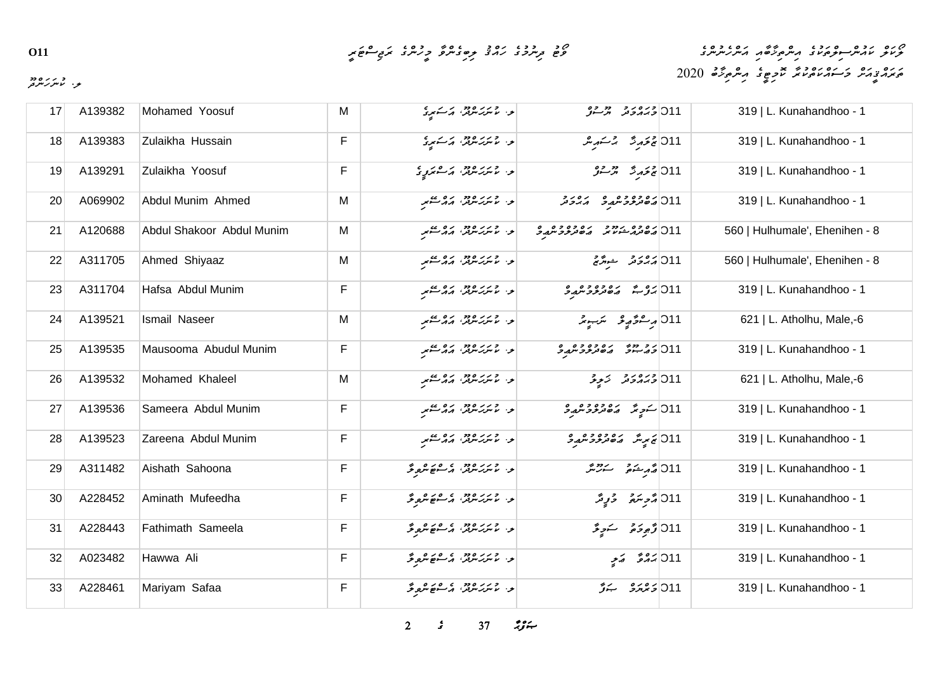*sCw7q7s5w7m< o<n9nOoAw7o< sCq;mAwBoEw7q<m; wBm;vB* م من المرة المرة المرة المرجع المرجع في المركبة 2020<br>مجم*د المريض المربوط المربع المرجع في المراجع المركبة* 

| 17              | A139382 | Mohamed Yoosuf            | M            | و. المسرر میں اگر کے سرگ                                                                             | 011 ۇيرو دىر بىر يور                 | 319   L. Kunahandhoo - 1       |
|-----------------|---------|---------------------------|--------------|------------------------------------------------------------------------------------------------------|--------------------------------------|--------------------------------|
| 18              | A139383 | Zulaikha Hussain          | F            | و- المسرك وود كالمسكيرى                                                                              | 011 نج تزم بڑ بڑ بڑ بڑ               | 319   L. Kunahandhoo - 1       |
| 19              | A139291 | Zulaikha Yoosuf           | F            | و. نامگریزیون برگ مرد ه                                                                              | 011 كى ئۇرۇ ئەشتۇ                    | 319   L. Kunahandhoo - 1       |
| 20              | A069902 | Abdul Munim Ahmed         | M            | و. مشرکترون ماه کشم                                                                                  | 011 كەھەر جەم بەر ئەرەر ج            | 319   L. Kunahandhoo - 1       |
| 21              | A120688 | Abdul Shakoor Abdul Munim | M            | و. تأسر را ودو. د ده شهر                                                                             | 011 كەھەرمەدد دەرەرەرە               | 560   Hulhumale', Ehenihen - 8 |
| 22              | A311705 | Ahmed Shiyaaz             | M            | و الانترنسيين المالاستيمر                                                                            | 011 كەشكەتقى سىمەتتىنى               | 560   Hulhumale', Ehenihen - 8 |
| 23              | A311704 | Hafsa Abdul Munim         | $\mathsf{F}$ | و . ما مور مرور . ده شکور                                                                            | 011 ئۇيئە مەمز <i>ود شە</i> ۋ        | 319   L. Kunahandhoo - 1       |
| 24              | A139521 | <b>Ismail Naseer</b>      | M            | ا د. از مسرر سرور در ۵ شهر ا                                                                         | 011 م سىمۇمەبىي - سەبىر              | 621   L. Atholhu, Male,-6      |
| 25              | A139535 | Mausooma Abudul Munim     | F            | ن المسرر معرض المرور عصم المستقيم المستقيم المسرر المسرر المسرر المسر المسر المستقيم المسر المسر الم | 011 كەربەيدۇ مەمرىر ئىرمە ئى         | 319   L. Kunahandhoo - 1       |
| 26              | A139532 | Mohamed Khaleel           | M            | و مسرح مع ده ده ده ک                                                                                 | 011 دُبَرْدُدَتْر زَمِرْدُ           | 621   L. Atholhu, Male,-6      |
| 27              | A139536 | Sameera Abdul Munim       | $\mathsf F$  | و. ماسربر موجود المرواعظامر                                                                          | 011 <i>ڪوبر خەمز دو</i> مبر د        | 319   L. Kunahandhoo - 1       |
| 28              | A139523 | Zareena Abdul Munim       | F            | و . ما سربر ماوج . بره عصور<br>مو . ما سربر سربس . بربر سکوبر                                        | 011 ىخ يېڭر بە <i>ھەترىۋە شە</i> رىج | 319   L. Kunahandhoo - 1       |
| 29              | A311482 | Aishath Sahoona           | F            | و الأسرىر مرور المراجع شهر محمد المحمد المسرى                                                        | 011 ۾ م سنڌ سڪرشگر                   | 319   L. Kunahandhoo - 1       |
| 30 <sup>°</sup> | A228452 | Aminath Mufeedha          | $\mathsf{F}$ | و الاس معروف المراجع مع و محمد المحمد المحمد المحمد المحمد المحمد المحمد المحمد المحمد المحمد المحمد | 011  مَّدِسَمْ _ دُرِمَّ             | 319   L. Kunahandhoo - 1       |
| 31              | A228443 | Fathimath Sameela         | F            | و الاس معروف المراجع مع و محمد المحمد المحمد المحمد المحمد المحمد المحمد المحمد المحمد المحمد المحمد | 011 ژَّجِرَةُ ۖ سَرَرِ دُّ           | 319   L. Kunahandhoo - 1       |
| 32              | A023482 | Hawwa Ali                 | F            |                                                                                                      | 011 يَرْدُوَّ - مَ-مِي               | 319   L. Kunahandhoo - 1       |
| 33              | A228461 | Mariyam Safaa             | F            | و الاس معروف المراجع مع و محمد المحمد المحمد المحمد المحمد المحمد المحمد المحمد المحمد المحمد المحمد | 011 كەنگەر ئەرگە                     | 319   L. Kunahandhoo - 1       |

*2 sC 37 nNw?mS*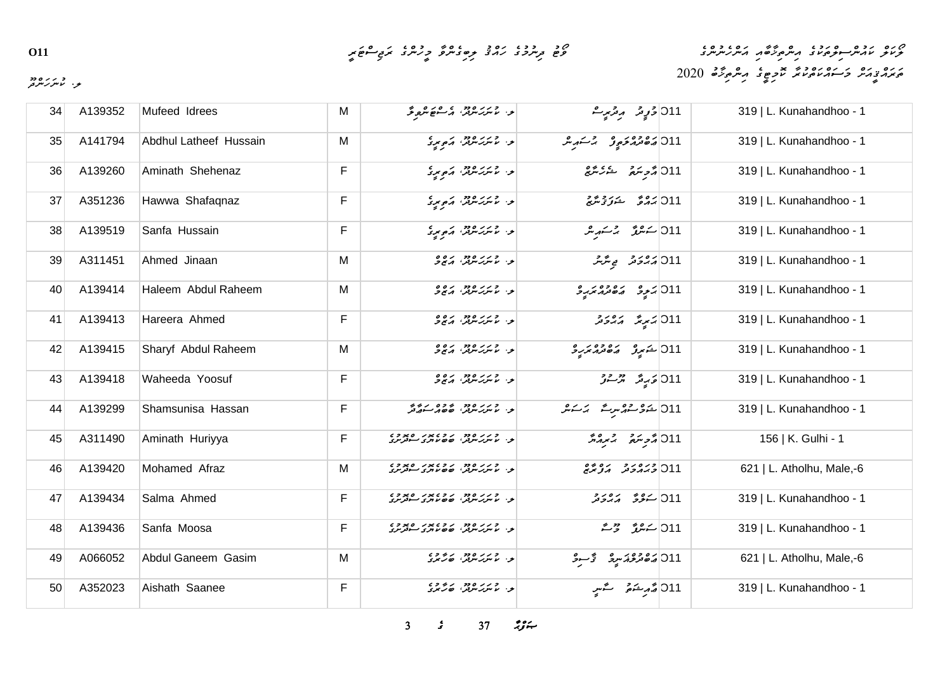*sCw7q7s5w7m< o<n9nOoAw7o< sCq;mAwBoEw7q<m; wBm;vB* م من المرة المرة المرة المرجع المرجع في المركبة 2020<br>مجم*د المريض المربوط المربع المرجع في المراجع المركبة* 

| 34 | A139352 | Mufeed Idrees          | M            | ب المستركز من المستطاهين و محمد المستور                                  | 011  3 پوټر    برتر پر شر            | 319   L. Kunahandhoo - 1  |
|----|---------|------------------------|--------------|--------------------------------------------------------------------------|--------------------------------------|---------------------------|
| 35 | A141794 | Abdhul Latheef Hussain | M            | و گرمز وود کرومرد                                                        | 011 <i>مەھەرم كوم</i> ۇ ھىسكىرىش     | 319   L. Kunahandhoo - 1  |
| 36 | A139260 | Aminath Shehenaz       | $\mathsf F$  | و. مشرکتری کرم مرد                                                       | 011 مَّ حِسَمَة مَسْتَشَمَّع         | 319   L. Kunahandhoo - 1  |
| 37 | A351236 | Hawwa Shafaqnaz        | F            | و. ما مرکز مرکز، از این در ا                                             | 011 <i>بزوۋ خۇ تۇ</i> تتى چ          | 319   L. Kunahandhoo - 1  |
| 38 | A139519 | Sanfa Hussain          | F            | و. تأسر ښر سره کرم مرد                                                   | 011  سَتَمَدَّزُ كَمَسْتَهْرِيْثَرُ  | 319   L. Kunahandhoo - 1  |
| 39 | A311451 | Ahmed Jinaan           | M            | و. دربره دو. ره ه                                                        | 011 <i>مَ بُرْدَ مَرْ</i> مِ مُرْسْر | 319   L. Kunahandhoo - 1  |
| 40 | A139414 | Haleem Abdul Raheem    | M            | و. ترمز مرده بره ه                                                       | 011 كەبوۋە كەھەر كەبولى              | 319   L. Kunahandhoo - 1  |
| 41 | A139413 | Hareera Ahmed          | $\mathsf F$  | و . و پر پر دوه . پر ه ه                                                 | 011 بزىرىنتە بەئەدەتە                | 319   L. Kunahandhoo - 1  |
| 42 | A139415 | Sharyf Abdul Raheem    | M            | و. درگروژه روه                                                           | 011 خىمپۇ ھەممىرى 2                  | 319   L. Kunahandhoo - 1  |
| 43 | A139418 | Waheeda Yoosuf         | F            | و. دربر ۵۵۰ ده ۵                                                         | 011 كۈبەنگە تۈشىۋ                    | 319   L. Kunahandhoo - 1  |
| 44 | A139299 | Shamsunisa Hassan      | $\mathsf{F}$ | و. رور دود دوه رود                                                       | 011 خۇرقىم برگە برىكىر               | 319   L. Kunahandhoo - 1  |
| 45 | A311490 | Aminath Huriyya        | F            | - כיני סמכון כני מים הסמכון<br>ת- מיתנגית בני סוס מותג – בנקית ב         | 011 أُمَّ مِسْمَعٍ مَسْمِدْتَر       | 156   K. Gulhi - 1        |
| 46 | A139420 | Mohamed Afraz          | M            | و - در ده دو - د د د د د د د د د د<br>و - ماسربرسربر - ه ه ما بری -- درس | 011 ۋېرەپرو پرومۇم                   | 621   L. Atholhu, Male,-6 |
| 47 | A139434 | Salma Ahmed            | $\mathsf{F}$ | כי מממט מכני מממש המכני<br>כי ממממשתי שם מחמב – בנימים                   | 011 كىۋۇ كەردىر                      | 319   L. Kunahandhoo - 1  |
| 48 | A139436 | Sanfa Moosa            | $\mathsf{F}$ | و در دود دود در دود و<br>د تاسرباس ده موسود سوترس                        | 011 سَنْدَدُ حَرْثَہُ                | 319   L. Kunahandhoo - 1  |
| 49 | A066052 | Abdul Ganeem Gasim     | M            | و . در رود . د د د .<br>و . ما مرز مرتز . ه ز بر د                       | 011 كەھەترى <i>زى بىرى تۇس</i> ۇ     | 621   L. Atholhu, Male,-6 |
| 50 | A352023 | Aishath Saanee         | F            | و . در رود.<br>و . د سربرسرتر، ن براد د                                  | 011 ۾ پرڪنو گسي                      | 319   L. Kunahandhoo - 1  |

**3 37** *<i>n***<sub>1</sub>** *s***<sub>1</sub>** *s***<sub>1</sub>**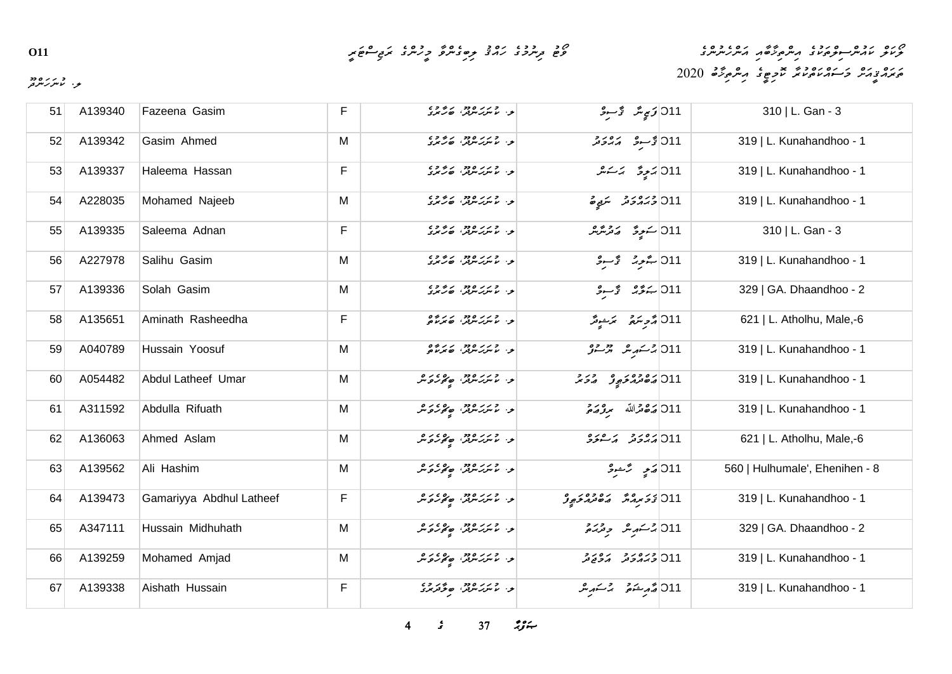*sCw7q7s5w7m< o<n9nOoAw7o< sCq;mAwBoEw7q<m; wBm;vB* م من المرة المرة المرة المرجع المرجع في المركبة 2020<br>مجم*د المريض المربوط المربع المرجع في المراجع المركبة* 

| 51 | A139340 | Fazeena Gasim            | F           | و . در ره دو.<br>و . د سربر سرفر ، نصر بوری                                                                                                                                                                           | 011 كۇمچە تۇسور                         | 310   L. Gan - 3               |
|----|---------|--------------------------|-------------|-----------------------------------------------------------------------------------------------------------------------------------------------------------------------------------------------------------------------|-----------------------------------------|--------------------------------|
| 52 | A139342 | Gasim Ahmed              | M           | و . در رود.<br>و . د سربرسرتر، ځرندي                                                                                                                                                                                  | 011 تۇسىۋە ئەبرى قىر                    | 319   L. Kunahandhoo - 1       |
| 53 | A139337 | Haleema Hassan           | F           | و . و در ده دو .<br>و . ما سربر سرفر ، نصر بوری                                                                                                                                                                       | 011  ټرچ تر ټر ټر                       | 319   L. Kunahandhoo - 1       |
| 54 | A228035 | Mohamed Najeeb           | M           | و. ويريروه رووه                                                                                                                                                                                                       | 011 <i>وبروونز سَهِ ه</i> ُ             | 319   L. Kunahandhoo - 1       |
| 55 | A139335 | Saleema Adnan            | F           | و . وربر ودو.<br>و . ماسور سرفر ، ن <i>ه د بو</i> ر                                                                                                                                                                   | 011 <i>سَجِرةً - مَ</i> تْرَسَّرْ       | 310   L. Gan - 3               |
| 56 | A227978 | Salihu Gasim             | M           | و. وردر دود. درود                                                                                                                                                                                                     | 011 بەلگەرچە سىچ سىرى                   | 319   L. Kunahandhoo - 1       |
| 57 | A139336 | Solah Gasim              | M           | و . در رودو.<br>و . د سربر سربر . ځار برو                                                                                                                                                                             | 011  جۇچە گەسىۋ                         | 329   GA. Dhaandhoo - 2        |
| 58 | A135651 | Aminath Rasheedha        | F           | و. دربرود ریروه                                                                                                                                                                                                       | 011 مٌ مِسَمَعٌ مَمَسُومٌ               | 621   L. Atholhu, Male,-6      |
| 59 | A040789 | Hussain Yoosuf           | M           | و. دربره در برره                                                                                                                                                                                                      | 011 ترىنىدىشە تەختىرى                   | 319   L. Kunahandhoo - 1       |
| 60 | A054482 | Abdul Latheef Umar       | M           | و. تأسر ما مده به محامل محمد الله                                                                                                                                                                                     | 011 كەھىر كەچرى ھە <i>جە</i> ك          | 319   L. Kunahandhoo - 1       |
| 61 | A311592 | Abdulla Rifuath          | M           | و. تأسر رود و و دره د                                                                                                                                                                                                 | 011  رَجْعَة اللَّهُ م <i>ِبْرُوْجُ</i> | 319   L. Kunahandhoo - 1       |
| 62 | A136063 | Ahmed Aslam              | M           | ن المترکز من الله علم بره الله به من الله الله به من من الله برا به الله به الله الله به الله به ال<br>الله عن الله بن الله بن الله بن الله بن الله بن الله بن الله بن الله بن الله بن الله بن الله بن الله بن الله ب | 011 كەبروتر كەشكەنى                     | 621   L. Atholhu, Male,-6      |
| 63 | A139562 | Ali Hashim               | M           | و مرکز وجود و دره<br>د مشرکترین موکوکوکر                                                                                                                                                                              | 011  رَمِي گَڪِرَوْ                     | 560   Hulhumale', Ehenihen - 8 |
| 64 | A139473 | Gamariyya Abdhul Latheef | $\mathsf F$ | و. تأسر ما مده به محمد وسر                                                                                                                                                                                            |                                         | 319   L. Kunahandhoo - 1       |
| 65 | A347111 | Hussain Midhuhath        | M           | و. تأسر رودو. ماه دول                                                                                                                                                                                                 | 011 ترسکه شهر و فریزه کا                | 329   GA. Dhaandhoo - 2        |
| 66 | A139259 | Mohamed Amjad            | M           | و. دربره دو. ده دره                                                                                                                                                                                                   | 011 وبرەرو كەۋەتر                       | 319   L. Kunahandhoo - 1       |
| 67 | A139338 | Aishath Hussain          | F           | و . رس دود.<br>و . رس سرتر . ه څورمرو                                                                                                                                                                                 | 011 مۇمەشقىق بىرىشىرىش                  | 319   L. Kunahandhoo - 1       |

*4 <i>s s* 37 *<i>n*<sub>3</sub> *s*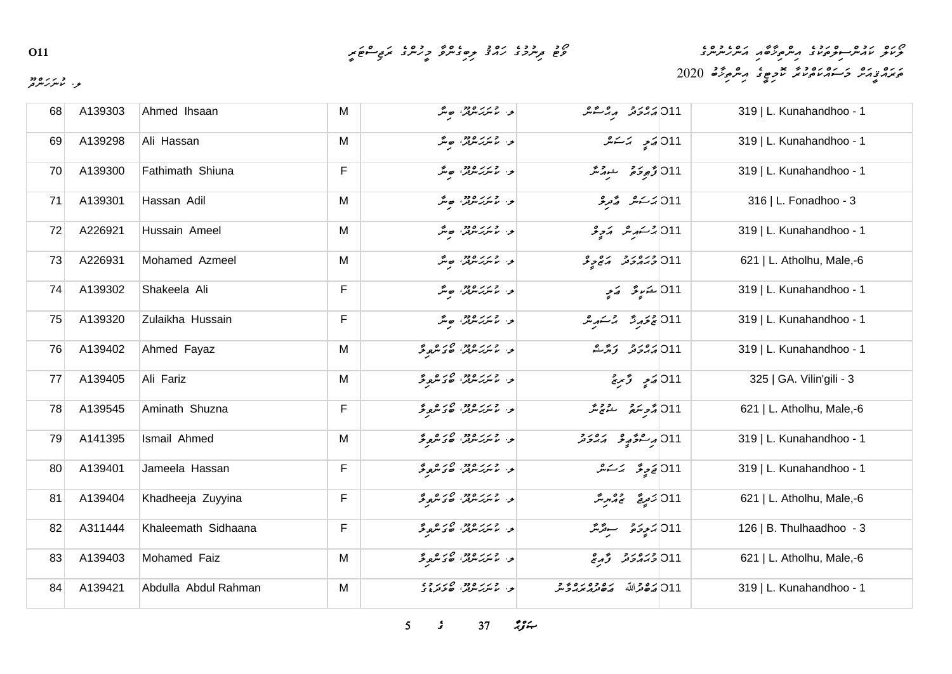*sCw7q7s5w7m< o<n9nOoAw7o< sCq;mAwBoEw7q<m; wBm;vB* م من المرة المرة المرة المرجع المرجع في المركبة 2020<br>مجم*د المريض المربوط المربع المرجع في المراجع المركبة* 

| 68 | A139303 | Ahmed Ihsaan         | M           | ے کا سربر سرچن صنگ                                                                                   | 011  پَرْدَوتْر بِرِرْسُمْسْر                            | 319   L. Kunahandhoo - 1  |
|----|---------|----------------------|-------------|------------------------------------------------------------------------------------------------------|----------------------------------------------------------|---------------------------|
| 69 | A139298 | Ali Hassan           | M           | و الانترنز مرده و مرگ                                                                                | 011   تەيەل كەشكە                                        | 319   L. Kunahandhoo - 1  |
| 70 | A139300 | Fathimath Shiuna     | F           | و الانترنز مرده و مرگ                                                                                | 011 ژَّجِرْدَةُ ۖ شِيرْتَدَّ                             | 319   L. Kunahandhoo - 1  |
| 71 | A139301 | Hassan Adil          | M           | و. ئائىرىر ھۆر، ھىگە                                                                                 | 011 كەسكەر گەيدى                                         | 316   L. Fonadhoo - 3     |
| 72 | A226921 | Hussain Ameel        | M           | و الانترنز مرده و مرگ                                                                                | 011 پرسکویٹر کالج پی                                     | 319   L. Kunahandhoo - 1  |
| 73 | A226931 | Mohamed Azmeel       | M           | و. تأسر رودو. جانگر                                                                                  | 011 دُبَرْدْدَنْد كَمَعْ دِعْ                            | 621   L. Atholhu, Male,-6 |
| 74 | A139302 | Shakeela Ali         | F           | ے کا سربر سرچن صنگ                                                                                   | 011  ڪيو تر چي                                           | 319   L. Kunahandhoo - 1  |
| 75 | A139320 | Zulaikha Hussain     | F           | و. ئائىرىرىدى ھىگە                                                                                   | 011 يح تربرنز - بر شهر شر                                | 319   L. Kunahandhoo - 1  |
| 76 | A139402 | Ahmed Fayaz          | M           | و مسرده دو مره هم شهر                                                                                | 011 كەبرى تەرىپ                                          | 319   L. Kunahandhoo - 1  |
| 77 | A139405 | Ali Fariz            | M           | و المسر محمد المرور و محمد المحمد المحمد المحمد المحمد المحمد المحمد المحمد المحمد المحمد المحمد الم | 011 کھ گھریج                                             | 325   GA. Vilin'gili - 3  |
| 78 | A139545 | Aminath Shuzna       | F           | و. مسترکبرود می گروه و گ                                                                             | 011 مَرْحِبَنَهُمْ شَوْءٌ مَثَر                          | 621   L. Atholhu, Male,-6 |
| 79 | A141395 | Ismail Ahmed         | M           | و. تأسر رودو. ٢٥ د ٥ د گر                                                                            | 011 م <sup>ر</sup> مۇم <sub>ب</sub> ۇ كەردى <sub>م</sub> | 319   L. Kunahandhoo - 1  |
| 80 | A139401 | Jameela Hassan       | $\mathsf F$ | و. مسرره دو. ٢٥ مره و                                                                                | 011 ق م تجر تحت برسکر شر                                 | 319   L. Kunahandhoo - 1  |
| 81 | A139404 | Khadheeja Zuyyina    | F           | و. تأسر ره دو. ۲۵ د ۱۵ و                                                                             | 011 كَتْمِيعٌ مَحْمَدِيثَرُ                              | 621   L. Atholhu, Male,-6 |
| 82 | A311444 | Khaleemath Sidhaana  | $\mathsf F$ | و مسرد معرض من معرض و محمد المعرض المحمد المسرد المسرد من المسرد المسيح المحمد المسيح المسيحة المسيح | 011  رَمِرِدَةْ سِقَرْسَّ                                | 126   B. Thulhaadhoo - 3  |
| 83 | A139403 | Mohamed Faiz         | M           | و. مسرر معده من معرض                                                                                 | 011 دېمگرونز گهڅ                                         | 621   L. Atholhu, Male,-6 |
| 84 | A139421 | Abdulla Abdul Rahman | M           | و اور داره ده به در وار<br>و اما مرکز مرکز ان کارتروار                                               | 011 كەھىراللە كەھ <i>ەر كەرگە</i> ر                      | 319   L. Kunahandhoo - 1  |

*5 sC 37 nNw?mS*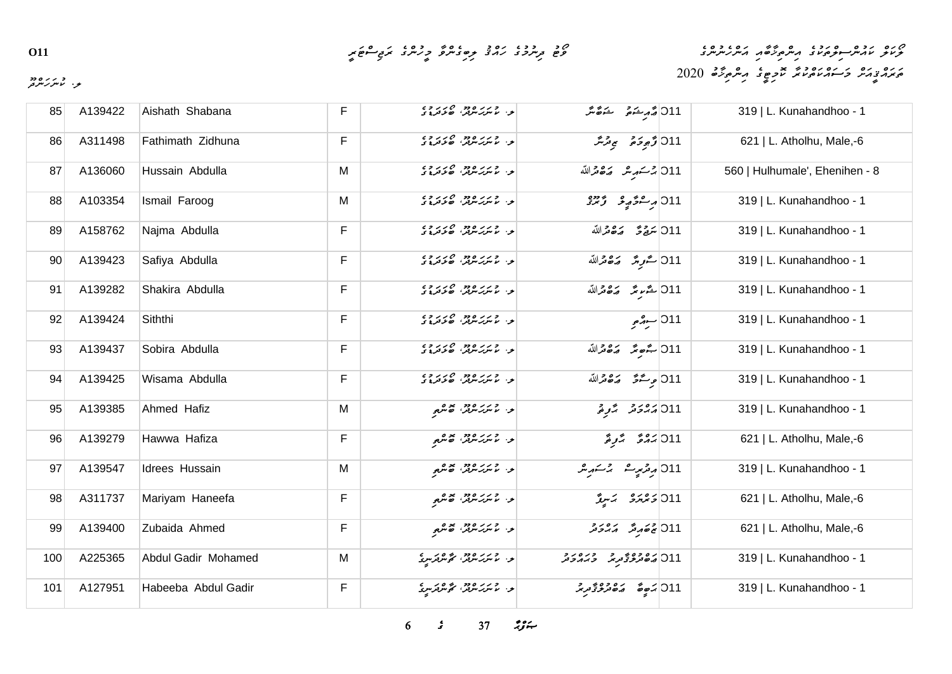*sCw7q7s5w7m< o<n9nOoAw7o< sCq;mAwBoEw7q<m; wBm;vB* م من المرة المرة المرة المرجع المرجع في المركبة 2020<br>مجم*د المريض المربوط المربع المرجع في المراجع المركبة* 

| 85  | A139422 | Aishath Shabana     | F            | ن در در وده ه در ده<br>نو از مشرکتران که تولیده د            | 011 <i>أوَّەرىشَەت خۇڭ ئۇ</i>                      | 319   L. Kunahandhoo - 1       |
|-----|---------|---------------------|--------------|--------------------------------------------------------------|----------------------------------------------------|--------------------------------|
| 86  | A311498 | Fathimath Zidhuna   | $\mathsf F$  | ن اور در دود هم در داده<br>نواس میکریس که میکنده و           | 011 <i>وُّجِوحَ</i> حَمَّ مِعْرَمَّد               | 621   L. Atholhu, Male,-6      |
| 87  | A136060 | Hussain Abdulla     | M            | و در دوده ه دروه<br>و اماس سربي کام توجد                     | 011  بِحَسَمَ مِرْحَدٍ مِنْ رَحْمَةً مِنْزَاللَّهُ | 560   Hulhumale', Ehenihen - 8 |
| 88  | A103354 | Ismail Faroog       | M            | و مرد ودو هرد و ،<br>و مشرر سربي گوندو د                     | 011 مېرىشقەپە ئۇنىز                                | 319   L. Kunahandhoo - 1       |
| 89  | A158762 | Najma Abdulla       | $\mathsf{F}$ | و اور داده مرد ده.<br>و امکن کرد کارفرون                     | 011 سَمَعَ حَمَّ مَدَّ اللَّهُ                     | 319   L. Kunahandhoo - 1       |
| 90  | A139423 | Safiya Abdulla      | F            | و. ورد ده ده ه دروه<br>و. ماس سرچين گانگروه                  | 011 گوپتر كەھەراللە                                | 319   L. Kunahandhoo - 1       |
| 91  | A139282 | Shakira Abdulla     | $\mathsf F$  | و . د د د ه ده . د د د د .<br>و . ما مرکز مرفز . ه تو تو . د | 011 شَمَّدِ مَدَّ مَدَّاللَّهُ                     | 319   L. Kunahandhoo - 1       |
| 92  | A139424 | Siththi             | $\mathsf F$  | و دربر ۵ دو.<br>نو از ماسور سرچو او در وار                   | 011 سرمرمو                                         | 319   L. Kunahandhoo - 1       |
| 93  | A139437 | Sobira Abdulla      | F            | و. ورد ده ده ه دروه<br>و. ماس سرچين گانگروه                  | 011 بَدَّصِمَّر مَرْصُوْراللَّه                    | 319   L. Kunahandhoo - 1       |
| 94  | A139425 | Wisama Abdulla      | $\mathsf F$  | و. ورد ده ده ه دروه<br>و. ماس سرچين گانگروه                  | 011 مِ مُسَمَّرٌ      مَرْ هُ مِّرَ اللّه          | 319   L. Kunahandhoo - 1       |
| 95  | A139385 | Ahmed Hafiz         | M            | و. دربره دو بره<br>و. نامرټرمونو، ځمکه                       | 011 كەندى قىمى بۇ ئىچە ئىچە ئىچە ئىچە ئىچە ئ       | 319   L. Kunahandhoo - 1       |
| 96  | A139279 | Hawwa Hafiza        | F            | و. دربره دو بره<br>و. نامرټرمونو، ځمکه                       | 011) ئەبۇق بۇي قۇ                                  | 621   L. Atholhu, Male,-6      |
| 97  | A139547 | Idrees Hussain      | M            | و. دربر ۵۶۵ بره.<br>و. د سربر سربر، صندمی                    | 011  موقرمورے    برےمویش                           | 319   L. Kunahandhoo - 1       |
| 98  | A311737 | Mariyam Haneefa     | F            | و. دربره دو بره<br>و. د سربرسربر، صندمی                      | 011 كەندىزى بەئىرىگە                               | 621   L. Atholhu, Male,-6      |
| 99  | A139400 | Zubaida Ahmed       | $\mathsf F$  | و. دربره دو بره<br>و. نامرټرمونو، ځمکه                       | 011 نج <i>ھوم</i> تر <i>م</i> کردنر                | 621   L. Atholhu, Male,-6      |
| 100 | A225365 | Abdul Gadir Mohamed | M            | و. مشر سرور گرمز میگردید                                     | 011 كەھەر <i>بىر بەر بەر بەر بەر</i>               | 319   L. Kunahandhoo - 1       |
| 101 | A127951 | Habeeba Abdul Gadir | F            | و. گماندر موفق گمگاندگرس                                     | 011 كَمَعٍ هُهُ مَنْ هُمْ وَقَوْيَخْ مِرْ مَرْ     | 319   L. Kunahandhoo - 1       |

 $6$   $37$   $29$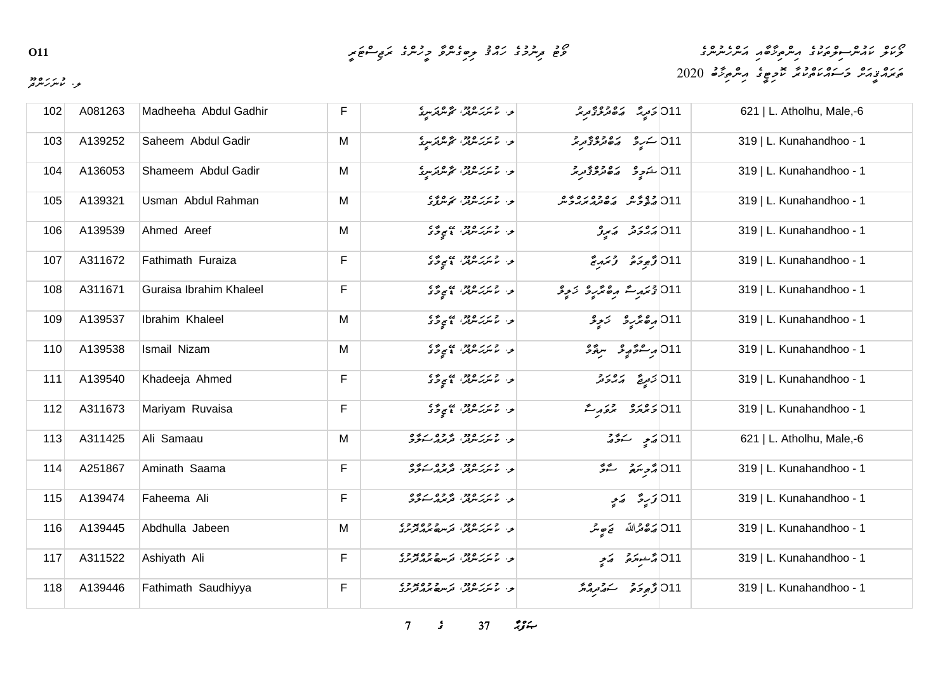*sCw7q7s5w7m< o<n9nOoAw7o< sCq;mAwBoEw7q<m; wBm;vB* م من المرة المرة المرة المرجع المرجع في المركبة 2020<br>مجم*د المريض المربوط المربع المرجع في المراجع المركبة* 

| 102 | A081263 | Madheeha Abdul Gadhir   | F            | و- ئامىز ئىرودە ، ئۇمىزونىزىد                                                                        | 011 كَرْمِيدٌ - مَەھْرُوتَّخْ مِرْمَر     | 621   L. Atholhu, Male,-6 |
|-----|---------|-------------------------|--------------|------------------------------------------------------------------------------------------------------|-------------------------------------------|---------------------------|
| 103 | A139252 | Saheem Abdul Gadir      | M            | و. مسر محمد المستخدم المستخدم المستخدم المستخدم المستخدم المستخدم المستخدم المستخدم المستخدم المستخد | 011 س <i>ەرە ھەمروۋىرى</i> ر              | 319   L. Kunahandhoo - 1  |
| 104 | A136053 | Shameem Abdul Gadir     | M            | و. كم سرك معرض موسوع مربع                                                                            | 011 ڪوچ ھ ھەمرىق مرىم                     | 319   L. Kunahandhoo - 1  |
| 105 | A139321 | Usman Abdul Rahman      | M            | ن المرکز وجود المرکزی<br>نوش المرکز المرکزی                                                          | 011 روم معنى مەدەب <i>مەدەبىر مەدەب</i>   | 319   L. Kunahandhoo - 1  |
| 106 | A139539 | Ahmed Areef             | M            | و٠ ١٠ مرکز ٥ دي دي                                                                                   | 011 كەندى قىر كەرىپى                      | 319   L. Kunahandhoo - 1  |
| 107 | A311672 | Fathimath Furaiza       | $\mathsf F$  | و. دربر ود به وه                                                                                     | 011 وَّجِرَى حَمَّى وَسَمَدِيَّ           | 319   L. Kunahandhoo - 1  |
| 108 | A311671 | Guraisa Ibrahim Khaleel | F            | و. د دره دو په وه                                                                                    | 011 تۇبى <i>زىدىشىر مەھترى</i> رى ئەمرىگى | 319   L. Kunahandhoo - 1  |
| 109 | A139537 | Ibrahim Khaleel         | M            | و. درگروه په دې                                                                                      | 011  مەھ ئەربى – زىرى 3                   | 319   L. Kunahandhoo - 1  |
| 110 | A139538 | Ismail Nizam            | M            | و. درگروه په دې                                                                                      | 011 م سىمۇم بۇ سىمگى                      | 319   L. Kunahandhoo - 1  |
| 111 | A139540 | Khadeeja Ahmed          | F            | و. دربره دو. په ده                                                                                   | 011 كَتْمِيعٌ - <i>مُكْ</i> حَمَّدُ       | 319   L. Kunahandhoo - 1  |
| 112 | A311673 | Mariyam Ruvaisa         | F            | و. دربره دو. په وي                                                                                   | 011 كەندىرى بىر كىرىد                     | 319   L. Kunahandhoo - 1  |
| 113 | A311425 | Ali Samaau              | M            | و در دود. دوه دوه<br>و اناس سربي تريو در ساخر                                                        | 011 كەير سەنى 3                           | 621   L. Atholhu, Male,-6 |
| 114 | A251867 | Aminath Saama           | F            | و رور وود و وه دوه<br>و الاس سربي الأمريز السور                                                      | 011 مَّ <i>جِينَ مَعَ</i> مُنْ سَمَّةً    | 319   L. Kunahandhoo - 1  |
| 115 | A139474 | Faheema Ali             | $\mathsf{F}$ | و رور دود. دوه روه<br>و رسربربربربر تربربر سور                                                       | 011] ت <i>ۆر</i> پى كەمچ                  | 319   L. Kunahandhoo - 1  |
| 116 | A139445 | Abdhulla Jabeen         | M            | و دربر ه دد .<br>د د مسربر سربر، ترسره بورورس                                                        | 011  رَحْمَة رَاللّه     يَوصِرْ          | 319   L. Kunahandhoo - 1  |
| 117 | A311522 | Ashiyath Ali            | F            |                                                                                                      | 011 ۾ مو <i>مرم - م</i> َ ج               | 319   L. Kunahandhoo - 1  |
| 118 | A139446 | Fathimath Saudhiyya     | F            | و. دربر ۵۶۵ در ۵۶۵۶۶۶۶<br>نو. ما سربر سرفر، فرسرت بورفرس                                             | 011 <i>ۇ<sub>ج</sub>وخۇ سۇمەتىرە بۇ</i>   | 319   L. Kunahandhoo - 1  |

*7 sC 37 nNw?mS*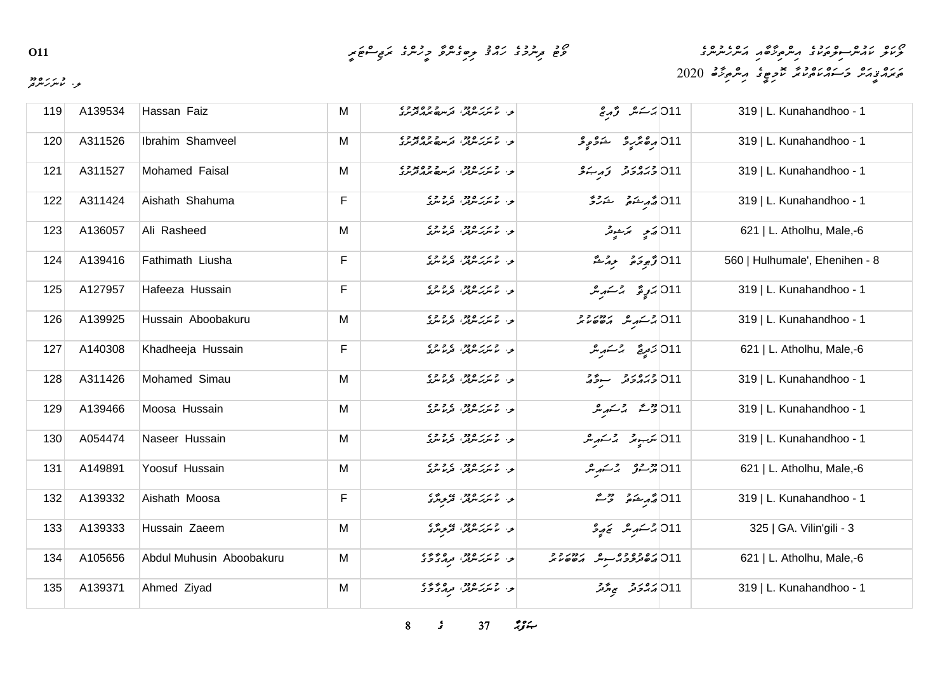*sCw7q7s5w7m< o<n9nOoAw7o< sCq;mAwBoEw7q<m; wBm;vB* م من المرة المرة المرة المرجع المرجع في المركبة 2020<br>مجم*د المريض المربوط المربع المرجع في المراجع المركبة* 

| 119 | A139534 | Hassan Faiz              | M | و د در ه دد  د ده د د د د<br>و  ما سربر سربر  تر سرچ بر بر تر س                | 011 ئەسەنلە     ۋە بىج                          | 319   L. Kunahandhoo - 1       |
|-----|---------|--------------------------|---|--------------------------------------------------------------------------------|-------------------------------------------------|--------------------------------|
| 120 | A311526 | Ibrahim Shamveel         | м | و - د د ر ه وو - د ر و و ه د و د .<br>نو - ما سربر سرفر - فرسرت مربر ترس       | 011 ب <i>ەھترى</i> رو سىۋە <sub>م</sub> ور      | 319   L. Kunahandhoo - 1       |
| 121 | A311527 | Mohamed Faisal           | M | و . د د ر ه د .<br>د . د سربر سربر ، در سرچ <i>بر د د س</i> ر د                | 011 ق. ي. ق. ق. ب. ق. 19                        | 319   L. Kunahandhoo - 1       |
| 122 | A311424 | Aishath Shahuma          | F | و . د در وده . د د د .<br>و . ناس سربي . ترناس                                 | 011 مُ مِسْرَةٍ شَرْرَةٌ                        | 319   L. Kunahandhoo - 1       |
| 123 | A136057 | Ali Rasheed              | M | و. روبر دوده و و و و و و<br>و. روببرترن فرنومبری                               | 011 کھ پر مگر میں پر آ                          | 621   L. Atholhu, Male,-6      |
| 124 | A139416 | Fathimath Liusha         | F | و. روزر ودو. وووه                                                              | 011 تۇ <sub>ج</sub> وڭ <sub>م</sub> مۇرىشە      | 560   Hulhumale', Ehenihen - 8 |
| 125 | A127957 | Hafeeza Hussain          | F | و . د د د ه ود . د د د د .<br>و . نامبررسربر ، درنامبری                        | 011  رَوٍمَّ: كَرْسَهِ مَّرْ                    | 319   L. Kunahandhoo - 1       |
| 126 | A139925 | Hussain Aboobakuru       | M | و. روبر دوده و و و و و و<br>و. روببرترن فرنومبری                               | 011 ير شهر من مقدم ديو                          | 319   L. Kunahandhoo - 1       |
| 127 | A140308 | Khadheeja Hussain        | F | و. درسره دو.<br>و. د سربرسرفر، فرد سرو.                                        | 011  زَمِرِیَّ کُمْ شَہرِ مُر                   | 621   L. Atholhu, Male,-6      |
| 128 | A311426 | Mohamed Simau            | M | و. دربره دو. دو دو د                                                           | 011 دېم ديز سرگه                                | 319   L. Kunahandhoo - 1       |
| 129 | A139466 | Moosa Hussain            | м | و. دربره دو. دو دو د                                                           | 011 فخرشہ پر شہر مگر                            | 319   L. Kunahandhoo - 1       |
| 130 | A054474 | Naseer Hussain           | M | و. دربره دو. دو دو د                                                           | 011  نترسویژ – بڑے ہر نگر                       | 319   L. Kunahandhoo - 1       |
| 131 | A149891 | Yoosuf Hussain           | M | ن المرکز وجود المرکز وجود دي.<br>المرکز المرکز مرکز مشرکز المرکز المرکز المرکز | 011 ټرينو پر ښه پر                              | 621   L. Atholhu, Male,-6      |
| 132 | A139332 | Aishath Moosa            | F | و . رور دود                                                                    | 011 مُ مِسْمَعْ تَرْسَمُ                        | 319   L. Kunahandhoo - 1       |
| 133 | A139333 | Hussain Zaeem            | M | و دربره دو در دره<br>و مشرکترین ترویزی                                         | 011 پر <i>شهر شي چ پ</i> وگ                     | 325   GA. Vilin'gili - 3       |
| 134 | A105656 | Abdul Muhusin Aboobakuru | M | و . ر ر ر ر د و .<br>  و . ر سربر سربر ، او بر بر و ی                          | 011 رەمەرەم بەرەم دەرمەم                        | 621   L. Atholhu, Male,-6      |
| 135 | A139371 | Ahmed Ziyad              | M | و. تأسربر موجد مرد و در د                                                      | 011   كەش <sup>ى</sup> كەرگە ئىچە ئا <i>ھەت</i> | 319   L. Kunahandhoo - 1       |

*r@w7m5m7q; .B*

**8** *s* **37** *n***<sub>y</sub> <b>***s*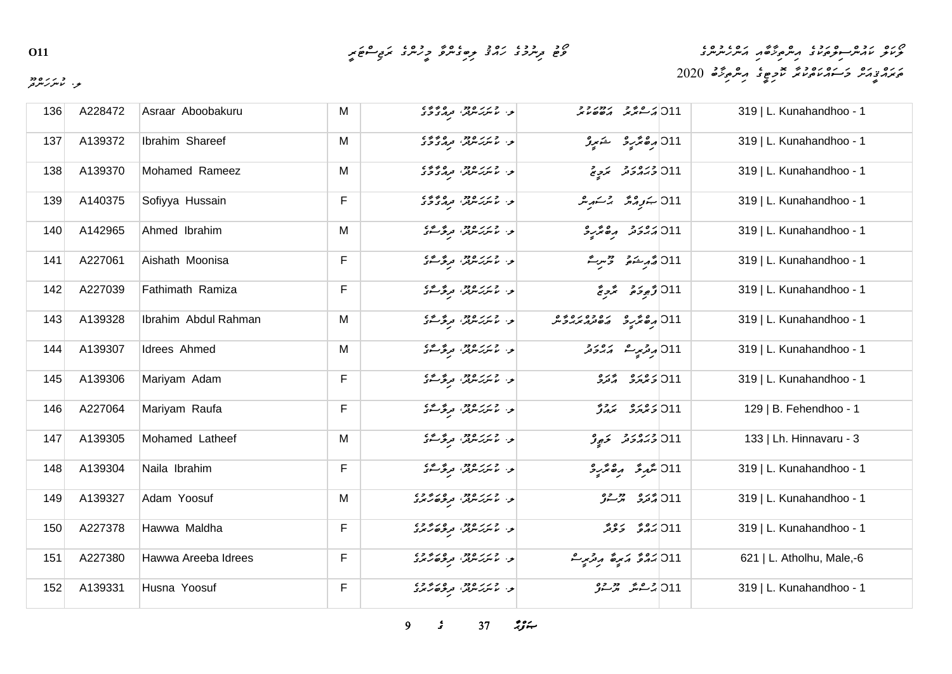*sCw7q7s5w7m< o<n9nOoAw7o< sCq;mAwBoEw7q<m; wBm;vB* م من المرة المرة المرة المرجع المرجع في المركبة 2020<br>مجم*د المريض المربوط المربع المرجع في المراجع المركبة* 

| 136 | A228472 | Asraar Aboobakuru    | M           | و. ترمز دود. وړونو                                           | 22222222221                             | 319   L. Kunahandhoo - 1  |
|-----|---------|----------------------|-------------|--------------------------------------------------------------|-----------------------------------------|---------------------------|
| 137 | A139372 | Ibrahim Shareef      | M           | و. در در ۶۶۵ و ۶۶۵ و.                                        | 011  مەھەرىرى سىمبرو                    | 319   L. Kunahandhoo - 1  |
| 138 | A139370 | Mohamed Rameez       | M           | و. روروده مدور                                               | 011 دېم دېمر ترې                        | 319   L. Kunahandhoo - 1  |
| 139 | A140375 | Sofiyya Hussain      | F           | و. رورودو.<br>د. رسر سربر، مرد د و د                         | 011  جۇرۇپۇ - ئەسكەپىر                  | 319   L. Kunahandhoo - 1  |
| 140 | A142965 | Ahmed Ibrahim        | M           | و. ئەسەر ھەرگە بىرى ئەسىمى                                   | 011   <i>زود وهنگي</i> و                | 319   L. Kunahandhoo - 1  |
| 141 | A227061 | Aishath Moonisa      | $\mathsf F$ | و. ته مرد ه دو. تروگستو                                      | 011 ۾ م شمش - حسيب شهر                  | 319   L. Kunahandhoo - 1  |
| 142 | A227039 | Fathimath Ramiza     | F           | و. ئەسەر ھەدە بىر ئەسىر                                      | 011 <i>وُّجِوحَ</i> جُمَّحِ مُحَّ       | 319   L. Kunahandhoo - 1  |
| 143 | A139328 | Ibrahim Abdul Rahman | M           | و. ئ <i>اس شرق بو</i> رومبر                                  | 011 مەھگرىق مەھەممەدە مە                | 319   L. Kunahandhoo - 1  |
| 144 | A139307 | Idrees Ahmed         | M           | و. ئامرىر ھەدە بارگەنگى                                      | 011 <sub>موق</sub> رمرے م <i>م</i> روتر | 319   L. Kunahandhoo - 1  |
| 145 | A139306 | Mariyam Adam         | F           | و. ته مرد ه دو. تروگستو                                      | 011 كەبھەر ئەرگەر                       | 319   L. Kunahandhoo - 1  |
| 146 | A227064 | Mariyam Raufa        | F           | و. ته مرد ه دو. تروگستو                                      | 011 <i>5 پروژ پروژ</i>                  | 129   B. Fehendhoo - 1    |
| 147 | A139305 | Mohamed Latheef      | M           | و. ته مرد ه دو. تروگستو                                      | 011 <i>وُبَرُوُوَتَرْ خَهِوْ</i> رُ     | 133   Lh. Hinnavaru - 3   |
| 148 | A139304 | Naila Ibrahim        | $\mathsf F$ | و ، ئەس سەر ئەر ئەر ئەر                                      | 011 سَمَدِ دَ مِنْ مِرْدِدْ             | 319   L. Kunahandhoo - 1  |
| 149 | A139327 | Adam Yoosuf          | M           | و مرکز وجود و در دره و د<br>د ماسرکرسرفر فرخه کریمری         | 011 گەنىۋە تەرىبۇ                       | 319   L. Kunahandhoo - 1  |
| 150 | A227378 | Hawwa Maldha         | F           | و . ه مرکز مرد .<br>د . ما مرکز مرکز . مرکز مرکز .           | 011 بَرْدُمَّ       وَوْمَّر            | 319   L. Kunahandhoo - 1  |
| 151 | A227380 | Hawwa Areeba Idrees  | F           | و گرمز وجود و در دره                                         | 011 <i>بَهُرةَ مَ</i> بِرةَ مِثْرَبِّتٍ | 621   L. Atholhu, Male,-6 |
| 152 | A139331 | Husna Yoosuf         | F           | و . ه شرک دو . و . و . و .<br>د . ما شرک سرفر . فرخه صر بو . | 011 پرېشته تېزىنقۇ                      | 319   L. Kunahandhoo - 1  |

*9 s* 37 *i*<sub>s</sub>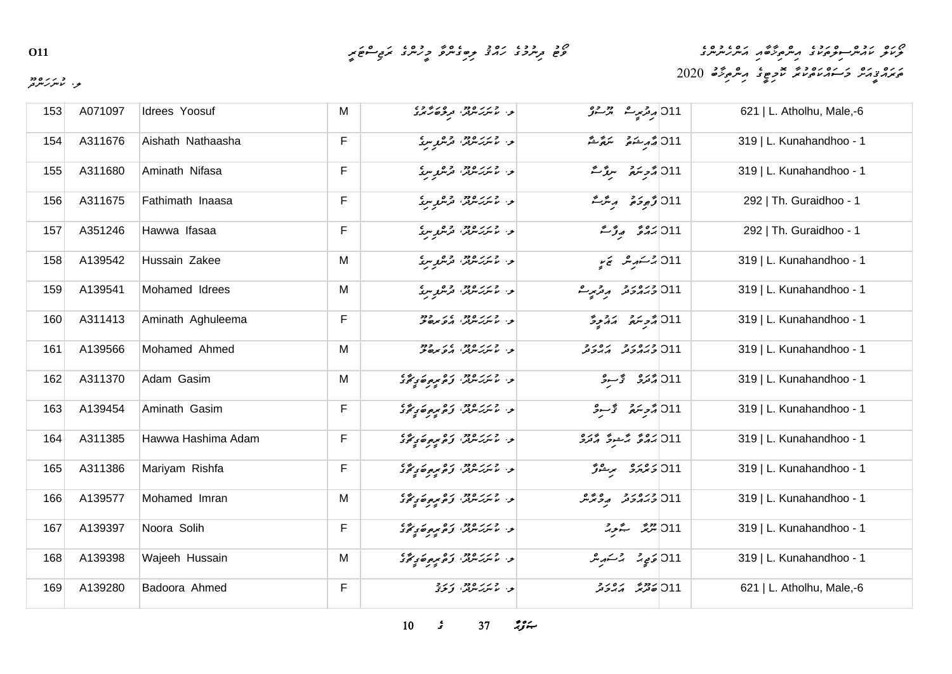*sCw7q7s5w7m< o<n9nOoAw7o< sCq;mAwBoEw7q<m; wBm;vB* م من المرة المرة المرة المرجع المرجع في المركبة 2020<br>مجم*د المريض المربوط المربع المرجع في المراجع المركبة* 

| 153 | A071097 | Idrees Yoosuf      | M           | و. نامرژمون تروکاربرد                      | 011 مریز ہرے میں چینے و                     | 621   L. Atholhu, Male,-6 |
|-----|---------|--------------------|-------------|--------------------------------------------|---------------------------------------------|---------------------------|
| 154 | A311676 | Aishath Nathaasha  | F           | و. مشرك مدير و و محمد مدين                 | 011 مَّ مِشَعْرِ مَعَرَضَّة                 | 319   L. Kunahandhoo - 1  |
| 155 | A311680 | Aminath Nifasa     | F           | أورا المتركز مرده والمراقبة والمحمد        | 011 مَّ حِسَمَۃُ سِمَدٌ مَّتَّ              | 319   L. Kunahandhoo - 1  |
| 156 | A311675 | Fathimath Inaasa   | F           | و. ئەسكەنلەش قەشرىدى                       | 011 ۇجۇڭر مەشرىشە                           | 292   Th. Guraidhoo - 1   |
| 157 | A351246 | Hawwa Ifasaa       | F           | و. دربره دو وه<br>و. نامزبرمربر، فرمزبرمبر | 011 يَرْدُوَّ - مِرَّتْ-                    | 292   Th. Guraidhoo - 1   |
| 158 | A139542 | Hussain Zakee      | M           | و. او در ۱۶۵ و و و د                       | 011 پرڪهريش تج پير                          | 319   L. Kunahandhoo - 1  |
| 159 | A139541 | Mohamed Idrees     | M           | و. ئاس سرچار وروس سرچ                      | 011  32,25 كمبر مرتزمير شر                  | 319   L. Kunahandhoo - 1  |
| 160 | A311413 | Aminath Aghuleema  | $\mathsf F$ | ג ניתנים בין כדי                           | 011 مَّ صِنَّعَ مَنْ مِوَّ                  | 319   L. Kunahandhoo - 1  |
| 161 | A139566 | Mohamed Ahmed      | M           | ג ניתנים בר בר בר                          | 011 دُبروبر پروبر                           | 319   L. Kunahandhoo - 1  |
| 162 | A311370 | Adam Gasim         | M           | و الاسر شهر و و مره که داده                | 011 <sub>م</sub> ُمَرَدُ گَ <sup>ر</sup> دُ | 319   L. Kunahandhoo - 1  |
| 163 | A139454 | Aminath Gasim      | F           | و مشرك دو ده مره و ده                      | 011 مَّ حِسَمَۃٌ تَحْسِنُ                   | 319   L. Kunahandhoo - 1  |
| 164 | A311385 | Hawwa Hashima Adam | F           | و مشرك ود ده مرده و ده                     | 011 يَرْدُوَّ كَرْشِرَّ كَرْمَرْدَّ         | 319   L. Kunahandhoo - 1  |
| 165 | A311386 | Mariyam Rishfa     | $\mathsf F$ | و المتركز ود و و مرده و كود                | 011 كەنترىق بىرىشۇ ئ                        | 319   L. Kunahandhoo - 1  |
| 166 | A139577 | Mohamed Imran      | M           | و مشرك ود ده مرد ده                        | 011  جُهُ جُمْعَ مِنْ مِنْ مِنْ مِنْ        | 319   L. Kunahandhoo - 1  |
| 167 | A139397 | Noora Solih        | $\mathsf F$ | و مشرك ود وه مره مريح                      | 011] تىرىخ – ئىمورتە                        | 319   L. Kunahandhoo - 1  |
| 168 | A139398 | Wajeeh Hussain     | M           | و مشر ود ده مده کرده                       | 011   ق م 2 - تركس مريس                     | 319   L. Kunahandhoo - 1  |
| 169 | A139280 | Badoora Ahmed      | F           | والممتركة للمروج                           | 011 كەنتىرىگە بەردىتىر                      | 621   L. Atholhu, Male,-6 |

*r@w7m5m7q; .B*

*10 s* 37 *if*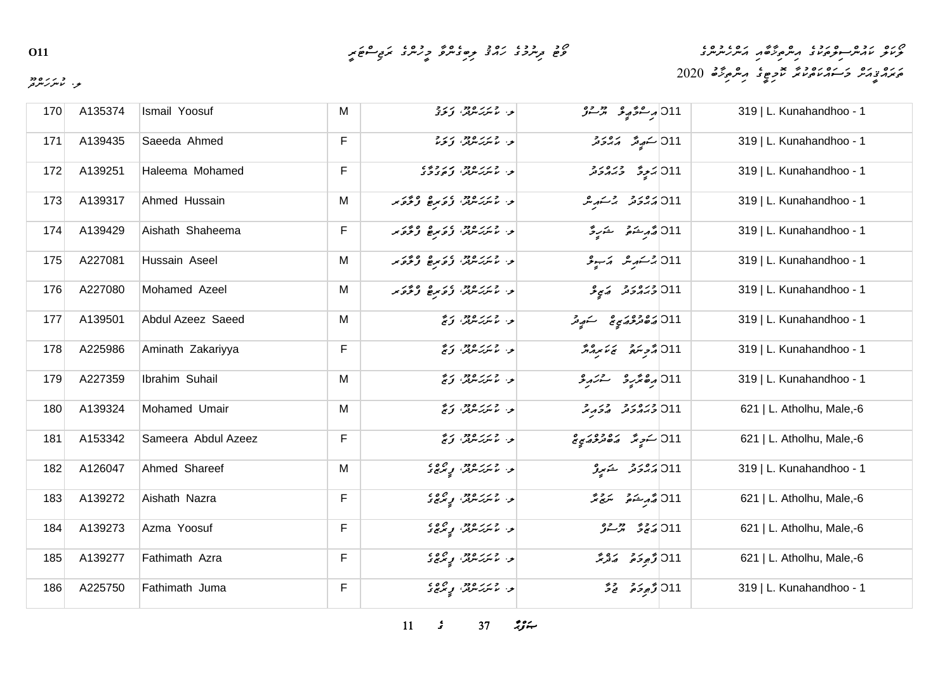*sCw7q7s5w7m< o<n9nOoAw7o< sCq;mAwBoEw7q<m; wBm;vB* م من المرة المرة المرة المرجع المرجع في المركبة 2020<br>مجم*د المريض المربوط المربع المرجع في المراجع المركبة* 

| 170 | A135374 | Ismail Yoosuf       | M           | و. ئەسەر ئەرەتى، ئەنەتق                                                         | 011 <sub>م</sub> رىئۇ <sub>م</sub> بۇ بۇسۇ | 319   L. Kunahandhoo - 1  |
|-----|---------|---------------------|-------------|---------------------------------------------------------------------------------|--------------------------------------------|---------------------------|
| 171 | A139435 | Saeeda Ahmed        | F           | و. ئەسكەتلەر ئەرە                                                               | 011 <i>ڪوپوگر پرچ</i> وتر                  | 319   L. Kunahandhoo - 1  |
| 172 | A139251 | Haleema Mohamed     | $\mathsf F$ | ن المرار ودور المراد و بالا<br>المرار المراكب المراكب و المراكب و بالا          | 011 كەمەمى ئەمەدىمى                        | 319   L. Kunahandhoo - 1  |
| 173 | A139317 | Ahmed Hussain       | M           | أور المتركباتين وأوليط وتحوير                                                   | 011   ئەجرىقر كەسكەپ ش                     | 319   L. Kunahandhoo - 1  |
| 174 | A139429 | Aishath Shaheema    | $\mathsf F$ | أور الأسرك سور والمراد والمحتجم والمركوب                                        | 011 م <sub>ە</sub> مەشقى ھەرپۇ             | 319   L. Kunahandhoo - 1  |
| 175 | A227081 | Hussain Aseel       | M           | و المترکب دو داراه وور                                                          | 011 پرستهر مرکب ویکسیونی                   | 319   L. Kunahandhoo - 1  |
| 176 | A227080 | Mohamed Azeel       | M           | أور الأمرك معزوج المراد والمحركة المحركة المسركة مسركة مسركة مسركة مسركة المسير |                                            | 319   L. Kunahandhoo - 1  |
| 177 | A139501 | Abdul Azeez Saeed   | M           | و. ئەسىر ئەھىرى ئەنج                                                            | 011 كەھىر <i>ى ھەم بىر كەر بى</i> ر        | 319   L. Kunahandhoo - 1  |
| 178 | A225986 | Aminath Zakariyya   | $\mathsf F$ | و. ئەسكەشلەر ئەس                                                                | 011 مَّ حِسَمَّهُ تَجَمَّ مِهْتَمَّ        | 319   L. Kunahandhoo - 1  |
| 179 | A227359 | Ibrahim Suhail      | M           | و. ئەس ئەرەدە ئ                                                                 | 011 مەھەرى ئىقدىدى                         | 319   L. Kunahandhoo - 1  |
| 180 | A139324 | Mohamed Umair       | M           | ى- ئەسرىر ھەدەرى ئەس                                                            | 011 <i>ۋېزودى ھۆمىتى</i>                   | 621   L. Atholhu, Male,-6 |
| 181 | A153342 | Sameera Abdul Azeez | F           | ى ئاسىر ئىلگەن ئىگى                                                             | 011 س <i>وچر مەھەر دە</i> يى               | 621   L. Atholhu, Male,-6 |
| 182 | A126047 | Ahmed Shareef       | M           | و. ورز عربی و مره و                                                             | 011  پَرْدُوَتْرَ شَمَى <sub>تِ</sub> وْ   | 319   L. Kunahandhoo - 1  |
| 183 | A139272 | Aishath Nazra       | $\mathsf F$ | و. مشرکتری و ۱۵۵                                                                | 011 م <i>ۇم يىشق</i> ئىسى ئىگە             | 621   L. Atholhu, Male,-6 |
| 184 | A139273 | Azma Yoosuf         | $\mathsf F$ | و. ه سرکر سرچ و ده ده د                                                         | $3 - 3 - 5 - 011$                          | 621   L. Atholhu, Male,-6 |
| 185 | A139277 | Fathimath Azra      | F           | و. مشرکتری و می                                                                 | 011 <i>وُّجِ دَءُ مَ</i> فَر <i>َمَّدُ</i> | 621   L. Atholhu, Male,-6 |
| 186 | A225750 | Fathimath Juma      | F           | و . ه در ودو.<br>و . ما مرکز مربی . و مربع و                                    | 011 <i>وُّجِودَة</i> قِمَرَّ               | 319   L. Kunahandhoo - 1  |

 $11$  *s* 37  $23$   $-$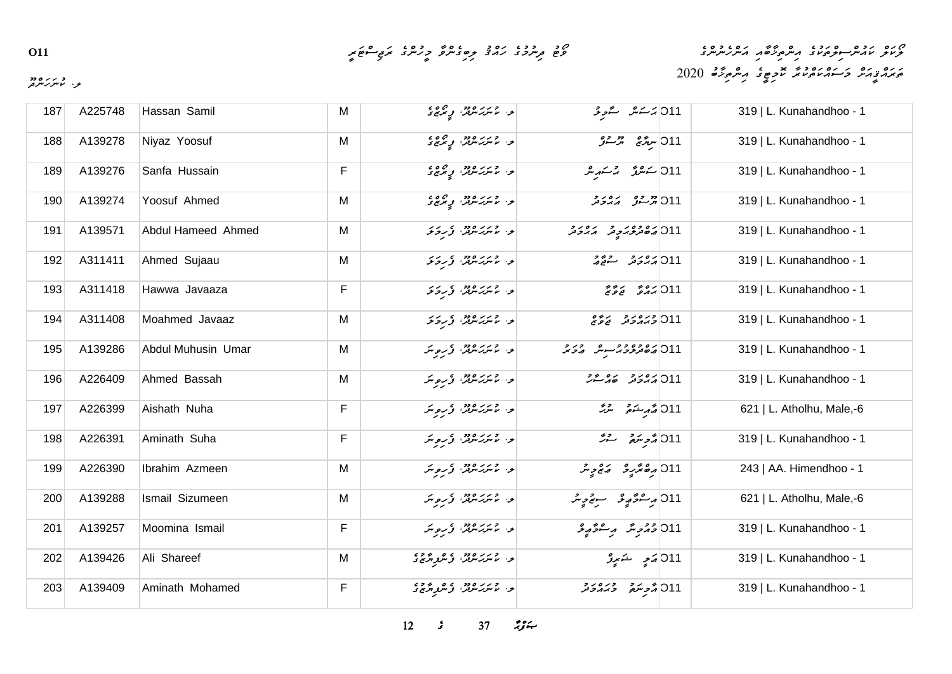*sCw7q7s5w7m< o<n9nOoAw7o< sCq;mAwBoEw7q<m; wBm;vB* م من المرة المرة المرة المرجع المرجع في المركبة 2020<br>مجم*د المريض المربوط المربع المرجع في المراجع المركبة* 

| 187 | A225748 | Hassan Samil       | M           | و. تأسر ښفور، و جرج د          | 011  پزشکر گے۔                                              | 319   L. Kunahandhoo - 1  |
|-----|---------|--------------------|-------------|--------------------------------|-------------------------------------------------------------|---------------------------|
| 188 | A139278 | Niyaz Yoosuf       | M           | و. ه سرکر سرچ و ده ده د        | 011 سوڭى مۇسۇر                                              | 319   L. Kunahandhoo - 1  |
| 189 | A139276 | Sanfa Hussain      | F           | و. عسر کرده دو ۲۵۵             | 011 سَتَمَدَّزُ بِرَسَهِ بِرْ                               | 319   L. Kunahandhoo - 1  |
| 190 | A139274 | Yoosuf Ahmed       | M           | و. ورزوده. ومرج                | 011 ټرينو پر دي د                                           | 319   L. Kunahandhoo - 1  |
| 191 | A139571 | Abdul Hameed Ahmed | M           | أوسا المركز المراكب والركاكي   | 011 كەھەر <i>ى بەر مەدەر</i>                                | 319   L. Kunahandhoo - 1  |
| 192 | A311411 | Ahmed Sujaau       | M           | و ، ئامرىكى ئۇرۇكى             | 011 كەبرى كىرىم ئىق                                         | 319   L. Kunahandhoo - 1  |
| 193 | A311418 | Hawwa Javaaza      | F           | والممتركة فكالمحارثة والمحافية | 011 يَرْدُمُ ۚ يَوَّيَّ                                     | 319   L. Kunahandhoo - 1  |
| 194 | A311408 | Moahmed Javaaz     | M           | والممترك مثلاثة المراكبة       | 011 دېرونه يې دي                                            | 319   L. Kunahandhoo - 1  |
| 195 | A139286 | Abdul Muhusin Umar | M           | أور الأنترنت تلويل وكربونتر    | 011 كەھىر بەر بەر بەر بەر ب                                 | 319   L. Kunahandhoo - 1  |
| 196 | A226409 | Ahmed Bassah       | M           | أورا المتركز تعريره وكربانير   | 011 كەبروتر ھەرشىر                                          | 319   L. Kunahandhoo - 1  |
| 197 | A226399 | Aishath Nuha       | $\mathsf F$ | والممتركة معروفي وترويتر       | 011 مۇم شۇ ھەر ئىر                                          | 621   L. Atholhu, Male,-6 |
| 198 | A226391 | Aminath Suha       | F           | والممتركة بقراء والرعاش        | 011 مَّ مِ سَمَّةٍ مِسْتَمَّ                                | 319   L. Kunahandhoo - 1  |
| 199 | A226390 | Ibrahim Azmeen     | M           | والممتركة معرض وترجيتر         | 011 <sub>م</sub> ەنگرى <sub>ق م</sub> ەنج يى <sup>گ</sup> ە | 243   AA. Himendhoo - 1   |
| 200 | A139288 | Ismail Sizumeen    | M           | أورا لانترنته تلافر وكربوبتر   | 011  <sub>مو</sub> سٹو <i>ڈمی</i> و سوچ <sub>حی</sub> ثر    | 621   L. Atholhu, Male,-6 |
| 201 | A139257 | Moomina Ismail     | F           | و المتركز عليه وكربونتر        | 011 3 <i>مۇمۇسى مەشۇم</i> بۇ                                | 319   L. Kunahandhoo - 1  |
| 202 | A139426 | Ali Shareef        | M           | و المترکز مرد و در دره د       | 011  رَمِ شَهْرِرٌ                                          | 319   L. Kunahandhoo - 1  |
| 203 | A139409 | Aminath Mohamed    | F           | و الانترنز میں اللہ دیا ہے۔    | 011 مُّ حِسَمَةٌ حَمَدُ حَمَدَ                              | 319   L. Kunahandhoo - 1  |

*12 s* 37 *if*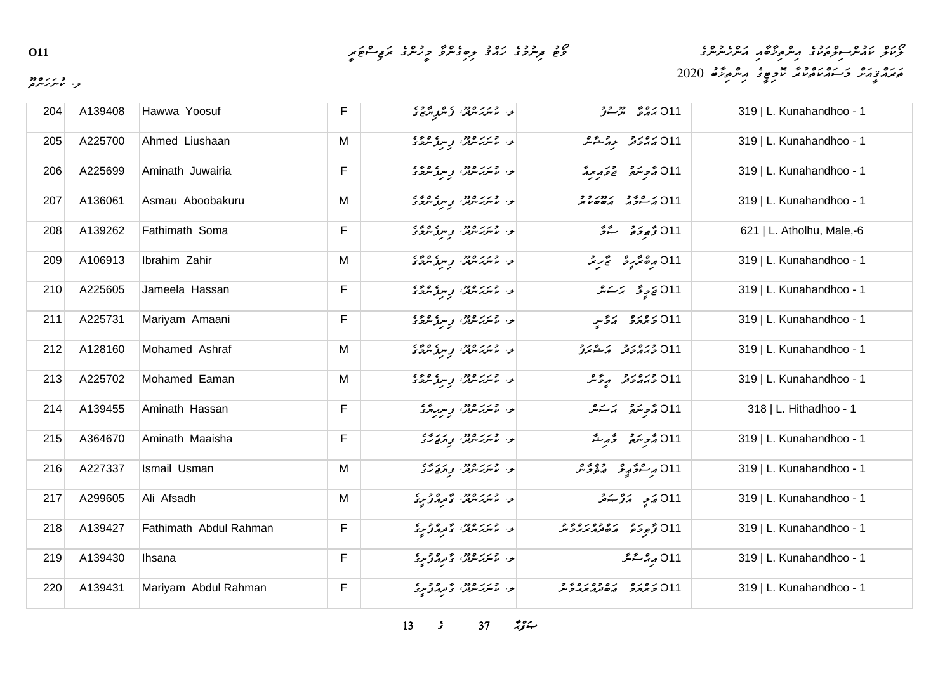*sCw7q7s5w7m< o<n9nOoAw7o< sCq;mAwBoEw7q<m; wBm;vB* م من المرة المرة المرة المرجع المرجع في المركبة 2020<br>مجم*د المريض المربوط المربع المرجع في المراجع المركبة* 

| 204 | A139408 | Hawwa Yoosuf           | F            | و. ئامېر دوه و هر ده د                                                                               | 011 كەبىر تەرىپىتى                   | 319   L. Kunahandhoo - 1  |
|-----|---------|------------------------|--------------|------------------------------------------------------------------------------------------------------|--------------------------------------|---------------------------|
| 205 | A225700 | Ahmed Liushaan         | M            | و گمرگرمون وسرگامری                                                                                  | 011   دَرُدَوَرْ ۖ مِرْشَرْ مَرْ     | 319   L. Kunahandhoo - 1  |
| 206 | A225699 | Aminath Juwairia       | $\mathsf F$  | و ، مشرکترو ، وسومبرده                                                                               | 011 مُّحِسَمُ مِنْ وَمَدِيرِمُّ      | 319   L. Kunahandhoo - 1  |
| 207 | A136061 | Asmau Aboobakuru       | M            | و. ورزه دو. وسرونده                                                                                  | 22222 252                            | 319   L. Kunahandhoo - 1  |
| 208 | A139262 | Fathimath Soma         | F            | و مرکز وجود و سرو مرد و                                                                              | 011 <i>ؤودة</i> بدْءً                | 621   L. Atholhu, Male,-6 |
| 209 | A106913 | Ibrahim Zahir          | M            | و الانترنسيون وسرع مصري                                                                              | 011 مِرْھُمَّرِ وَ گُرِيْر           | 319   L. Kunahandhoo - 1  |
| 210 | A225605 | Jameela Hassan         | $\mathsf{F}$ | و المترکز من وجود در در د                                                                            | 011 <sub>قے ج</sub> وگ - پرسٹر -     | 319   L. Kunahandhoo - 1  |
| 211 | A225731 | Mariyam Amaani         | $\mathsf F$  | و گمرگرمون وسرگامری                                                                                  | 011 52 كۇرى كەرگە بىر                | 319   L. Kunahandhoo - 1  |
| 212 | A128160 | Mohamed Ashraf         | M            | و گمرگرمون وسرگامری                                                                                  | 011 دېرونو پرېدو                     | 319   L. Kunahandhoo - 1  |
| 213 | A225702 | Mohamed Eaman          | M            | و. رمزره دو.<br>د رمزرس                                                                              | 011 <i>دېزون پ</i> وتر               | 319   L. Kunahandhoo - 1  |
| 214 | A139455 | Aminath Hassan         | $\mathsf F$  | و المترکبرده در استفراد که ا                                                                         | 011 مَّ حِسَمَ بَرَسَسْ              | 318   L. Hithadhoo - 1    |
| 215 | A364670 | Aminath Maaisha        | F            | و . ر ر د د .<br>و . ر سرکرس                                                                         | 011 مَّ حِسَمَۃٌ وَ" مِثَّ           | 319   L. Kunahandhoo - 1  |
| 216 | A227337 | Ismail Usman           | M            | و آزره دو.<br>و آسرپرسرټر، و پره تره                                                                 | 011م سۇمۇم ھۇۋىر                     | 319   L. Kunahandhoo - 1  |
| 217 | A299605 | Ali Afsadh             | M            | و. ورزه ود محمده و د                                                                                 | 011 كەير كەۋىبەتر                    | 319   L. Kunahandhoo - 1  |
| 218 | A139427 | Fathimath Abdul Rahman | $\mathsf F$  | و ، رمنگر سرفر ، محمد و در محمد استفاده .                                                            | 011 زٌمودَ و ره ده ده د و د          | 319   L. Kunahandhoo - 1  |
| 219 | A139430 | Ihsana                 | F            | و الاسربر موجود المحمود و و المحمد المحمد المسربر المسربر من المسربر المحمد المحمد المحمد المحمد الم | 011  مەبىر مەشقىر                    | 319   L. Kunahandhoo - 1  |
| 220 | A139431 | Mariyam Abdul Rahman   | F            | و ، را مرکز مرده و ده و د و د                                                                        | 011 <i>كې مرکزې پر محمد مرکز مرگ</i> | 319   L. Kunahandhoo - 1  |

**13** *s* **37** *n***<sub>s</sub>**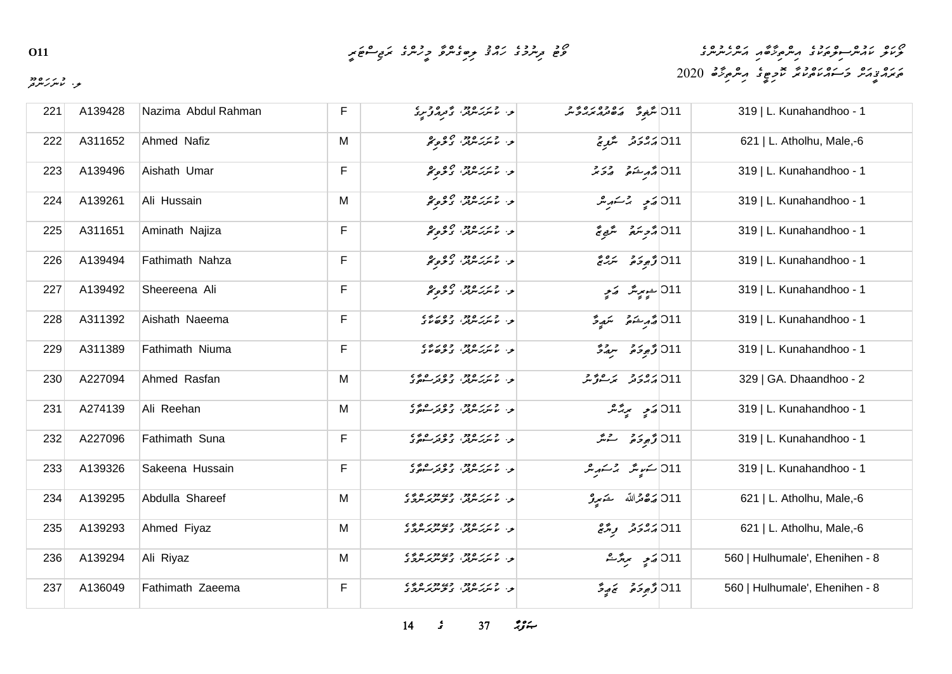*sCw7q7s5w7m< o<n9nOoAw7o< sCq;mAwBoEw7q<m; wBm;vB* م من المرة المرة المرة المرجع المرجع في المركبة 2020<br>مجم*د المريض المربوط المربع المرجع في المراجع المركبة* 

| 221 | A139428 | Nazima Abdul Rahman | F | د ، تا تر شرقه ، محمد قریبه و برا                                    | 011 - ئىنجى <i>قەھەر ئەرگە</i> ئىر     | 319   L. Kunahandhoo - 1       |
|-----|---------|---------------------|---|----------------------------------------------------------------------|----------------------------------------|--------------------------------|
| 222 | A311652 | Ahmed Nafiz         | M | و . ما سرکر سرچر . ما و ده می                                        | 011   كەشرىقى ئىتمىي تى                | 621   L. Atholhu, Male,-6      |
| 223 | A139496 | Aishath Umar        | F | و . ه برگر موده می <i>و و گا</i>                                     | 011 مُ مِسْمَعْ مِرْحَمْهِ             | 319   L. Kunahandhoo - 1       |
| 224 | A139261 | Ali Hussain         | M | والمتمركة مصرص والمحمومي                                             | 011  رَمِ بِرْسَهِ بِرْ                | 319   L. Kunahandhoo - 1       |
| 225 | A311651 | Aminath Najiza      | F | والممتركة معروج والمحافظ والمحافظ                                    | 011 أُمَّ حِسَمَةً مُسَّمِعَةً         | 319   L. Kunahandhoo - 1       |
| 226 | A139494 | Fathimath Nahza     | F | والممتركة بمشارع فرومى                                               | 011 <i>وُّجِ دَمْ سَرْبَعُ</i>         | 319   L. Kunahandhoo - 1       |
| 227 | A139492 | Sheereena Ali       | F | والممترس ودامي                                                       | 011  ھومپىگر كەمچ                      | 319   L. Kunahandhoo - 1       |
| 228 | A311392 | Aishath Naeema      | F | و در دوره وه ده.<br>و مسررس                                          | 011 مَّەمِسْمَعْ سَمِي <sup>و</sup> َ  | 319   L. Kunahandhoo - 1       |
| 229 | A311389 | Fathimath Niuma     | F | و اورار ودو او وړه وا                                                | 011 <i>وُّجِودَة</i> سِ <i>مَدُدُّ</i> | 319   L. Kunahandhoo - 1       |
| 230 | A227094 | Ahmed Rasfan        | M | و از در وده اوه دار ولوی<br>و اما مرکز مرکز از فرکز سوی              | 011 كەبرى تەر ئىرسىر ئىر               | 329   GA. Dhaandhoo - 2        |
| 231 | A274139 | Ali Reehan          | M | و. رور دود. وه د ه د و.<br>و. رسرترس                                 | 011 کړم پرچمه                          | 319   L. Kunahandhoo - 1       |
| 232 | A227096 | Fathimath Suna      | F | و. رور دود. وه د ه د و.<br>و. رسرترس                                 | 011 ڙَجِرَحَمُ شَهَّرٌ                 | 319   L. Kunahandhoo - 1       |
| 233 | A139326 | Sakeena Hussain     | F | و او در وود اوه داده وار<br>و اما مرکز مرکز او خرفر سود و            | 011  سَرِیٹر کرسکریٹر                  | 319   L. Kunahandhoo - 1       |
| 234 | A139295 | Abdulla Shareef     | M | כן הקרים בכן המוכנים בין<br>יכון מוטקטונטים וביטוקוטונטים            | 011  رَحْمَدْاللَّهُ شَمَعِيوْ         | 621   L. Atholhu, Male,-6      |
| 235 | A139293 | Ahmed Fiyaz         | M | כן מקרים כבר כבודד מים.<br>כן מיתה ייתה וביכיית <i>מ</i> יתיב        | 011 كەندى قىر بەرگىيى بول              | 621   L. Atholhu, Male,-6      |
| 236 | A139294 | Ali Riyaz           | M | د - روبر ۱۶۵ - وروبر ۱۶۵ و<br>د - ما سربر سربر ا - د مخر سربر سربر د | 011  رَمِ بِرَمَّــُ مُ                | 560   Hulhumale', Ehenihen - 8 |
| 237 | A136049 | Fathimath Zaeema    | F | د - روبر ۱۶۵ - وروبر ۱۶۵ و<br>د - ما سربر سربر ا - د مخر سربر سربر د | 011 <i>وَّجِوحَمْ بَحَ مِ</i> حَ       | 560   Hulhumale', Ehenihen - 8 |

*14 s* 37 *if*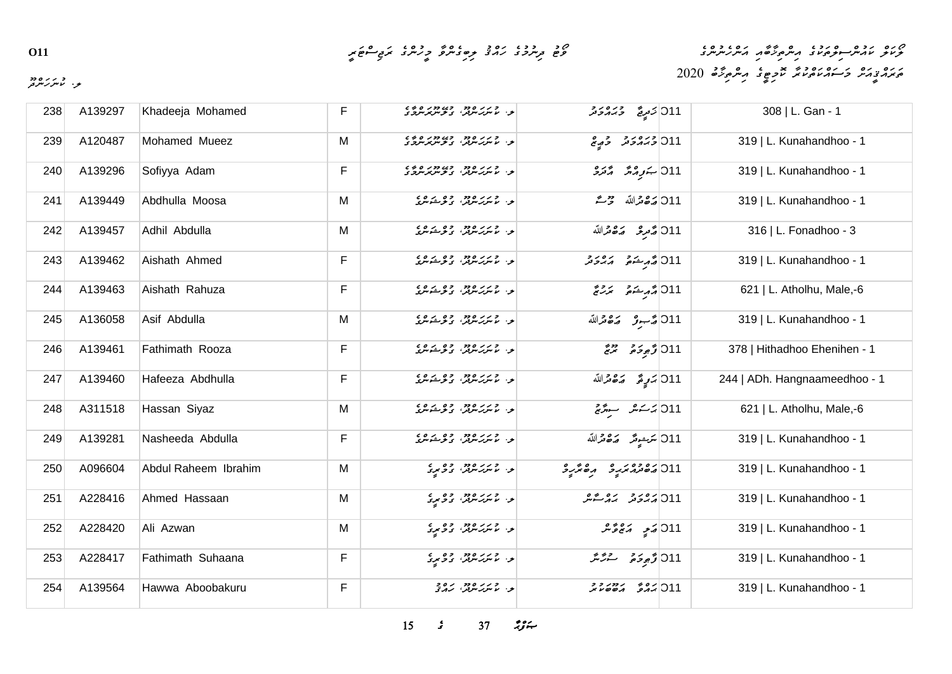*sCw7q7s5w7m< o<n9nOoAw7o< sCq;mAwBoEw7q<m; wBm;vB* م من المرة المرة المرة المرجع المرجع في المركبة 2020<br>مجم*د المريض المربوط المربع المرجع في المراجع المركبة* 

| 220 / 22       |  |
|----------------|--|
| ىو. مەسرىرسرىر |  |
|                |  |

| 238 | A139297 | Khadeeja Mohamed     | F           | כן הקרים בכן כבו בכן סיפים.<br>יכון מיטקה יותרה וביכות במיטק        | 011  رَمِيعٌ - وُبَرُوُوَتْرُ                | 308   L. Gan - 1              |
|-----|---------|----------------------|-------------|---------------------------------------------------------------------|----------------------------------------------|-------------------------------|
| 239 | A120487 | Mohamed Mueez        | M           | و رو در ه دو  وده د ه د و د<br>نو  ما سربر سربر ، او بر سربر سربر د | 011 <i>وبزوونز توم</i> ي                     | 319   L. Kunahandhoo - 1      |
| 240 | A139296 | Sofiyya Adam         | F           | و د در ه دو د ده د ده د ه د<br>نو از ماسربر سربو از نورسربورسرو د   | 011 <i>بتوبرچر پڙيڙ</i>                      | 319   L. Kunahandhoo - 1      |
| 241 | A139449 | Abdhulla Moosa       | M           | و. د برره ده ده ده ده د                                             | 011 رَصْوَلا الله حَقْ مَ                    | 319   L. Kunahandhoo - 1      |
| 242 | A139457 | Adhil Abdulla        | M           | و. د برره ده ده ده ده د                                             | 011 صحي <i>ر و مك</i> انية الله              | 316   L. Fonadhoo - 3         |
| 243 | A139462 | Aishath Ahmed        | $\mathsf F$ | والممترك الأوروبي                                                   | 011 مەم ئىش <i>ەر مەدە</i> ر                 | 319   L. Kunahandhoo - 1      |
| 244 | A139463 | Aishath Rahuza       | F           | و. د برره ده ده ده ده د                                             | 011 مۇم ھۇم ئىرقىقى                          | 621   L. Atholhu, Male,-6     |
| 245 | A136058 | Asif Abdulla         | M           | و. الانترکسيږي و و د ده و و                                         | 011 صحيحة م <b>ص</b> قرالله                  | 319   L. Kunahandhoo - 1      |
| 246 | A139461 | Fathimath Rooza      | $\mathsf F$ | ى ئەستەر بەيدە تەر ئەن ئاس                                          | 011 تُرجوحي مُحمَّىَّ                        | 378   Hithadhoo Ehenihen - 1  |
| 247 | A139460 | Hafeeza Abdhulla     | F           | و الانترکسیون وه داده به                                            | 011 <i>بَرَمٍ فَمَّ مَنْ هُدَ</i> اللَّه     | 244   ADh. Hangnaameedhoo - 1 |
| 248 | A311518 | Hassan Siyaz         | M           | و. د برره ده ده ده ده د                                             | 011 برسەيىشى سەرتىتى                         | 621   L. Atholhu, Male,-6     |
| 249 | A139281 | Nasheeda Abdulla     | F           | و. د برره ده ده ده ده د                                             | 011 سَرَشِيِتَمُنْ <i>مَنْ صَ</i> قْرَاللَّه | 319   L. Kunahandhoo - 1      |
| 250 | A096604 | Abdul Raheem Ibrahim | M           | والممترك معزو وه المحا                                              | 011 كەھەممە بەر مەھەر بەر                    | 319   L. Kunahandhoo - 1      |
| 251 | A228416 | Ahmed Hassaan        | M           | والممتركة معروف والمحامري                                           | 011 كەبروتىر بەي ئەشر                        | 319   L. Kunahandhoo - 1      |
| 252 | A228420 | Ali Azwan            | M           | ن المرکز وجود وه ده.<br>نور الماس کرد کرد و مرکز                    | 011 <i>ڇَجِ - چَيُوَنَّرُ</i>                | 319   L. Kunahandhoo - 1      |
| 253 | A228417 | Fathimath Suhaana    | $\mathsf F$ | و آمریز سربر وه وه و                                                | 011 <i>وُّجِ دَءُ</i> شَرَّسَرُ              | 319   L. Kunahandhoo - 1      |
| 254 | A139564 | Hawwa Aboobakuru     | F           | ن الاسر روبر الروبر<br>نور الاسربر سرگران الروبر                    | $22222$ $201$                                | 319   L. Kunahandhoo - 1      |

*15 sC 37 nNw?mS*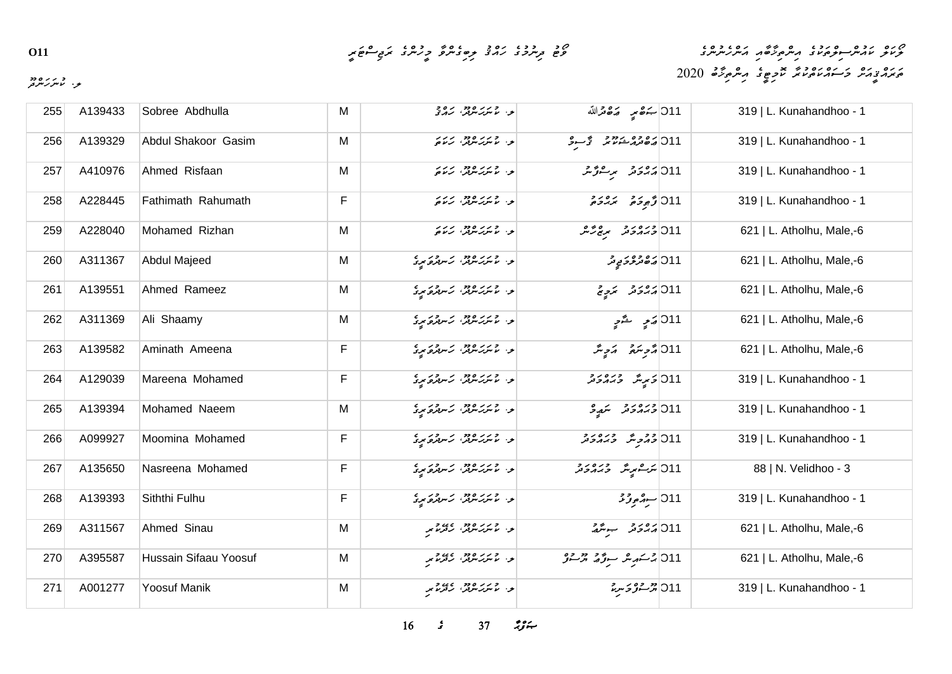*sCw7q7s5w7m< o<n9nOoAw7o< sCq;mAwBoEw7q<m; wBm;vB* م من المرة المرة المرة المرجع المرجع في المركبة 2020<br>مجم*د المريض المربوط المربع المرجع في المراجع المركبة* 

| 220 / 22       |  |
|----------------|--|
| ىو، ئاسرىرسرىر |  |

| 255 | A139433 | Sobree Abdhulla       | M           | ن در در ۱۶۵۵ ده د و                                                                                                                                                                                                             | 011  <i>جاھىر مەھى</i> راللە              | 319   L. Kunahandhoo - 1  |
|-----|---------|-----------------------|-------------|---------------------------------------------------------------------------------------------------------------------------------------------------------------------------------------------------------------------------------|-------------------------------------------|---------------------------|
| 256 | A139329 | Abdul Shakoor Gasim   | M           | و. ئەس سەر، زىر                                                                                                                                                                                                                 | $3 - 3 - 2 - 2 - 3 = 0.11$                | 319   L. Kunahandhoo - 1  |
| 257 | A410976 | Ahmed Risfaan         | M           | ى ئاس ئارىق ئارىر                                                                                                                                                                                                               | 011 كەبرى بىر مەركىتى بىر                 | 319   L. Kunahandhoo - 1  |
| 258 | A228445 | Fathimath Rahumath    | F           | والمتمركين كريد                                                                                                                                                                                                                 | 011 زَّەپرىق ئەردىق                       | 319   L. Kunahandhoo - 1  |
| 259 | A228040 | Mohamed Rizhan        | M           | و. ئەسكەتلەر ئەتمام                                                                                                                                                                                                             | 011 ۇ <i>زودۇ ئەيدى بى</i> ر              | 621   L. Atholhu, Male,-6 |
| 260 | A311367 | Abdul Majeed          | M           | و ، را مگر مربود ، کر مربود ، در ا                                                                                                                                                                                              | 011 كەھەترى <i>ۋى يې</i> تر               | 621   L. Atholhu, Male,-6 |
| 261 | A139551 | Ahmed Rameez          | M           | و الانگریزی کر سرفرو بر د<br>این الانگریزی کر سرفرو برد                                                                                                                                                                         | 011   كەشەق كىمى تەرىج                    | 621   L. Atholhu, Male,-6 |
| 262 | A311369 | Ali Shaamy            | M           | و الانگرېزوو که دوران                                                                                                                                                                                                           | 011  رَمِ ۖ حَمَّوِ                       | 621   L. Atholhu, Male,-6 |
| 263 | A139582 | Aminath Ameena        | $\mathsf F$ | ن الماسكريمبر المركز المركز المركزي المركزي                                                                                                                                                                                     | 011 مٌوِسَمَۃُ مَوِسَّر                   | 621   L. Atholhu, Male,-6 |
| 264 | A129039 | Mareena Mohamed       | $\mathsf F$ | ن المسترکز میتوانید و در این استفاده میتوانید و به این میتوانید و به این میتوانید و به این میتوانید که به این<br>میتوانید که میتوانید به میتوانید به این میتوانید به این میتوانید به این میتوانید به این میتوانید به این میتوان | 011 كەيپىگە ئەيمەكەنگە                    | 319   L. Kunahandhoo - 1  |
| 265 | A139394 | Mohamed Naeem         | M           | و ، را مگر مربود ، کر مربود ، در ا                                                                                                                                                                                              | 011 <i>وَبَرْدُوَنْوَ</i> سَم <i>دِوْ</i> | 319   L. Kunahandhoo - 1  |
| 266 | A099927 | Moomina Mohamed       | F           | ن الماس المركزي المركز المركزي براير<br>المركز المركز المركز المركزي برايري                                                                                                                                                     | 011 دُمُ دِسُمُ دِرَمُ دِرَ               | 319   L. Kunahandhoo - 1  |
| 267 | A135650 | Nasreena Mohamed      | $\mathsf F$ | ن الماسكريمبر المركز المركز المركزي المركزي                                                                                                                                                                                     | 011 <i>مَرْتْبِرِيمُ - 3ْرَوْدَوْرْ</i>   | 88   N. Velidhoo - 3      |
| 268 | A139393 | Siththi Fulhu         | $\mathsf F$ | ن الماسكريمبر المركز المركز المركزي المركزي                                                                                                                                                                                     | 011 سوچرىرى                               | 319   L. Kunahandhoo - 1  |
| 269 | A311567 | Ahmed Sinau           | M           | ن المس رود وروبان<br>المس المس رود المس                                                                                                                                                                                         | 011 <i>مەندى قىرىشى</i> گە                | 621   L. Atholhu, Male,-6 |
| 270 | A395587 | Hussain Sifaau Yoosuf | M           | ا د. از اندر مورد است و در مورد بد                                                                                                                                                                                              | 011 پر سرگرم سورمچ میں مشور               | 621   L. Atholhu, Male,-6 |
| 271 | A001277 | <b>Yoosuf Manik</b>   | M           | ن المترکز موجود المعدد برد.<br>المتحد المترکز المتحد المعدد الله برد الله برد.                                                                                                                                                  | 011 انز مشوق <del>ە</del> ئەبەر           | 319   L. Kunahandhoo - 1  |

 $16$  *s* 37  $29$   $\leftarrow$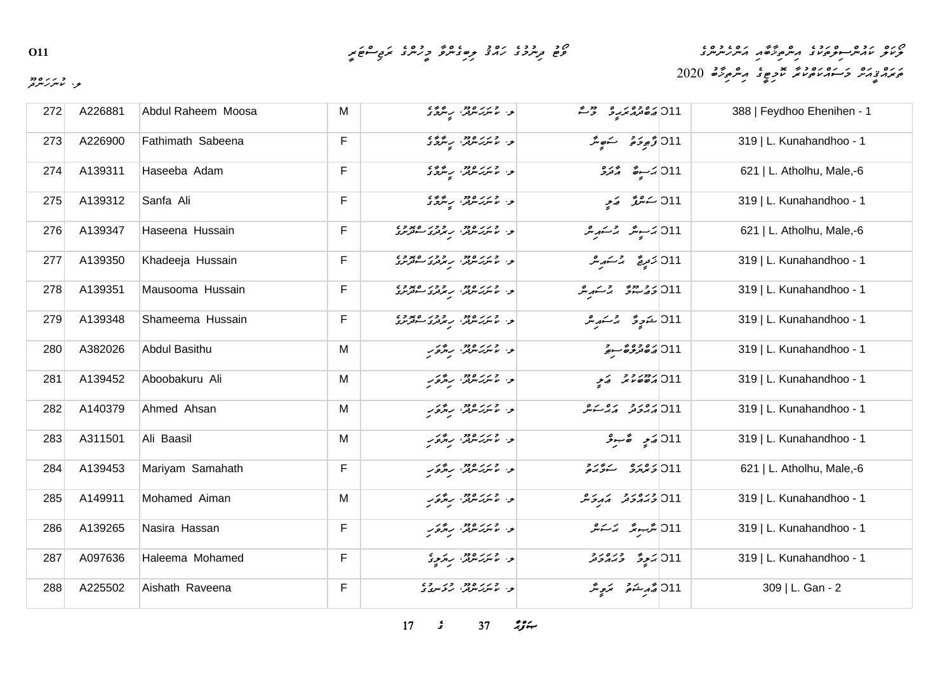*sCw7q7s5w7m< o<n9nOoAw7o< sCq;mAwBoEw7q<m; wBm;vB 2020*<br>*په پوهر وسوډيرونو لومو د موجو د مرمونه* 2020

| <b>33 o</b> ノノ 3<br>ىو، ئاسرىرسرىر |  |
|------------------------------------|--|
|                                    |  |

| 272 | A226881 | Abdul Raheem Moosa | M           | و. تأمر شهر المرحمة                                                              | 011 كەھىر مەردىنى تۇنت                    | 388   Feydhoo Ehenihen - 1 |
|-----|---------|--------------------|-------------|----------------------------------------------------------------------------------|-------------------------------------------|----------------------------|
| 273 | A226900 | Fathimath Sabeena  | F           | و٠ ١٠٠٤ در ٩٥٥.                                                                  | 011 ژَّجِردَةُ سَعِيمٌ                    | 319   L. Kunahandhoo - 1   |
| 274 | A139311 | Haseeba Adam       | $\mathsf F$ | و ، ئامرىر ھۆتە بەلگەنى                                                          | 011 بَرْسِرَةٌ مُحَمَّدٌ                  | 621   L. Atholhu, Male,-6  |
| 275 | A139312 | Sanfa Ali          | $\mathsf F$ | و. ئەسكەنگەن بەشگەي                                                              | 011 ڪشرڱ صَعِ                             | 319   L. Kunahandhoo - 1   |
| 276 | A139347 | Haseena Hussain    | $\mathsf F$ |                                                                                  | 011 پرَسِیٹَ کے سکھریٹل                   | 621   L. Atholhu, Male,-6  |
| 277 | A139350 | Khadeeja Hussain   | $\mathsf F$ |                                                                                  | 011  زَمِرِیَجُ کَمْ کِسَمَ مِرْسٌ        | 319   L. Kunahandhoo - 1   |
| 278 | A139351 | Mausooma Hussain   | $\mathsf F$ | و . او در ۱۵۵۵ در در ۲۵ ور ۲۵<br>او . اما مارتز مارتور استرابرد او در ۲۵ ور برای | 011 كەرمىسىز بەسكەبلە                     | 319   L. Kunahandhoo - 1   |
| 279 | A139348 | Shameema Hussain   | F           | و . او در ۱۵۵۵ در در ۲۵ ور ۲۵<br>او . اما مارتز مارتور استرابرد او در ۲۵ ور برای | 011 ڪوپو - پرڪوپر                         | 319   L. Kunahandhoo - 1   |
| 280 | A382026 | Abdul Basithu      | M           | و ، ئامكرىكلىقى بەرگەب                                                           | 011 كەھەر <i>كى ھەسى</i> ر                | 319   L. Kunahandhoo - 1   |
| 281 | A139452 | Aboobakuru Ali     | M           | أور المتركز بملائي المراكز بالمراكز                                              | 011 كەنتى تەرىپە ب                        | 319   L. Kunahandhoo - 1   |
| 282 | A140379 | Ahmed Ahsan        | M           | و المسترس المروسي المستروب                                                       | 011   ئەيرى ئەرىبە ئەسىر                  | 319   L. Kunahandhoo - 1   |
| 283 | A311501 | Ali Baasil         | M           | و ، ئامكرىكلىقى بەرگەب                                                           | 011  رَمِ صَبِرْت                         | 319   L. Kunahandhoo - 1   |
| 284 | A139453 | Mariyam Samahath   | $\mathsf F$ | و المترکز علم المرکز                                                             | 011 كەبرىرى سەئەتبەر                      | 621   L. Atholhu, Male,-6  |
| 285 | A149911 | Mohamed Aiman      | M           | و ، ئامكرىكلىقى بەرگۈپ                                                           | 011 32.5 كەرىخىس                          | 319   L. Kunahandhoo - 1   |
| 286 | A139265 | Nasira Hassan      | $\mathsf F$ | و ، ماسر شهر اسر مرکز ب                                                          | 011  ترجيع - برڪبر                        | 319   L. Kunahandhoo - 1   |
| 287 | A097636 | Haleema Mohamed    | $\mathsf F$ | و ، ئامكرىكلىقى بەرگۈچ                                                           | 011 كمبورً - وكرودور                      | 319   L. Kunahandhoo - 1   |
| 288 | A225502 | Aishath Raveena    | $\mathsf F$ | و. او در وود او در وار                                                           | 011 <i>] ۾ پرڪنو - بر<sub>ک</sub> برگ</i> | 309   L. Gan - 2           |

 $17$  *s* 37 *i*<sub>s</sub>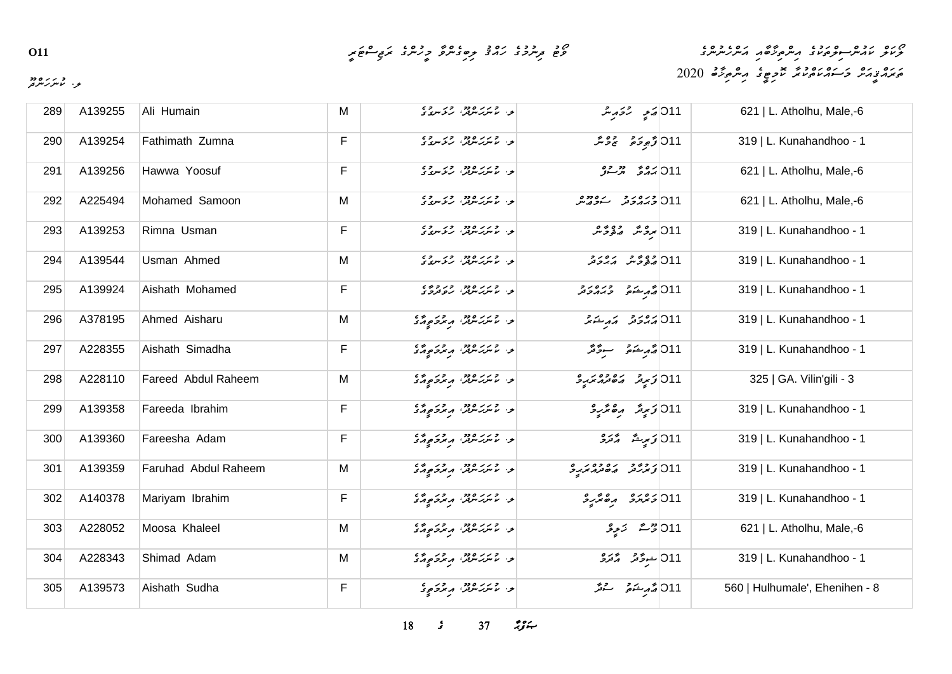*sCw7q7s5w7m< o<n9nOoAw7o< sCq;mAwBoEw7q<m; wBm;vB* م من المرة المرة المرة المرجع المرجع في المركبة 2020<br>مجم*د المريض المربوط المربع المرجع في المراجع المركبة* 

| 289 | A139255 | Ali Humain           | M | و - در ده دو - در و د                                                                                          | 011  ری ژوکویٹر                       | 621   L. Atholhu, Male,-6      |
|-----|---------|----------------------|---|----------------------------------------------------------------------------------------------------------------|---------------------------------------|--------------------------------|
| 290 | A139254 | Fathimath Zumna      | F | و. دربره دو. ورکندوه                                                                                           | 011 <i>وُّجِ دَمَعْ بِح</i> ُوْسً     | 319   L. Kunahandhoo - 1       |
| 291 | A139256 | Hawwa Yoosuf         | F | و . اور ووو . وی . و ه                                                                                         | 011 كەبۇر بۇرجۇ                       | 621   L. Atholhu, Male,-6      |
| 292 | A225494 | Mohamed Samoon       | M | والمتهر ودوالمحتمدة والمحارث                                                                                   | 011 دېره د ده سوه شو                  | 621   L. Atholhu, Male,-6      |
| 293 | A139253 | Rimna Usman          | F | و الممرکز وي وي دي                                                                                             | 011 ىر <sub>ۇ</sub> تر مۇ <i>ۋىر</i>  | 319   L. Kunahandhoo - 1       |
| 294 | A139544 | <b>Usman Ahmed</b>   | M | ى ئەسرىرەدە دىم دە                                                                                             | 011 <sub>م</sub> مۇرىر بەردىر         | 319   L. Kunahandhoo - 1       |
| 295 | A139924 | Aishath Mohamed      | F | و . در ده دو . در ده د<br>و . ما سربر سرفر . مرو ترو ی                                                         | 011 مُصِينَة وَبَرْدُونَر             | 319   L. Kunahandhoo - 1       |
| 296 | A378195 | Ahmed Aisharu        | M | و گرمزمون متروکومی                                                                                             | 011 كەبرى كەرىشكى                     | 319   L. Kunahandhoo - 1       |
| 297 | A228355 | Aishath Simadha      | F | د ، تأمر شهر الله بروه و الله د ،                                                                              | 011 مَّ مِشَعْرِ سِوَّتَر             | 319   L. Kunahandhoo - 1       |
| 298 | A228110 | Fareed Abdul Raheem  | M | و مسر معروف المتحدة و المحمدية                                                                                 | 011 ك <sub>ۇ موق</sub> ر مەھەر مەردىج | 325   GA. Vilin'gili - 3       |
| 299 | A139358 | Fareeda Ibrahim      | F | و ، را مرکز مرکز و در در در در این در این در این در این در این در این در این در این در این در این در این در ای | 011 تۇمپىتى بەھ ئىرىد                 | 319   L. Kunahandhoo - 1       |
| 300 | A139360 | Fareesha Adam        | F | و عشر رود.<br>و عشر سرفر المتروج أر                                                                            | 011 كۇمپىش گەترى                      | 319   L. Kunahandhoo - 1       |
| 301 | A139359 | Faruhad Abdul Raheem | M | و مسر ده دو ده و د                                                                                             | 011 كومريرو مقدم مديرة                | 319   L. Kunahandhoo - 1       |
| 302 | A140378 | Mariyam Ibrahim      | F | و الاسر شهر المرد و المحمد و المحمد و المحمد المحمد المحمد المحمد المحمد المحمد المحمد المحمد المحمد المحمد ال | 011 كەبرىزى بەھترىپۇ                  | 319   L. Kunahandhoo - 1       |
| 303 | A228052 | Moosa Khaleel        | M | و الاسر شهر المرد و دارد و با                                                                                  | 011  جُرْءُ - رَمِوءُ -               | 621   L. Atholhu, Male,-6      |
| 304 | A228343 | Shimad Adam          | M |                                                                                                                | 011 حودً <i>م</i> م <i>دّند</i> و     | 319   L. Kunahandhoo - 1       |
| 305 | A139573 | Aishath Sudha        | F | و . روز دود.<br>و . روز سربل . بر بروم و                                                                       | 011 مەم ئىقما سىقر                    | 560   Hulhumale', Ehenihen - 8 |

**18** *s* **37** *n***<sub>s</sub>**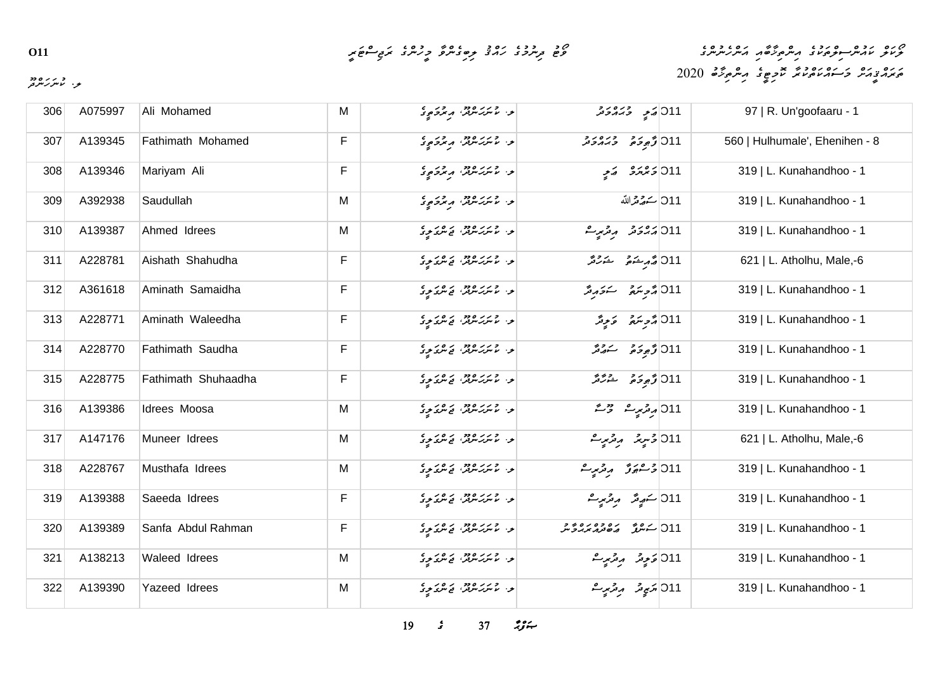*sCw7q7s5w7m< o<n9nOoAw7o< sCq;mAwBoEw7q<m; wBm;vB* م من المرة المرة المرة المرجع المرجع في المركبة 2020<br>مجم*د المريض المربوط المربع المرجع في المراجع المركبة* 

| 306 | A075997 | Ali Mohamed         | M |                                                                                                                                                                | 011  <i>ړې د جن</i> مر <i>ونز</i>  | 97   R. Un'goofaaru - 1        |
|-----|---------|---------------------|---|----------------------------------------------------------------------------------------------------------------------------------------------------------------|------------------------------------|--------------------------------|
| 307 | A139345 | Fathimath Mohamed   | F | و. مشرك مدارج در در اي                                                                                                                                         | 011 گەچەقەر ئەتەر ئەر              | 560   Hulhumale', Ehenihen - 8 |
| 308 | A139346 | Mariyam Ali         | F | و . رودو . در                                                                                                                                                  | 011 52برى كەم                      | 319   L. Kunahandhoo - 1       |
| 309 | A392938 | Saudullah           | M | و الاسر مرور المروج و                                                                                                                                          | 011 كەرگەگراللە                    | 319   L. Kunahandhoo - 1       |
| 310 | A139387 | Ahmed Idrees        | M | و المسرد ه دوار المسر المسر المسر المسر المسرد و المسر المسر المسر المسر المسر المسر المسر المسر الم                                                           | 011  كەبۇبىقى بەرتمەيدىشى          | 319   L. Kunahandhoo - 1       |
| 311 | A228781 | Aishath Shahudha    | F | والمتمركر وودا والأراء                                                                                                                                         | 011 مَگْرِسْتَمْ شَرْتَمَّ         | 621   L. Atholhu, Male,-6      |
| 312 | A361618 | Aminath Samaidha    | F | ا دار مشرکتری سر در محمد با این کاربردی استفاده برای                                                                                                           | 011 مَّ <i>جِينَهُ جَوَدِينَ</i> ّ | 319   L. Kunahandhoo - 1       |
| 313 | A228771 | Aminath Waleedha    | F | و المسرد ه دوار المسر المسر المسر المسر المسرد و المسر المسر المسر المسر المسر المسر المسر المسر الم                                                           | 011 مَّ حِ مَعَ مَعْ حَمَّدٍ مَّ   | 319   L. Kunahandhoo - 1       |
| 314 | A228770 | Fathimath Saudha    | F | و. على على المحامل المحمد                                                                                                                                      | 011 ۇ <sub>جو</sub> رَى ئەرتۇ      | 319   L. Kunahandhoo - 1       |
| 315 | A228775 | Fathimath Shuhaadha | F | و المسرد ه دوار المسر المسر المسر المسر المسرد و المسر المسر المسر المسر المسر المسر المسر المسر الم                                                           | 011 <i>ؤُجِوَةُ</i> شَمَّتَةُ      | 319   L. Kunahandhoo - 1       |
| 316 | A139386 | Idrees Moosa        | M | ن المسركر وجود المراكب ولاد المحدود المسركب.<br>المحود المسركب مسركب المحدود المحدود المحدود المحدود المحدود المحدود المحدود المحدود المحدود المحدود المحدود ا | 011 مرمزمرے متحت                   | 319   L. Kunahandhoo - 1       |
| 317 | A147176 | Muneer Idrees       | M | و المسرد ه دوار المسر المسر المسر المسر المسرد و المسر المسر المسر المسر المسر المسر المسر المسر الم                                                           | 011 ۇسپىر پەشپېت                   | 621   L. Atholhu, Male,-6      |
| 318 | A228767 | Musthafa Idrees     | M | و . او در ۱۵ د و د .<br>او . اما مارکز مرکز . او مارکز محرکز                                                                                                   | 011 ۇشۇق مەرتىرىشە                 | 319   L. Kunahandhoo - 1       |
| 319 | A139388 | Saeeda Idrees       | F | والممتر بالملج والمحافزة والمحافر                                                                                                                              | 011 سَمِيعًر پرمِرْمِرِ شَ         | 319   L. Kunahandhoo - 1       |
| 320 | A139389 | Sanfa Abdul Rahman  | F |                                                                                                                                                                | 011 كەش ئەھەر <i>مەدە تەرە</i>     | 319   L. Kunahandhoo - 1       |
| 321 | A138213 | Waleed Idrees       | M | ا دار ام سربر مردم در این مردم کرده که در این مردم کرد که در این مردم کرد که این کار در این که در این که در ای                                                 | 011  5 مِرْتَمْ _ بِرْمِرِتْ _     | 319   L. Kunahandhoo - 1       |
| 322 | A139390 | Yazeed Idrees       | M | و اوربره دو اراه دارای<br>او اما مرکز مرکز او کامری نوی                                                                                                        | 011 مَرىپوتْر پرتزىيەتْ            | 319   L. Kunahandhoo - 1       |

*r@w7m5m7q; .B*

*19 s* 37 *i*<sub>s</sub>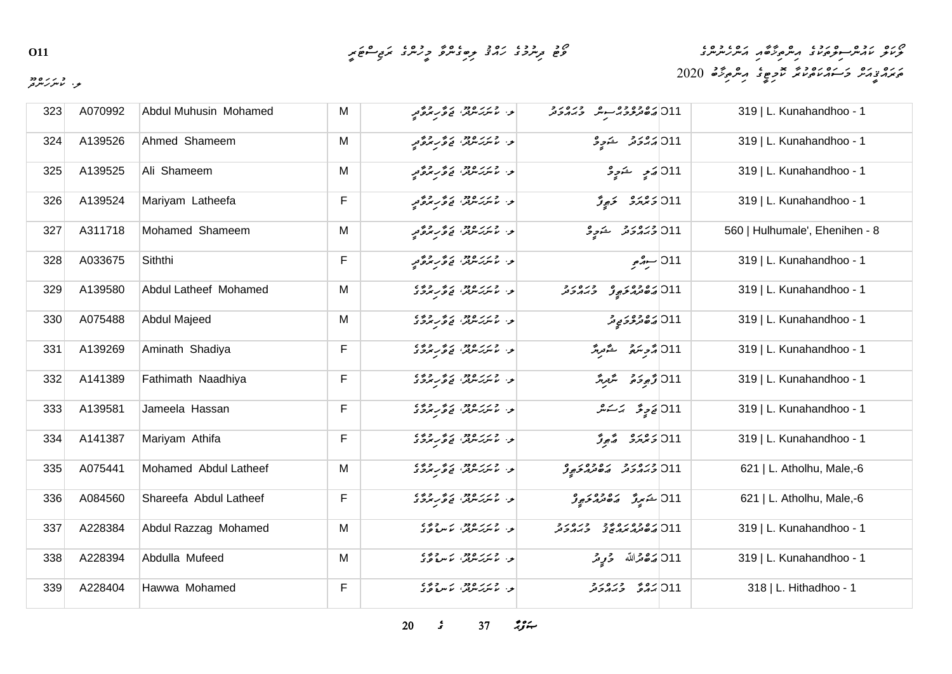*sCw7q7s5w7m< o<n9nOoAw7o< sCq;mAwBoEw7q<m; wBm;vB* م من المرة المرة المرة المرجع المرجع في المركبة 2020<br>مجم*د المريض المربوط المربع المرجع في المراجع المركبة* 

| 323 | A070992 | Abdul Muhusin Mohamed  | M            | و ، متر کردو ، د کار برگامی          | 011 كەھەر يۇر بەيدا ئەزەر ئەرەپ              | 319   L. Kunahandhoo - 1       |
|-----|---------|------------------------|--------------|--------------------------------------|----------------------------------------------|--------------------------------|
| 324 | A139526 | Ahmed Shameem          | M            | و تمریر وجود دیگر دیگر               | 011 <i>222 مىنو</i> ۋ                        | 319   L. Kunahandhoo - 1       |
| 325 | A139525 | Ali Shameem            | M            | و تمریر وجود در دور                  | 011  رَمٍ شَرِوْ                             | 319   L. Kunahandhoo - 1       |
| 326 | A139524 | Mariyam Latheefa       | $\mathsf F$  | و مسركر ودو كر و د و و بر            | 011 كەندىرى كەبوگ                            | 319   L. Kunahandhoo - 1       |
| 327 | A311718 | Mohamed Shameem        | M            | و تمریر و دو تمرگ در دیگر            | 011 وُرَدُونَرْ ۖ حَدَوِدْ                   | 560   Hulhumale', Ehenihen - 8 |
| 328 | A033675 | Siththi                | $\mathsf F$  | و تأسر بر دود در در دور              | 011 سبرقمو                                   | 319   L. Kunahandhoo - 1       |
| 329 | A139580 | Abdul Latheef Mohamed  | M            | والمتمرك ووالمرواني                  | 011 كەھەر كەبەر بەردىر<br>011 كەھەر كەنبەر ئ | 319   L. Kunahandhoo - 1       |
| 330 | A075488 | Abdul Majeed           | M            | و الممرکز دو د کار وی د              | 011 كەھ ت <i>ۈتى</i> تو تر                   | 319   L. Kunahandhoo - 1       |
| 331 | A139269 | Aminath Shadiya        | F            | و اور دود ده دوه                     | 011 مُرْحِ سَمَّ مُسْتَمَّرِ مُرَّ مِ        | 319   L. Kunahandhoo - 1       |
| 332 | A141389 | Fathimath Naadhiya     | $\mathsf F$  | و الممرکز دو د کار وی د              | 011 <i>وُّجِ دَمْ سُ</i> ّتِرِيْرَ           | 319   L. Kunahandhoo - 1       |
| 333 | A139581 | Jameela Hassan         | $\mathsf{F}$ | و الممرکز دو د کار وی د              | 011] تے یہ تخ پر سکر ش                       | 319   L. Kunahandhoo - 1       |
| 334 | A141387 | Mariyam Athifa         | F            | و الانترن وو الانجام والان           | 011 كەبھەر ئەھمەتى                           | 319   L. Kunahandhoo - 1       |
| 335 | A075441 | Mohamed Abdul Latheef  | M            | و اور دود ده دوه                     | 011 ديرە دە دەردە دەرد                       | 621   L. Atholhu, Male,-6      |
| 336 | A084560 | Shareefa Abdul Latheef | $\mathsf F$  | و الممرکز دو د کار وی د              | 011 خىمرتى مەھەرم <i>كو</i> رۇ               | 621   L. Atholhu, Male,-6      |
| 337 | A228384 | Abdul Razzag Mohamed   | M            | ب - حدر ودو. الماس و و الما          | 011 كەھەممەر ئۇ ئەسىر ئەرگىرى ئىس            | 319   L. Kunahandhoo - 1       |
| 338 | A228394 | Abdulla Mufeed         | M            | بودا الاستربر وودا المستحدي المستطري |                                              | 319   L. Kunahandhoo - 1       |
| 339 | A228404 | Hawwa Mohamed          | F            | ور اورده دوره که بروی                | 011 كەمۇر بەربەر بور                         | 318   L. Hithadhoo - 1         |

 $20$  *s* 37 *n***<sub>s</sub>** $\frac{2}{3}$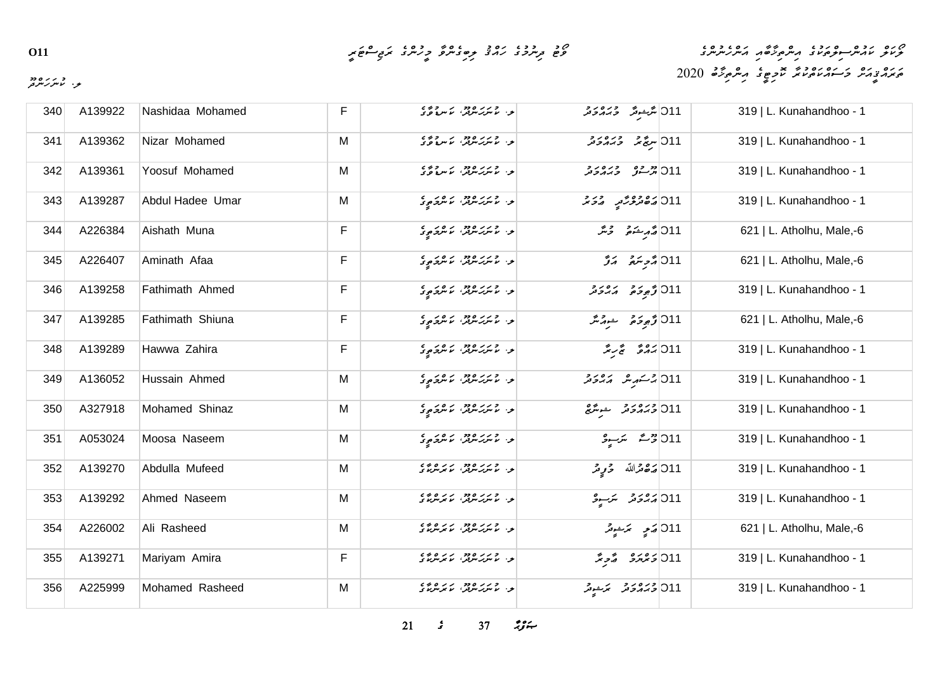*sCw7q7s5w7m< o<n9nOoAw7o< sCq;mAwBoEw7q<m; wBm;vB* م من المرة المرة المرة المرجع المرجع في المركبة 2020<br>مجم*د المريض المربوط المربع المرجع في المراجع المركبة* 

| 340 | A139922 | Nashidaa Mohamed | F | و- روز دود.<br>و- رس سربر سرقر، امکانس وی                         | 011  مُرْجِعةً وَكَرْدُوَدْ            | 319   L. Kunahandhoo - 1  |
|-----|---------|------------------|---|-------------------------------------------------------------------|----------------------------------------|---------------------------|
| 341 | A139362 | Nizar Mohamed    | M | والمتمار وود المساوه والمحالي                                     | 011 سرچ پر دېمبر د تر                  | 319   L. Kunahandhoo - 1  |
| 342 | A139361 | Yoosuf Mohamed   | M | ور اور دود.<br>ورا ماس سربی است که برای                           | 011 تر - د - د - د - د - د             | 319   L. Kunahandhoo - 1  |
| 343 | A139287 | Abdul Hadee Umar | M | و. گەنزىرە دەرەر ئ                                                | 011  مَەھْتَرْتَرْتَتْمِرِ   مَادَىمْر | 319   L. Kunahandhoo - 1  |
| 344 | A226384 | Aishath Muna     | F | و. گەنزىرە «كەنزى»                                                | 011 <i>۾ مرڪنو ڏنگ</i> ر               | 621   L. Atholhu, Male,-6 |
| 345 | A226407 | Aminath Afaa     | F | و. رومار ودو. کامرونوی                                            | 011 مَّ جِسَعَۃ مَوَّز                 | 621   L. Atholhu, Male,-6 |
| 346 | A139258 | Fathimath Ahmed  | F | و . رو در ۶۵ م مرد . و .                                          | 011 ۇ <sub>ج</sub> وڭر مەددىر          | 319   L. Kunahandhoo - 1  |
| 347 | A139285 | Fathimath Shiuna | F | و. گەنزىرە دەرەر ئ                                                | 011 رَّجِوحَةُ ۖ سِبِرْسَّر            | 621   L. Atholhu, Male,-6 |
| 348 | A139289 | Hawwa Zahira     | F | و. گەس سەن ئەسرى ئ                                                | 011 كەندۇ تج بەتتە                     | 319   L. Kunahandhoo - 1  |
| 349 | A136052 | Hussain Ahmed    | M |                                                                   | 011 برسىمبە ئەبرىمىز                   | 319   L. Kunahandhoo - 1  |
| 350 | A327918 | Mohamed Shinaz   | M | و. رورودود. رور د                                                 | 011 <i>أۇتەۋەتى</i> ھېن <i>دى</i> گا   | 319   L. Kunahandhoo - 1  |
| 351 | A053024 | Moosa Naseem     | M | و المترکز میں اللہ ہے۔<br>او المترکز میں اللہ کا میں اللہ کا می   | 011 جي مگرسونو                         | 319   L. Kunahandhoo - 1  |
| 352 | A139270 | Abdulla Mufeed   | M | ن اور بر ۱۶۵ در ۱۵۵۵<br>نور اما مورکسوفری اما موسومای             | 011 كەھىراللە   ق. يەر                 | 319   L. Kunahandhoo - 1  |
| 353 | A139292 | Ahmed Naseem     | M | و المرکز وجود المرکز و داده<br>المرکز المرکز المرکز مرکز و داده   | 011   پرژی تھریبوی                     | 319   L. Kunahandhoo - 1  |
| 354 | A226002 | Ali Rasheed      | M | و الانترنسيين الإيران و داد.<br>المراس المراس المراس و داد.       | 011 کی پر موٹر                         | 621   L. Atholhu, Male,-6 |
| 355 | A139271 | Mariyam Amira    | F | و . د در ودو . د ر و ه د .<br>و . د سرز سربر . د بر سرد د         | 011 <i>5 پروژ گ</i> ې تر               | 319   L. Kunahandhoo - 1  |
| 356 | A225999 | Mohamed Rasheed  | M | و المرکز وجود المرکز و داده<br>المرکز المرکز المرکز المرکز و داده | 011  25،25 كارىسونىر                   | 319   L. Kunahandhoo - 1  |

 $21$  *s* 37  $29$   $\leftarrow$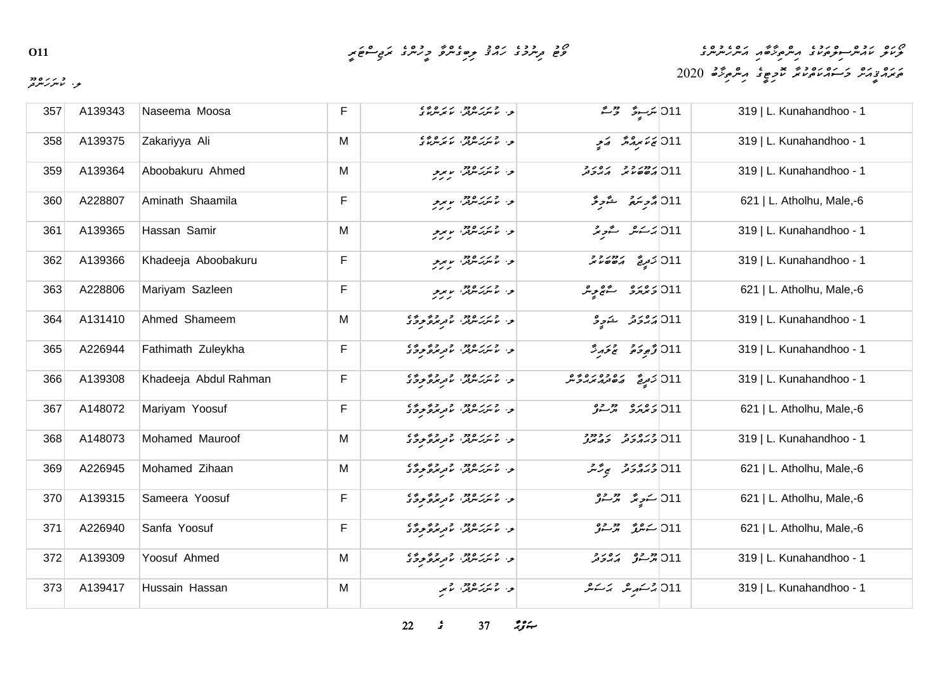*sCw7q7s5w7m< o<n9nOoAw7o< sCq;mAwBoEw7q<m; wBm;vB* م من المرة المرة المرة المرجع المرجع في المركبة 2020<br>مجم*د المريض المربوط المربع المرجع في المراجع المركبة* 

| 357 | A139343 | Naseema Moosa         | F           | ن - در را دود - در را د د د                              | 011  شریبوڈ تی شہ                    | 319   L. Kunahandhoo - 1  |
|-----|---------|-----------------------|-------------|----------------------------------------------------------|--------------------------------------|---------------------------|
| 358 | A139375 | Zakariyya Ali         | M           | ى ئەسرىرەدە ئەيرەپ                                       | 011 <i>تأمّ تبرقر مَّتْرٍ</i> مَ     | 319   L. Kunahandhoo - 1  |
| 359 | A139364 | Aboobakuru Ahmed      | M           | لو. ئائىر ئەرەردە ئەيدى                                  | $7701$ $77001$                       | 319   L. Kunahandhoo - 1  |
| 360 | A228807 | Aminath Shaamila      | $\mathsf F$ | ى ئەسىر ئەدەبەر<br>ئەس ئەسىر ئىسىر                       | 011 مَّ حِسَمَۃٌ شَّہِ مََّ          | 621   L. Atholhu, Male,-6 |
| 361 | A139365 | Hassan Samir          | M           |                                                          | 011 پرسٹر گے۔                        | 319   L. Kunahandhoo - 1  |
| 362 | A139366 | Khadeeja Aboobakuru   | $\mathsf F$ | ى ئەشرىكەن.<br>ئەر ئەشرىكىنىڭ ئەرىر                      | 011 كرىرى <i>ق مەھەبى</i> ر          | 319   L. Kunahandhoo - 1  |
| 363 | A228806 | Mariyam Sazleen       | $\mathsf F$ | در از ممکن میکرد به مورد ا<br>  در از ممکن میکرد به مرکز | 011 كەبۇرگە كەمچە بۇر                | 621   L. Atholhu, Male,-6 |
| 364 | A131410 | Ahmed Shameem         | M           | و الانترنسوتي الإيرونونون                                | 011 <i>222 مىنج</i> ۇ                | 319   L. Kunahandhoo - 1  |
| 365 | A226944 | Fathimath Zuleykha    | F           | و الاسرپر مرد او در دارد.                                | 011 <i>وُّجِ دَمَّة تَجْمَدِ</i> دُّ | 319   L. Kunahandhoo - 1  |
| 366 | A139308 | Khadeeja Abdul Rahman | F           | و الاسر کرده و در ده و د                                 | 011 كۇيى <i>گە مەھەرمەر ۋە</i> ر     | 319   L. Kunahandhoo - 1  |
| 367 | A148072 | Mariyam Yoosuf        | $\mathsf F$ | و الانترنسوي الإبراز وي.<br>و الانترنسويل الإبراز وي     | 011 كەبۇرگە بۇرىيۇ                   | 621   L. Atholhu, Male,-6 |
| 368 | A148073 | Mohamed Mauroof       | M           | و الأمر رود و دوه و د                                    | 011 <i>ב پره دو پر دو</i> جو         | 319   L. Kunahandhoo - 1  |
| 369 | A226945 | Mohamed Zihaan        | M           | و المترز ماده و وه وه.<br>و المترز شرقر، المتر برگوری    | 011 <i>ڈیز پڑجی پی ٹر</i>            | 621   L. Atholhu, Male,-6 |
| 370 | A139315 | Sameera Yoosuf        | F           | و الاسر دارد و در در در                                  | 011 سَمِيعٌ مَرْسُوْرٌ               | 621   L. Atholhu, Male,-6 |
| 371 | A226940 | Sanfa Yoosuf          | $\mathsf F$ | و الانترنسوفر الموبرة وي                                 | 011 سەندۇ تۈر-يۈ                     | 621   L. Atholhu, Male,-6 |
| 372 | A139309 | Yoosuf Ahmed          | M           | و ، ما مرکز مرکز اور در در در در این ا                   | 011 پر <i>-وه پرون</i> و             | 319   L. Kunahandhoo - 1  |
| 373 | A139417 | Hussain Hassan        | M           | ا د از ما مرکز مرکز از مانعها                            | 011  پرستہریش کے سکائیں              | 319   L. Kunahandhoo - 1  |

 $22$  *s* 37  $23$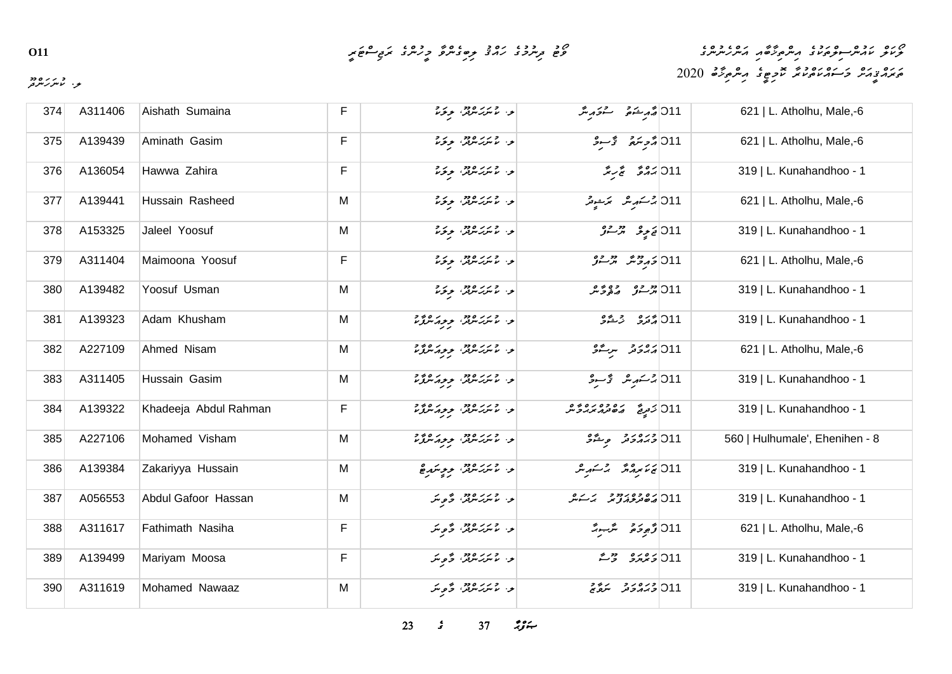*sCw7q7s5w7m< o<n9nOoAw7o< sCq;mAwBoEw7q<m; wBm;vB* م من المرة المرة المرة المرجع المرجع في المركبة 2020<br>مجم*د المريض المربوط المربع المرجع في المراجع المركبة* 

| 374 | A311406 | Aishath Sumaina       | F            | و ، ئامىركىلاتى بولۇم                | 011 مۇم شۇمۇ سىنجام بىر                  | 621   L. Atholhu, Male,-6      |
|-----|---------|-----------------------|--------------|--------------------------------------|------------------------------------------|--------------------------------|
| 375 | A139439 | Aminath Gasim         | F            | و الانترنسوري ولاد                   | 011 مَّ مِسَمَّى تَخْسِرْ                | 621   L. Atholhu, Male,-6      |
| 376 | A136054 | Hawwa Zahira          | F            | و الانزیزیون وی                      | 011 كەشرىق تج ب                          | 319   L. Kunahandhoo - 1       |
| 377 | A139441 | Hussain Rasheed       | M            | و الانترنسوري ولاد                   | 011 پرکسر مر مرحومر                      | 621   L. Atholhu, Male,-6      |
| 378 | A153325 | Jaleel Yoosuf         | M            | أورا لانترىك تلوقرا وتركم            | 011 کے موثر میں موجود                    | 319   L. Kunahandhoo - 1       |
| 379 | A311404 | Maimoona Yoosuf       | $\mathsf{F}$ | و الانترنسوري ولاد                   | 011 كَەرِنْتْكْرْ كَرْسْنْرْ             | 621   L. Atholhu, Male,-6      |
| 380 | A139482 | Yoosuf Usman          | M            | و. مشرکتری و در                      | 011 تر - بو مۇرىگە                       | 319   L. Kunahandhoo - 1       |
| 381 | A139323 | Adam Khusham          | M            | و خشر میں وجہ شروع                   | 011 كەترى - زىنىگى                       | 319   L. Kunahandhoo - 1       |
| 382 | A227109 | Ahmed Nisam           | M            | و گرمان ده ده مورد و د               | 011  رَرُدَى تَرْ سِرْ سَرْ حَرْ 2       | 621   L. Atholhu, Male,-6      |
| 383 | A311405 | Hussain Gasim         | M            | د. را بارگروه در در در د             | 011   جُسَم مِيمْ - تَحْسِرْ حْ          | 319   L. Kunahandhoo - 1       |
| 384 | A139322 | Khadeeja Abdul Rahman | $\mathsf F$  | و المترکز عرف وجد المعرف             | 011 كرمرق مەھىرمەمدە بىر                 | 319   L. Kunahandhoo - 1       |
| 385 | A227106 | Mohamed Visham        | M            | و خشر معده وورس                      | 011 <i>وبزودو وحدَّو</i>                 | 560   Hulhumale', Ehenihen - 8 |
| 386 | A139384 | Zakariyya Hussain     | M            | و ، متر شهر و و شهر ه                | 011 <i>ئے ئامبرہ بڑ شکہ بٹر</i>          | 319   L. Kunahandhoo - 1       |
| 387 | A056553 | Abdul Gafoor Hassan   | M            | أور الأنترن مرده وهم والمحافية المنا | 011 كەھىر <i>ون دەچ بىرىدى</i> گە        | 319   L. Kunahandhoo - 1       |
| 388 | A311617 | Fathimath Nasiha      | F            | أور الأنترندلين الحاويتر             | 011 <i>وُّجِوَدَة</i> مُ <i>رْسِدة</i> ُ | 621   L. Atholhu, Male,-6      |
| 389 | A139499 | Mariyam Moosa         | F            | و ، ئائىرىكىنىڭ كەھ ئىر              | 011 كەبەر بۇرىم                          | 319   L. Kunahandhoo - 1       |
| 390 | A311619 | Mohamed Nawaaz        | M            | أوالممتركة للرهاج وأقربتك            | 011 <i>ۋېزو دې</i> مر <i>وي</i>          | 319   L. Kunahandhoo - 1       |

**23** *s* **37** *n***<sub>s</sub>**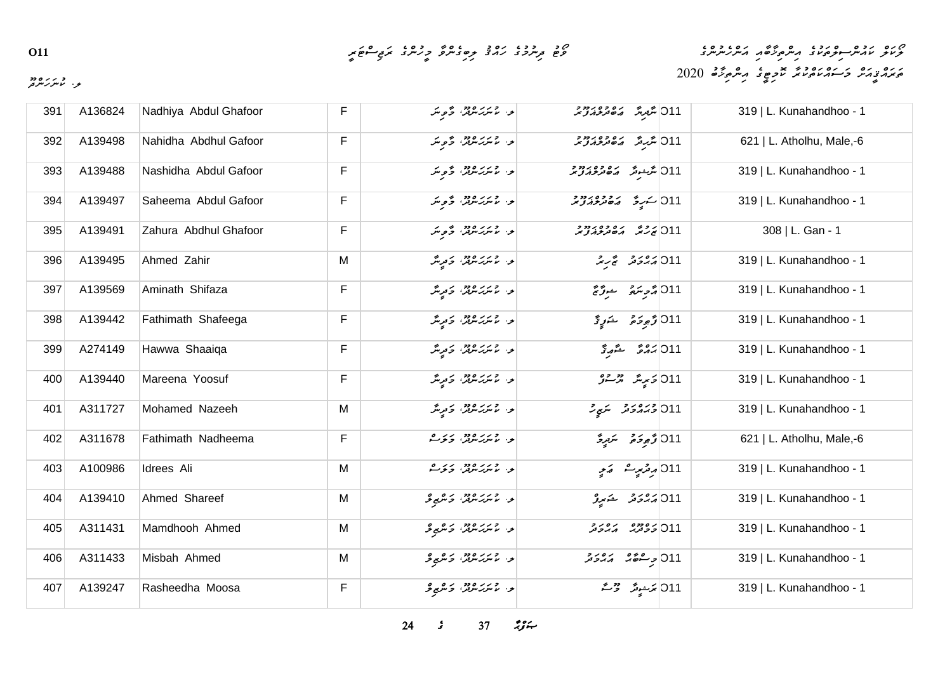*sCw7q7s5w7m< o<n9nOoAw7o< sCq;mAwBoEw7q<m; wBm;vB* م من المرة المرة المرة المرجع المرجع في المركبة 2020<br>مجم*د المريض المربوط المربع المرجع في المراجع المركبة* 

| 391 | A136824 | Nadhiya Abdul Ghafoor | F           | و الانترنز عليه والحارية        | 011 ټرمېر گەھەر <i>دە دە</i>                     | 319   L. Kunahandhoo - 1  |
|-----|---------|-----------------------|-------------|---------------------------------|--------------------------------------------------|---------------------------|
| 392 | A139498 | Nahidha Abdhul Gafoor | F           | والممتركة مرادوق ومحافيتكم      | 011 مېرى <i>تەھەر ھەردە د</i>                    | 621   L. Atholhu, Male,-6 |
| 393 | A139488 | Nashidha Abdul Gafoor | F           | و ، ئائىرىكىنىڭ كەھ ئىر         | 011 مگرجونگر بره <i>دود و دو</i>                 | 319   L. Kunahandhoo - 1  |
| 394 | A139497 | Saheema Abdul Gafoor  | $\mathsf F$ | أورا المتركز للرقوق المحافياتكم | 011 سىرى ھەمبردىن ج                              | 319   L. Kunahandhoo - 1  |
| 395 | A139491 | Zahura Abdhul Ghafoor | F           | و ، ئائىرىكىنىڭ گەھ ئىر         | 011 ئ <sub>ى</sub> رتىر مەھىر <i>دە دى</i> ر     | 308   L. Gan - 1          |
| 396 | A139495 | Ahmed Zahir           | M           | أوالمم يتركر هوج والمحافرينكر   | 011 كەندى قىلى تىلى بىر                          | 319   L. Kunahandhoo - 1  |
| 397 | A139569 | Aminath Shifaza       | F           | و. ئەنگەنگەنى كەرىگە            | 011 مَرْحِسَمَ حَوَزَجَ                          | 319   L. Kunahandhoo - 1  |
| 398 | A139442 | Fathimath Shafeega    | F           | ى ئائىرىكى كەيدىگە              | 011 گۇج <sup>ى</sup> قىم قىلىمىتىدۇ ئى           | 319   L. Kunahandhoo - 1  |
| 399 | A274149 | Hawwa Shaaiqa         | F           | ے کا سربر عاوض کے تعریش         | 011 <i>بَدْهُمَّ</i> گُم <i>ُّهِ تَ</i>          | 319   L. Kunahandhoo - 1  |
| 400 | A139440 | Mareena Yoosuf        | F           | و. ئاس شرقان كەلگەنگە           | 011 كەمپەئر بۇ شۇ                                | 319   L. Kunahandhoo - 1  |
| 401 | A311727 | Mohamed Nazeeh        | M           | و ، ناسرپرسور، ناویدش           | 011  <i>وْبَہْدُوَنْھِ</i> سَمِي <sup>ْر</sup> َ | 319   L. Kunahandhoo - 1  |
| 402 | A311678 | Fathimath Nadheema    | F           | و. ئەسكەش كەكەپ                 | 011 <i>ؤُجِ دَمُ</i> سَمَبِر <i>دُ</i>           | 621   L. Atholhu, Male,-6 |
| 403 | A100986 | Idrees Ali            | M           | ى ئاس ئارىق كۆك                 | 011 <sub>م</sub> وتر پر شہر تھے جات              | 319   L. Kunahandhoo - 1  |
| 404 | A139410 | Ahmed Shareef         | м           | أوالممتر للرود والمراج فلأنباط  | 011 <i>ړېرى ئىتى يىلى</i>                        | 319   L. Kunahandhoo - 1  |
| 405 | A311431 | Mamdhooh Ahmed        | M           | والممترك من والمهو              | 011 كەن ئەرەپىرى يېزىدىن                         | 319   L. Kunahandhoo - 1  |
| 406 | A311433 | Misbah Ahmed          | M           | أوالممتر للمردوثة الأكليلي      | 011 <sub>م</sub> وسق <i>ة بدوند</i>              | 319   L. Kunahandhoo - 1  |
| 407 | A139247 | Rasheedha Moosa       | F           | والممترك بقراء والمهوفى         | 011 مَرْجِعَ رَحْمَتْ وَمُسَمَّ                  | 319   L. Kunahandhoo - 1  |

*24 sC 37 nNw?mS*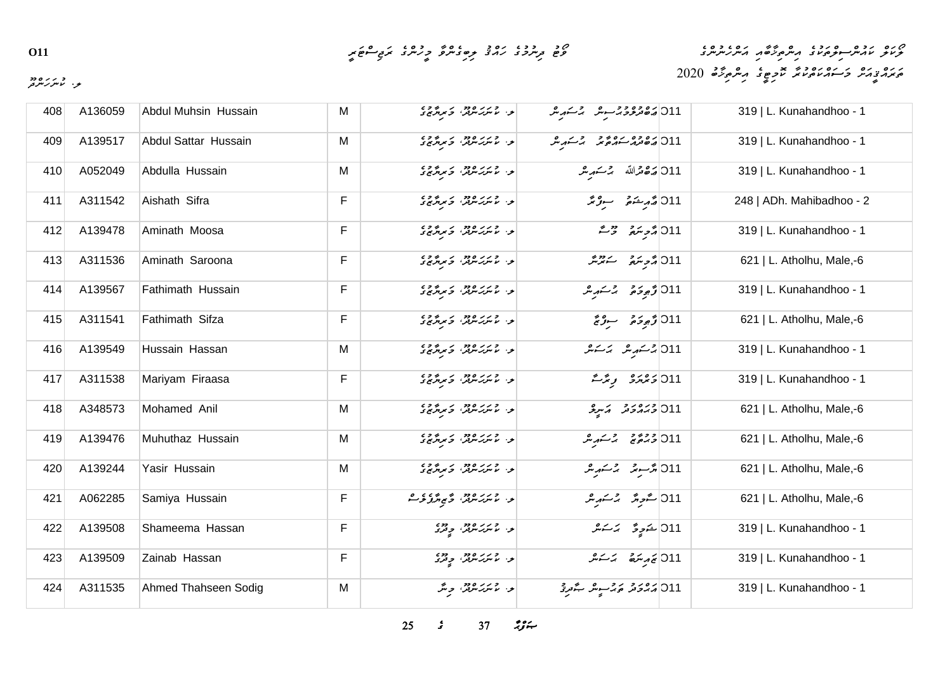*sCw7q7s5w7m< o<n9nOoAw7o< sCq;mAwBoEw7q<m; wBm;vB* م من المرة المرة المرة المرجع المرجع في المركبة 2020<br>مجم*د المريض المربوط المربع المرجع في المراجع المركبة* 

| 408 | A136059 | Abdul Muhsin Hussain | M           | و. תאונטית במחזב                           | 011 كەھەر <i>33 كەسەسى بىر كەر</i> بىر  | 319   L. Kunahandhoo - 1  |
|-----|---------|----------------------|-------------|--------------------------------------------|-----------------------------------------|---------------------------|
| 409 | A139517 | Abdul Sattar Hussain | M           | و. تأسر را ود و د و و د                    | 011 <i>مەھەرم شەھ ئەرگە بار شەر بىر</i> | 319   L. Kunahandhoo - 1  |
| 410 | A052049 | Abdulla Hussain      | M           | و گرگر وود کرده و د                        | 011 كەھەراللە ب <sub>ە</sub> شىرىش      | 319   L. Kunahandhoo - 1  |
| 411 | A311542 | Aishath Sifra        | F           | و اورار ودو د به وده                       | 011 مۇم ش <del>ە</del> رقە سىزىتىر      | 248   ADh. Mahibadhoo - 2 |
| 412 | A139478 | Aminath Moosa        | F           | و الانترنسوي كالمرادان                     | 011 مَّ مِسَمَّد حَمَّدَ                | 319   L. Kunahandhoo - 1  |
| 413 | A311536 | Aminath Saroona      | $\mathsf F$ | و الانترنسيين كالإرادة                     | 011 مَّ مِيرَة مِسْتَمَتَّبَتَر         | 621   L. Atholhu, Male,-6 |
| 414 | A139567 | Fathimath Hussain    | F           | و کمیرکرده در ۱۶۶۶                         | 011 ۇ <sub>ج</sub> ورۇ جىسىرى <i>گ</i>  | 319   L. Kunahandhoo - 1  |
| 415 | A311541 | Fathimath Sifza      | F           | و الاس مور و د د ده.                       | 011 زَّەپرىز ئەسىردىنى                  | 621   L. Atholhu, Male,-6 |
| 416 | A139549 | Hussain Hassan       | M           | و. روروده و در دو                          | 011 پرسکر پر پرسکر پر                   | 319   L. Kunahandhoo - 1  |
| 417 | A311538 | Mariyam Firaasa      | $\mathsf F$ | و المسرك ودو كالمسرور و و د                | 011 ئ <i>ىرتىرى ب</i> ېرىشە             | 319   L. Kunahandhoo - 1  |
| 418 | A348573 | Mohamed Anil         | M           | و المسرر ودوا كالمرجوع                     | 011  <i>3223 \$ سرپ</i> و               | 621   L. Atholhu, Male,-6 |
| 419 | A139476 | Muhuthaz Hussain     | M           | والمحمد ودوالمحمد والمحمد                  | 011 ۇرۇپچ بۇ سەر ش                      | 621   L. Atholhu, Male,-6 |
| 420 | A139244 | Yasir Hussain        | M           | و اورار ودو د به وده                       | 011 اگر ہے۔ پر شہر مگر                  | 621   L. Atholhu, Male,-6 |
| 421 | A062285 | Samiya Hussain       | F           | و. مسرر معد محيور و ده                     | 011 گجویز پرکسریٹر                      | 621   L. Atholhu, Male,-6 |
| 422 | A139508 | Shameema Hassan      | F           | و . د بر وود.<br>و . با بنزیر بنزل . و تری | 011  ڪوچ - پرڪنگر-                      | 319   L. Kunahandhoo - 1  |
| 423 | A139509 | Zainab Hassan        | F           | و. عندر ودو.<br>د الاندر ندن و فرد         | 011 <sub>تح</sub> مریتھ کے سکھر         | 319   L. Kunahandhoo - 1  |
| 424 | A311535 | Ahmed Thahseen Sodig | M           | و الانترنز عليه و مگر                      | 011   ئەشكەقرا ئەرىجىسىدىكى سەھرىتى     | 319   L. Kunahandhoo - 1  |

*r@w7m5m7q; .B*

 $25$  *s* 37  $25$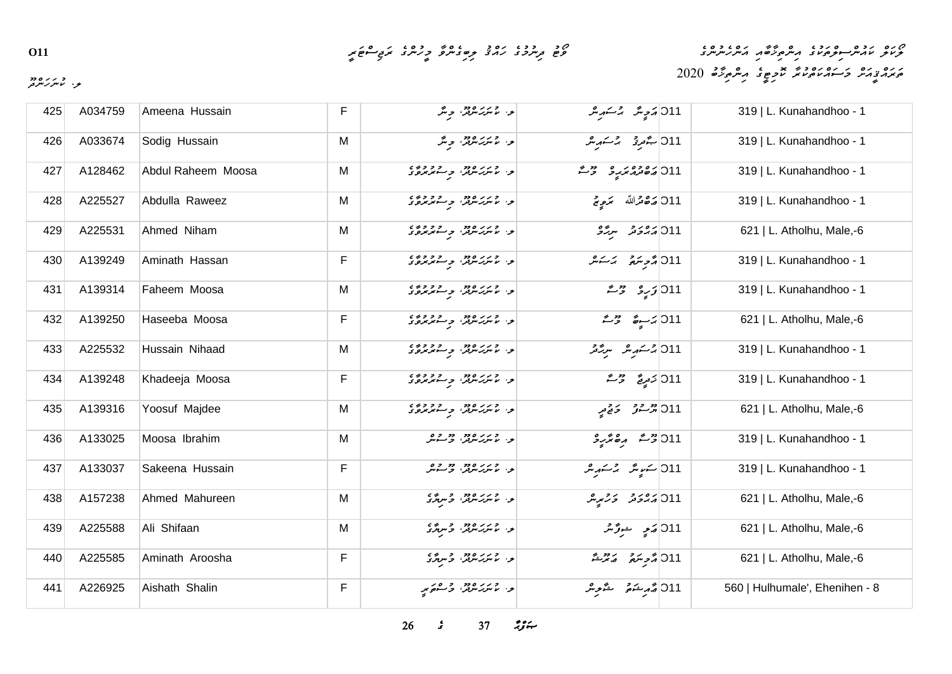*sCw7q7s5w7m< o<n9nOoAw7o< sCq;mAwBoEw7q<m; wBm;vB* م من المرة المرة المرة المرجع المرجع في المركبة 2020<br>مجم*د المريض المربوط المربع المرجع في المراجع المركبة* 

| 425 | A034759 | Ameena Hussain     | F           | و. ئائىرىكى بولىگە جانگ                                    | 011   تەرىتر - برخىرىتر                  | 319   L. Kunahandhoo - 1       |
|-----|---------|--------------------|-------------|------------------------------------------------------------|------------------------------------------|--------------------------------|
| 426 | A033674 | Sodig Hussain      | M           | و الانترنز عليه المحمد المحمد                              | 011 سۇمرتى – جرىئەرىش                    | 319   L. Kunahandhoo - 1       |
| 427 | A128462 | Abdul Raheem Moosa | M           | و الانگرېز ده ده د واوه ده د                               | 011 كەھىر مەردىنى قەشق                   | 319   L. Kunahandhoo - 1       |
| 428 | A225527 | Abdulla Raweez     | M           | و الاس الله و و و و و و و و و و و م                        | 011 كەھەتراللە     ئىرم <sub>و</sub> ىتى | 319   L. Kunahandhoo - 1       |
| 429 | A225531 | Ahmed Niham        | M           | و الانترنسوي و دولان                                       | 011   <i>2525 سردٌ</i> و                 | 621   L. Atholhu, Male,-6      |
| 430 | A139249 | Aminath Hassan     | $\mathsf F$ | ن المرکز میں اللہ دیا ہے<br>اس کا سرکز سرکز کو سامر مروا ک | 011 مٌ مِ سَمَعٌ مَ سَسَسٌر              | 319   L. Kunahandhoo - 1       |
| 431 | A139314 | Faheem Moosa       | M           | و الانترکسوتي و سمجمهور                                    | 011 تۇرپى تۆش                            | 319   L. Kunahandhoo - 1       |
| 432 | A139250 | Haseeba Moosa      | F           | و المترکز علی و مشتر مرد و د                               | 011 كەسىرى قۇش                           | 621   L. Atholhu, Male,-6      |
| 433 | A225532 | Hussain Nihaad     | M           | و الانگرېز ده ده د واوه ده د                               | 011 بڑے ہر شہ سربر تھ                    | 319   L. Kunahandhoo - 1       |
| 434 | A139248 | Khadeeja Moosa     | $\mathsf F$ | و الاسرپر مرد العربروی                                     | 011 رَمِيعٌ حٌ ثُمَّةٌ                   | 319   L. Kunahandhoo - 1       |
| 435 | A139316 | Yoosuf Majdee      | M           | و الاس دوره<br>و الاس سربل و سامرمروی                      | 011 پژىنز ئىق بېر                        | 621   L. Atholhu, Male,-6      |
| 436 | A133025 | Moosa Ibrahim      | M           | و. روزره دو ده و و ه                                       | 011 جيءُ په پڙپو                         | 319   L. Kunahandhoo - 1       |
| 437 | A133037 | Sakeena Hussain    | F           | و. ريز مرود وروم                                           | 011  سَرِیٹر کرسکریٹر                    | 319   L. Kunahandhoo - 1       |
| 438 | A157238 | Ahmed Mahureen     | M           | و ، ئامرىكى ئۇ ئامبرى                                      | 011   كەندى كەرىپ ئىر                    | 621   L. Atholhu, Male,-6      |
| 439 | A225588 | Ali Shifaan        | M           | و آمریکروژه و سرگری                                        | 011  رَمِ حوَّثَر                        | 621   L. Atholhu, Male,-6      |
| 440 | A225585 | Aminath Aroosha    | F           | و آمریکروژه و سرگری                                        | 011 مَّ <i>جِسَمَۃُ مَیْنُ</i> ٹُہُ      | 621   L. Atholhu, Male,-6      |
| 441 | A226925 | Aishath Shalin     | F           | و. المس رود و دار و در                                     | 011 ۾ پرڪو شگويئر                        | 560   Hulhumale', Ehenihen - 8 |

 $26$  *s* 37 *n***<sub>3</sub> <b>***n*<sub>3</sub> *n*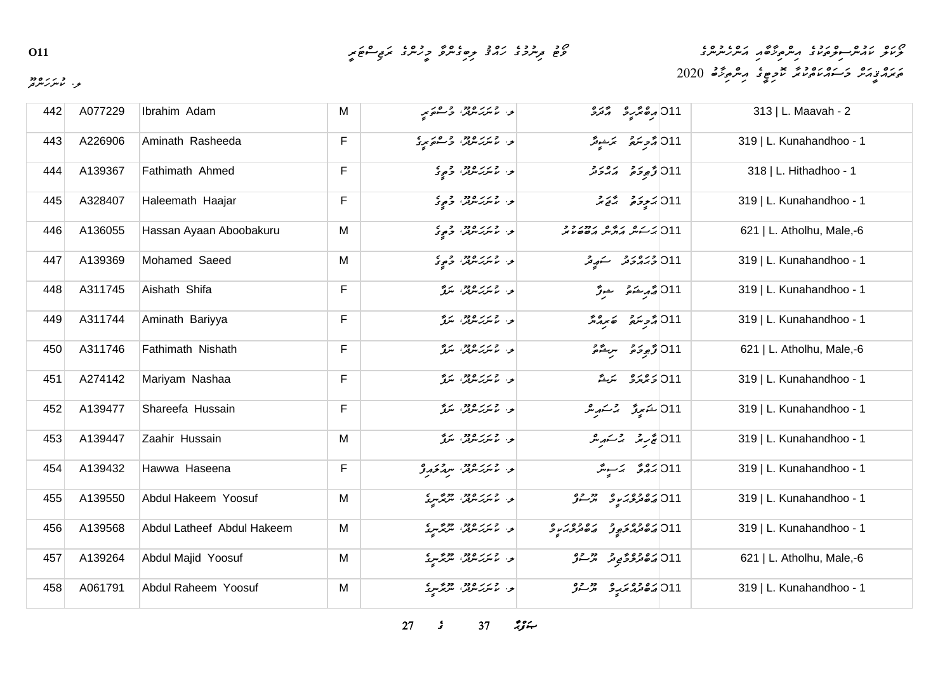*sCw7q7s5w7m< o<n9nOoAw7o< sCq;mAwBoEw7q<m; wBm;vB* م من المرة المرة المرة المرجع المرجع في المركبة 2020<br>مجم*د المريض المربوط المربع المرجع في المراجع المركبة* 

| 442 | A077229 | Ibrahim Adam               | M            | و. مشركته وصفح بر                                | 011  مرڭ ئۇربى ئەترى                                                                                           | 313   L. Maavah - 2       |
|-----|---------|----------------------------|--------------|--------------------------------------------------|----------------------------------------------------------------------------------------------------------------|---------------------------|
| 443 | A226906 | Aminath Rasheeda           | F            | و. او مرد و ده و د داران<br>او ام مرکز مرکز او ک | 011  مۇم تىمۇ سىم ئىزىسى ئىش                                                                                   | 319   L. Kunahandhoo - 1  |
| 444 | A139367 | Fathimath Ahmed            | F            | و. رحمن شهر و د د                                | 011 زَّجِ دَمَ مَ بَرْدَ تَرَ                                                                                  | 318   L. Hithadhoo - 1    |
| 445 | A328407 | Haleemath Haajar           | $\mathsf F$  | و. اورز مادور و او د                             | 011 كەمەدە ئەر ئەر                                                                                             | 319   L. Kunahandhoo - 1  |
| 446 | A136055 | Hassan Ayaan Aboobakuru    | M            | و. رمرکز میرود و د                               | 011 ئەسەبىر بەيۋە بەھ يومۇ                                                                                     | 621   L. Atholhu, Male,-6 |
| 447 | A139369 | Mohamed Saeed              | M            | و. دربره دو.<br>و. دسرپرسرټر، ونور               | 011 ۇرۇۋۇ سەمەتر                                                                                               | 319   L. Kunahandhoo - 1  |
| 448 | A311745 | Aishath Shifa              | $\mathsf{F}$ | ى ئاسىر ئىروم ئىرۇ                               | 011 م <i>ۇم شىرقى</i> ھىيۇ                                                                                     | 319   L. Kunahandhoo - 1  |
| 449 | A311744 | Aminath Bariyya            | F            | ى- ئاسىركىلىرى سىگە                              | 011 أُمَّ مِسْمَعٍ صَمِيرٌ مَّ                                                                                 | 319   L. Kunahandhoo - 1  |
| 450 | A311746 | Fathimath Nishath          | F            | ى- ئاسىركىلىرى سىگە                              | 011 تۇموقۇ مېرىشۇ                                                                                              | 621   L. Atholhu, Male,-6 |
| 451 | A274142 | Mariyam Nashaa             | F            | ى- ئائىرىكىلىقى- ئىرگە                           | 011 كەنگەر ئەرىشە                                                                                              | 319   L. Kunahandhoo - 1  |
| 452 | A139477 | Shareefa Hussain           | $\mathsf F$  | ى ئەسىر ئەرەم ئىرگە                              | 011 ڪمبرگ پرڪيرنگر                                                                                             | 319   L. Kunahandhoo - 1  |
| 453 | A139447 | Zaahir Hussain             | M            | ى ئەسىر ئەھىر سۆگە                               | 011] تج رِ تِمْرِ کے شہر بھر                                                                                   | 319   L. Kunahandhoo - 1  |
| 454 | A139432 | Hawwa Haseena              | $\mathsf F$  | و ، ئاس سرق سر محمد و                            | 011  يَرْدُوَّ - يَرْسِرْ بِمُرْ                                                                               | 319   L. Kunahandhoo - 1  |
| 455 | A139550 | Abdul Hakeem Yoosuf        | M            | ى ئەسرىر مەدەبەت ئەسرىكى بىرى                    | 011 كەھەر <i>ى بىر قەرەۋ</i>                                                                                   | 319   L. Kunahandhoo - 1  |
| 456 | A139568 | Abdul Latheef Abdul Hakeem | M            | و. ئامرىز مەدە ھەممىرى                           | 011 كەھىركە <i>مۇھەر كەندى كې</i> رى بولىرى بولىرى بولىرى بولىرى بولىرى بولىرى بولىرى بولىرى بولىرى بولىرى بول | 319   L. Kunahandhoo - 1  |
| 457 | A139264 | Abdul Majid Yoosuf         | M            | و الاندمان الأندمي                               | 011 كەھەترى <i>ۋى بىر بىر سۆ</i> ر                                                                             | 621   L. Atholhu, Male,-6 |
| 458 | A061791 | Abdul Raheem Yoosuf        | M            | و ، ئاس سرچار ، سرچار ،                          | 011 كەھەمدە بور قالغان بور دە                                                                                  | 319   L. Kunahandhoo - 1  |

*27 sC 37 nNw?mS*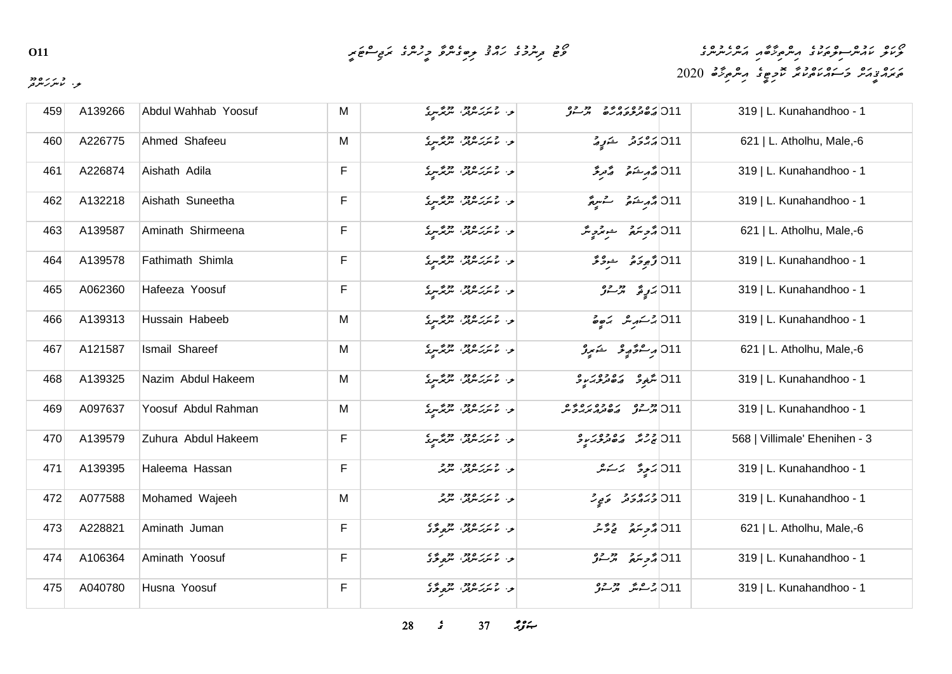*sCw7q7s5w7m< o<n9nOoAw7o< sCq;mAwBoEw7q<m; wBm;vB* م من المرة المرة المرة المرجع المراجع المراجع المراجع المراجع المراجع المراجع المراجع المراجع المراجع المراجع<br>مرين المراجع المراجع المرجع المراجع المراجع المراجع المراجع المراجع المراجع المراجع المراجع المراجع المراجع ال

| 220 / 27        |  |
|-----------------|--|
| ىو. ئاسرىرسى قر |  |

| 459 | A139266 | Abdul Wahhab Yoosuf   | M           | ن المترکز وجود العرب من المراجعة المجموعية المحمد المسترد بعد المحمد المسترد المجموعية المجموعية الم | 011 كەھەر <i> جوڭ بور دو</i>                                                                                         | 319   L. Kunahandhoo - 1      |
|-----|---------|-----------------------|-------------|------------------------------------------------------------------------------------------------------|----------------------------------------------------------------------------------------------------------------------|-------------------------------|
| 460 | A226775 | Ahmed Shafeeu         | M           | ن المس المس المس المس المسيحة المسيحة المسيحة المسيحة المسيحة المسيحة المسيحة المسيحة المسيحة المسيح | 011 كەبۇ <i>كەنبە</i> ئەرەپىيە ئىككىن ئىستان ئىككەن ئىككەن ئىككەن ئىككەن ئىككەن ئىككەن ئىككەن ئىككەن ئىككەن ئىككەن ئ | 621   L. Atholhu, Male,-6     |
| 461 | A226874 | Aishath Adila         | $\mathsf F$ | و. ئەس سەرە «ئەسىر                                                                                   | 011 م <i>ەمبىنى مەيدۇ</i>                                                                                            | 319   L. Kunahandhoo - 1      |
| 462 | A132218 | Aishath Suneetha      | $\mathsf F$ | و. ئامىركىلانى ئىرگەرى                                                                               | 011 ۾ً مرڪبو گسرچ گ                                                                                                  | 319   L. Kunahandhoo - 1      |
| 463 | A139587 | Aminath Shirmeena     | $\mathsf F$ | ن المسرر ووجع العرض عن المسر<br>المسرر المسرر العرب المسر مسر المسر                                  | 011 مُرْحِسَمُ مُسْتَمِرِيمُ                                                                                         | 621   L. Atholhu, Male,-6     |
| 464 | A139578 | Fathimath Shimla      | $\mathsf F$ | و. ئاس سرگرسی سرگرس                                                                                  | 011  <i>وَّجِ حَمَّ</i> صَوَرَّةَ ۖ                                                                                  | 319   L. Kunahandhoo - 1      |
| 465 | A062360 | Hafeeza Yoosuf        | F           | د. ن <i>ور ده ده مور</i> گرم                                                                         | 011 <i>يَروِيْ پُرْ-يُوْ</i>                                                                                         | 319   L. Kunahandhoo - 1      |
| 466 | A139313 | Hussain Habeeb        | M           | د. ن <i>ور ده ده مور</i> گرم                                                                         | 011 برُسَمبر مَرَ بَهِ صَحْ                                                                                          | 319   L. Kunahandhoo - 1      |
| 467 | A121587 | <b>Ismail Shareef</b> | M           | و. ئاسكەللەر ھەم بىر                                                                                 | 011 پرىشت <sub>ۇ پو</sub> تۇ ھەمبەتى                                                                                 | 621   L. Atholhu, Male,-6     |
| 468 | A139325 | Nazim Abdul Hakeem    | M           | ى ئەسرىر مەدەبەت ئەسرىكى بىرى                                                                        | 011 مگھوی کے <i>محمود کر</i> و                                                                                       | 319   L. Kunahandhoo - 1      |
| 469 | A097637 | Yoosuf Abdul Rahman   | M           | و. ئاس سرچاره دور در د                                                                               | 011 مىسوس مەمەمەر ئەرگىرى<br>011 مىسوس مەھ <i>مەمەمەر ئا</i> ر                                                       | 319   L. Kunahandhoo - 1      |
| 470 | A139579 | Zuhura Abdul Hakeem   | F           | د. ن <i>ور ده ده مور</i> گرم                                                                         | 011 كى <i>3 مۇھەرى بىرى</i>                                                                                          | 568   Villimale' Ehenihen - 3 |
| 471 | A139395 | Haleema Hassan        | F           | و. د برابر ۱۶۵ در د                                                                                  | 011 كەرچ - ئەسەنلەر                                                                                                  | 319   L. Kunahandhoo - 1      |
| 472 | A077588 | Mohamed Wajeeh        | M           | ن الاسرىر مەدەبىر بىرى<br>ئ                                                                          | 011 دُبَہْدُوَنْرَ کَے ی                                                                                             | 319   L. Kunahandhoo - 1      |
| 473 | A228821 | Aminath Juman         | F           | ى ئ <i>اس شەق ھەم ئى</i>                                                                             | 011 أُمُّ مِنْهُمْ فَيَحْسُرُ                                                                                        | 621   L. Atholhu, Male,-6     |
| 474 | A106364 | Aminath Yoosuf        | $\mathsf F$ | و ، ئاس سرچار ، شره و ،                                                                              | 011 أُمَّرِ سَمَّدَ مَنْ شَرْدُ مَنْ                                                                                 | 319   L. Kunahandhoo - 1      |
| 475 | A040780 | Husna Yoosuf          | F           | و ، ئاس سرچار ، شره و ،                                                                              | 011 پرېشر پرېستو                                                                                                     | 319   L. Kunahandhoo - 1      |

*28 sC 37 nNw?mS*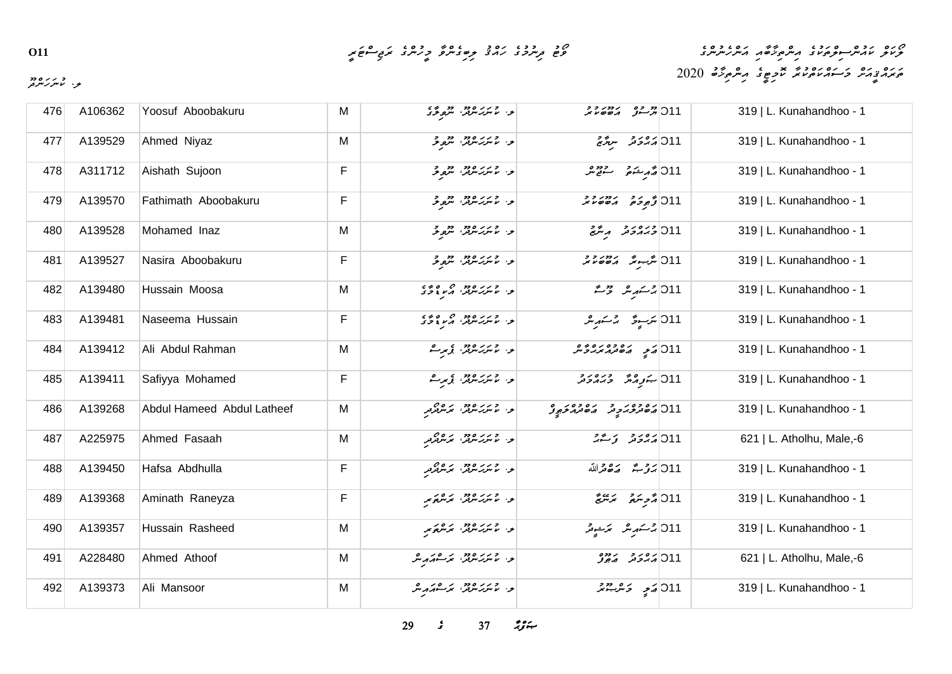*sCw7q7s5w7m< o<n9nOoAw7o< sCq;mAwBoEw7q<m; wBm;vB* م من المرة المرة المرة المرجع المراجع المراجع المراجع المراجع المراجع المراجع المراجع المراجع المراجع المراجع<br>مرين المراجع المراجع المرجع المراجع المراجع المراجع المراجع المراجع المراجع المراجع المراجع المراجع المراجع ال

| 476 | A106362 | Yoosuf Aboobakuru          | M           | و ، ئامرىرىدى ، مرەغ،                                                                                | 2222 / 100                                    | 319   L. Kunahandhoo - 1  |
|-----|---------|----------------------------|-------------|------------------------------------------------------------------------------------------------------|-----------------------------------------------|---------------------------|
| 477 | A139529 | Ahmed Niyaz                | M           | و گريز عرفين مرجع کر                                                                                 | 011 كەبرى قىر سىترىنى                         | 319   L. Kunahandhoo - 1  |
| 478 | A311712 | Aishath Sujoon             | $\mathsf F$ | و. مشركة مربع وجمع و                                                                                 | 011 ۾ م سنڌ ھي سنڌ مل                         | 319   L. Kunahandhoo - 1  |
| 479 | A139570 | Fathimath Aboobakuru       | $\mathsf F$ | و. ئائىرىكەن ئىرونى                                                                                  | 22222222222222                                | 319   L. Kunahandhoo - 1  |
| 480 | A139528 | Mohamed Inaz               | M           | و. ريز مرورو. دو و                                                                                   | 011 <i>دېمم</i> رو مې <i>گ</i> ې              | 319   L. Kunahandhoo - 1  |
| 481 | A139527 | Nasira Aboobakuru          | $\mathsf F$ | و. رمبرر مود. دو و                                                                                   | 011 مگر ہے کہ مقصوم محمد محمد ا               | 319   L. Kunahandhoo - 1  |
| 482 | A139480 | Hussain Moosa              | M           | و. دربره دو می ۲۵۵                                                                                   | 011 پرستمبر تھ جو ج                           | 319   L. Kunahandhoo - 1  |
| 483 | A139481 | Naseema Hussain            | $\mathsf F$ | و. ماسرىر مەدە مەدە ئەر                                                                              | 011 مَرْسِودٌ - پُرْسَمْرِ مَرْ               | 319   L. Kunahandhoo - 1  |
| 484 | A139412 | Ali Abdul Rahman           | M           | أورا الأمرىر مروره المجامرات                                                                         | 011 كم محمد كارومبر كار من كار براير براير ال | 319   L. Kunahandhoo - 1  |
| 485 | A139411 | Safiyya Mohamed            | F           | ى ئاس ئەركىتى ئىرگ                                                                                   | 011 بتورچ ويرودو                              | 319   L. Kunahandhoo - 1  |
| 486 | A139268 | Abdul Hameed Abdul Latheef | M           | ن المسرك من المسرور بير من المسرور المسرور المسرور المسرور المسرور المسرور المسرور المسرور المسرور ا | 011 كەھەر 255 كەھەر كەبورى                    | 319   L. Kunahandhoo - 1  |
| 487 | A225975 | Ahmed Fasaah               | M           | و . ما سربر عرض بر ماره م                                                                            | 011 كەبرى ق ئەسىمى                            | 621   L. Atholhu, Male,-6 |
| 488 | A139450 | Hafsa Abdhulla             | $\mathsf F$ | و المسرك مركز بر مركز و المسر                                                                        | 011 كرتر بيم مرك قرالله                       | 319   L. Kunahandhoo - 1  |
| 489 | A139368 | Aminath Raneyza            | F           | و. مؤثر مرور برور                                                                                    | 011 مَّ مِسَعَ <sub>مِ</sub> سَمَّتَّ         | 319   L. Kunahandhoo - 1  |
| 490 | A139357 | Hussain Rasheed            | M           | و. دربره دو. بره د                                                                                   | 011 پرستمبر مگر میں تر                        | 319   L. Kunahandhoo - 1  |
| 491 | A228480 | Ahmed Athoof               | M           | و مسر معرض مرتبط مر                                                                                  | 011 كەبرى ھەم بەردە                           | 621   L. Atholhu, Male,-6 |
| 492 | A139373 | Ali Mansoor                | M           | و الاس الله الله من الله من                                                                          | 011   رَمٍ - دَعْرَ بِيْعْرَ                  | 319   L. Kunahandhoo - 1  |

*29 sC 37 nNw?mS*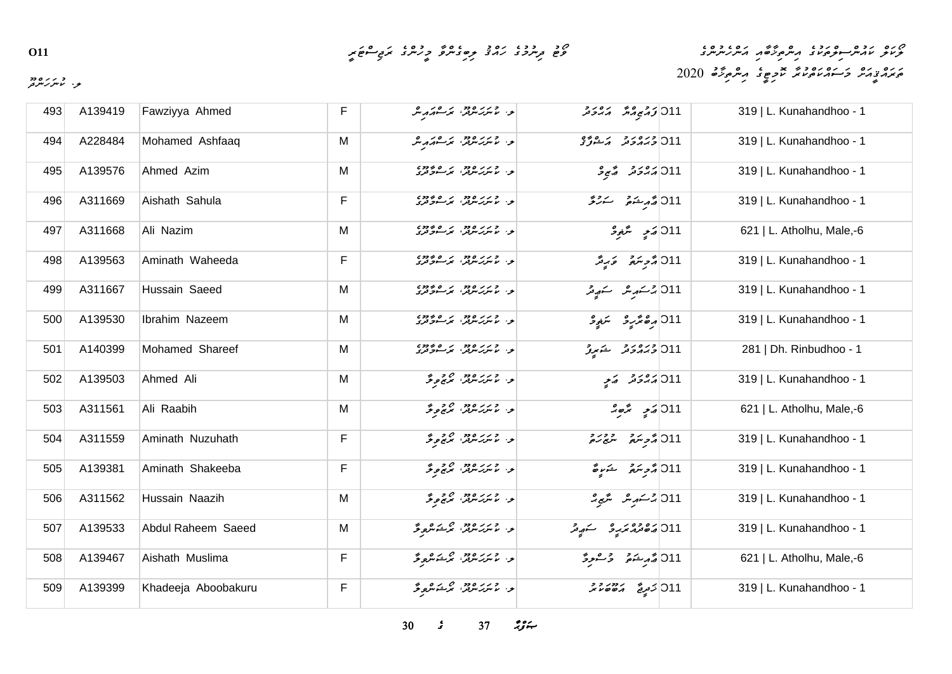*sCw7q7s5w7m< o<n9nOoAw7o< sCq;mAwBoEw7q<m; wBm;vB* م من المرة المرة المرة المرجع المراجع المراجع المراجع المراجع المراجع المراجع المراجع المراجع المراجع المراجع<br>مرين المراجع المراجع المرجع المراجع المراجع المراجع المراجع المراجع المراجع المراجع المراجع المراجع المراجع ال

| 493 | A139419 | Fawziyya Ahmed      | F           | و ، ئامېرکسونې، غرستور مرکز                                 | 011 ۇرىم بەر ئەر ئەرد               | 319   L. Kunahandhoo - 1  |
|-----|---------|---------------------|-------------|-------------------------------------------------------------|-------------------------------------|---------------------------|
| 494 | A228484 | Mohamed Ashfaaq     | M           | و ، ئاس کرسرو ، سر کرد مر                                   | 011 <i>ۋېرەرو پە</i> شۇر <i>ۇ</i>   | 319   L. Kunahandhoo - 1  |
| 495 | A139576 | Ahmed Azim          | M           | و از در دود از ۲۵۶۵<br>و اندیزیترین ایر سورتری              | 011 كەبرى قىم ئەرقى                 | 319   L. Kunahandhoo - 1  |
| 496 | A311669 | Aishath Sahula      | $\mathsf F$ | و از در دود.<br>و ان سربر سرفر، ایمر سوفری                  | 011 مَّەرِ شَمَّة سَرْدَة ِ         | 319   L. Kunahandhoo - 1  |
| 497 | A311668 | Ali Nazim           | M           | و از در دود.<br>و انا نیزباندون ایر سووتری                  | 011 كەمچە ئىتمەيدۇ                  | 621   L. Atholhu, Male,-6 |
| 498 | A139563 | Aminath Waheeda     | $\mathsf F$ | و د بر وود د بر ۱۶۶۵<br>و اما میرکاندنی ایر سوفری           | 011 مَّ حِسَمَۃ کَ سِتَّہ           | 319   L. Kunahandhoo - 1  |
| 499 | A311667 | Hussain Saeed       | M           | و . د د ر وو . د . د د د .<br>و . د مرز مربر . بر سورتری    | 011 پرستمبر بھر سکھیے تھا۔          | 319   L. Kunahandhoo - 1  |
| 500 | A139530 | Ibrahim Nazeem      | M           | و . د د د ده د د د د ده د ده<br>و . د سربرسرفر ، بر سورترو  | 011  مِرْحُمَّرِ وَ _ سَمْرٍوْ      | 319   L. Kunahandhoo - 1  |
| 501 | A140399 | Mohamed Shareef     | M           | و . ه در ۵ وو . د ۵ و وو ،<br>و . ما س ر سرفر . هر سور توری | 011 ق. برو قر شمېر ق                | 281   Dh. Rinbudhoo - 1   |
| 502 | A139503 | Ahmed Ali           | M           | و ، ئاسكەس كەن ئىز ئاھرىنى ئوغ                              | 011  پَرْدُوَسْ کَرَمِ              | 319   L. Kunahandhoo - 1  |
| 503 | A311561 | Ali Raabih          | M           | و ، ئاسكەللەرنى ئالدىنى ئوگە                                | 011  رَمِ بَرْہِ رُ                 | 621   L. Atholhu, Male,-6 |
| 504 | A311559 | Aminath Nuzuhath    | $\mathsf F$ | و ، ماسرىر مەيرى ئوغ                                        | 011 مَّ مِسَعَمٍ مِسْتَحْرَمُو      | 319   L. Kunahandhoo - 1  |
| 505 | A139381 | Aminath Shakeeba    | $\mathsf F$ | و ، ئاسكەللەرنى ئالدىنى ئوگە                                | 011 مَّ حِسَمَةٌ حَسَنِ صَّ         | 319   L. Kunahandhoo - 1  |
| 506 | A311562 | Hussain Naazih      | M           | و. ئەسكەشلەر ئەلگەنجا ئەلگەن ئو                             | 011  پرڪيريش سگيږي                  | 319   L. Kunahandhoo - 1  |
| 507 | A139533 | Abdul Raheem Saeed  | M           | ى ئائىرىرەدە جىشكىرى ئى                                     | 011 كەھە <i>تەم كەي جۇ سكەپ ق</i> ر | 319   L. Kunahandhoo - 1  |
| 508 | A139467 | Aishath Muslima     | F           | و ممكر مرود محمد مكروم                                      | 011 مۇرىشق قەشىرۇ                   | 621   L. Atholhu, Male,-6 |
| 509 | A139399 | Khadeeja Aboobakuru | F           | ى ئاس ئەرەم ئەسكەرگە ئە                                     | 011 كَتْمِيعٌ - رُوْصُوْمٌ مُرْ     | 319   L. Kunahandhoo - 1  |

**30** *s* **37** *n***<sub>y</sub> <b>***s*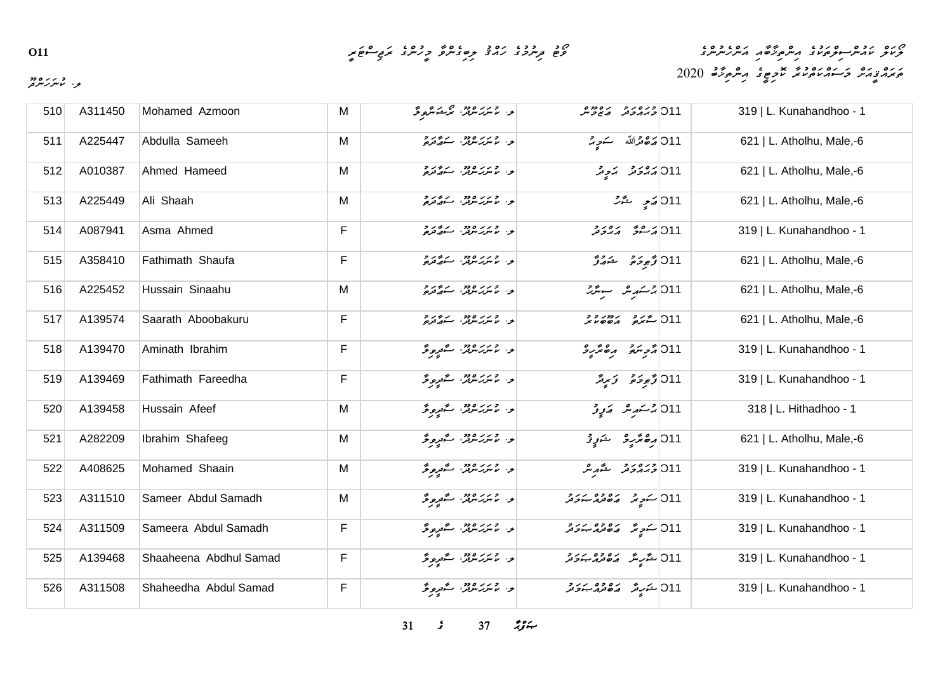*sCw7q7s5w7m< o<n9nOoAw7o< sCq;mAwBoEw7q<m; wBm;vB* م من المرة المرة المرة المرجع المراجع المراجع المراجع المراجع المراجع المراجع المراجع المراجع المراجع المراجع<br>مرين المراجع المراجع المرجع المراجع المراجع المراجع المراجع المراجع المراجع المراجع المراجع المراجع المراجع ال

| 510 | A311450 | Mohamed Azmoon         | M           | ى مەسىرەدە تەخەش <sub>ھ</sub> ۇ                             | 011 وبرەرو رەموە                                          | 319   L. Kunahandhoo - 1  |
|-----|---------|------------------------|-------------|-------------------------------------------------------------|-----------------------------------------------------------|---------------------------|
| 511 | A225447 | Abdulla Sameeh         | M           | و. دربره دو.<br>و. د سربرسرفر، ستهرفرم                      | 011 كەڭداللە س <i>ەدب</i> <sup>2</sup>                    | 621   L. Atholhu, Male,-6 |
| 512 | A010387 | Ahmed Hameed           | M           | و. تاسرر ۵۶۵. کروبر و                                       | 011  رَرُدَوَتْر کے <i>ج</i> وتْر                         | 621   L. Atholhu, Male,-6 |
| 513 | A225449 | Ali Shaah              | M           | و. روروده. درود                                             | 011  رَمِ ۖ شَرْرُ                                        | 621   L. Atholhu, Male,-6 |
| 514 | A087941 | Asma Ahmed             | $\mathsf F$ | ن - حربر 200 - مرکز در د<br>نو- اما مرکز مرکز - اما مرکز دی | 011 كەشىۋە كەبمەد تەر                                     | 319   L. Kunahandhoo - 1  |
| 515 | A358410 | Fathimath Shaufa       | F           | و. د بر دود. گرورو                                          | 011 <i>وُجِ دَمَّة</i> شَ <i>مَّةُ وُ</i>                 | 621   L. Atholhu, Male,-6 |
| 516 | A225452 | Hussain Sinaahu        | M           | و. دربر ۵۶۵ کروبر و<br>و. د سربرسرفر، سکههانورم             | 011  پرستمبر عبد سبزیر                                    | 621   L. Atholhu, Male,-6 |
| 517 | A139574 | Saarath Aboobakuru     | F           | و. دربر ۵۶۵ کروبر و                                         | $22222$ $-211$                                            | 621   L. Atholhu, Male,-6 |
| 518 | A139470 | Aminath Ibrahim        | $\mathsf F$ | و. ئامرىكىرى گەرمۇ گ                                        | 011  مۇجەنىھ مەھەمگەپەد                                   | 319   L. Kunahandhoo - 1  |
| 519 | A139469 | Fathimath Fareedha     | F           | و. ئامرىر ھەج گەرمۇ گ                                       | 011 گەچ قەرىم ئىقىدىگە                                    | 319   L. Kunahandhoo - 1  |
| 520 | A139458 | Hussain Afeef          | M           | و ، ئەترىكەن ئەرەۋ                                          | 011  پرست <sub>مب</sub> رش <sub>م</sub> رک <sub>و</sub> ژ | 318   L. Hithadhoo - 1    |
| 521 | A282209 | Ibrahim Shafeeg        | M           | و ، ئەترىكەن ئەرەۋ                                          | 011 <sub>مر</sub> ھ پڙرو ڪورِ ت <u>ح</u>                  | 621   L. Atholhu, Male,-6 |
| 522 | A408625 | Mohamed Shaain         | M           | و ، ئەسەر ئەرە ئەرەپ ئى                                     | 011 <i>  جەچرى تىم ئىشمى</i> بىر                          | 319   L. Kunahandhoo - 1  |
| 523 | A311510 | Sameer Abdul Samadh    | M           | و. ئاس شرق سگوره د                                          | 011 ڪتوبر پره وه بربرو                                    | 319   L. Kunahandhoo - 1  |
| 524 | A311509 | Sameera Abdul Samadh   | $\mathsf F$ | و. ئەسرىس بىر ئەرەبۇ                                        | 011 سَوِيرٌ مَەقىدىمىدەتر                                 | 319   L. Kunahandhoo - 1  |
| 525 | A139468 | Shaaheena Abdhul Samad | F           | و. ئەترىر ئۇچ گەربوڭ                                        | 011 شرىر مەھىرم بىرد                                      | 319   L. Kunahandhoo - 1  |
| 526 | A311508 | Shaheedha Abdul Samad  | F           | و ، ئەترىكەن ئەرەۋ                                          | 011 خىرىگە كەھەركە ئەردو                                  | 319   L. Kunahandhoo - 1  |

**31** *s* **37** *n***<sub>s</sub>**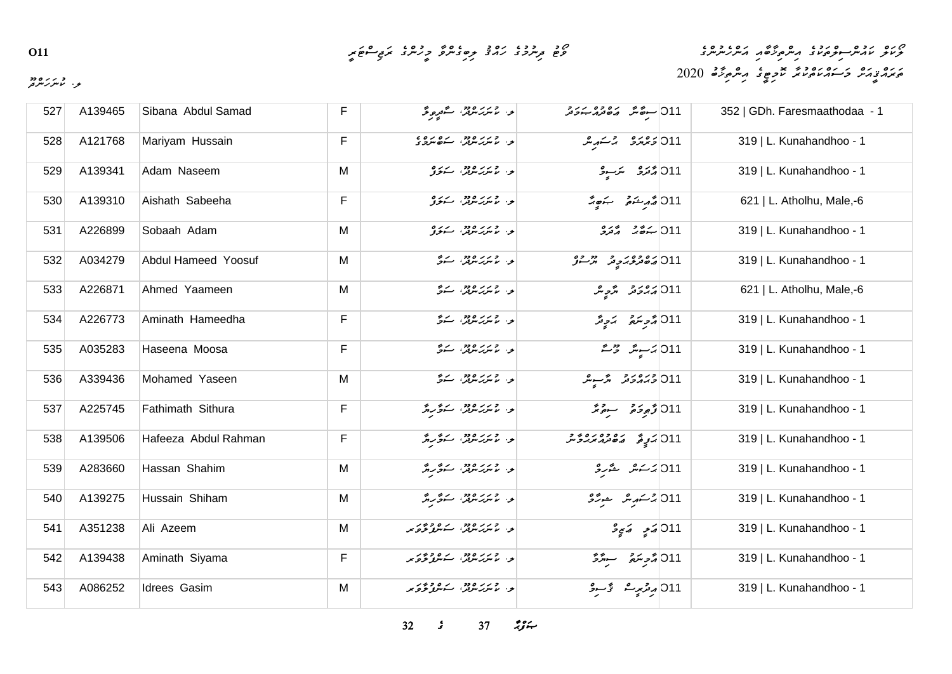*sCw7q7s5w7m< o<n9nOoAw7o< sCq;mAwBoEw7q<m; wBm;vB* م من المرة المرة المرة المرجع المراجع المراجع المراجع المراجع المراجع المراجع المراجع المراجع المراجع المراجع<br>مرين المراجع المراجع المرجع المراجع المراجع المراجع المراجع المراجع المراجع المراجع المراجع المراجع المراجع ال

| 527 | A139465 | Sibana Abdul Samad         | F           | د. از ماسربرسرچرا مرد میگردید ک | 011 – ئەنگە كەھەركە بەر د               | 352   GDh. Faresmaathodaa - 1 |
|-----|---------|----------------------------|-------------|---------------------------------|-----------------------------------------|-------------------------------|
| 528 | A121768 | Mariyam Hussain            | F           | و. دربر وده در ده ده د          | 011 كەبرىزى بەسەر ش                     | 319   L. Kunahandhoo - 1      |
| 529 | A139341 | Adam Naseem                | M           | ى ئەسەر 20 سىزۇ                 | 011  25ء سرَ-و                          | 319   L. Kunahandhoo - 1      |
| 530 | A139310 | Aishath Sabeeha            | $\mathsf F$ | و. ئەسكەنگەن سىۋۇ               | 011 مَگْرِسْنَعْمُ سَنَصِدًّ            | 621   L. Atholhu, Male,-6     |
| 531 | A226899 | Sobaah Adam                | M           | ىق ئەسرىر ھەج سىلمىقى           | 011 جَهَّرٌ گُرُوَّ                     | 319   L. Kunahandhoo - 1      |
| 532 | A034279 | <b>Abdul Hameed Yoosuf</b> | M           | ى- ئەسەر ئەرەم ئەسەر            | 011 كەھەرى <i>رى بىر مەسىر</i>          | 319   L. Kunahandhoo - 1      |
| 533 | A226871 | Ahmed Yaameen              | M           | و. ئەسەر سەر ئىسىر              | 011 <i>ړ برڅنگ پر بو</i> ينز            | 621   L. Atholhu, Male,-6     |
| 534 | A226773 | Aminath Hameedha           | $\mathsf F$ | و. ئەسەر سەر ئىسىر              | 011 مَّ <i>جِسَمَۃ بَہُ ج</i> ِمَّ      | 319   L. Kunahandhoo - 1      |
| 535 | A035283 | Haseena Moosa              | F           | ى ئەسىر ئەرەم ئەر               | 011 پرَسِیڈ ڈِٹ                         | 319   L. Kunahandhoo - 1      |
| 536 | A339436 | Mohamed Yaseen             | M           | ى ئەسىر ئەھىر بەلگەن            | 011 ۇ <i>ئەۋە ئەت مەربىرى</i>           | 319   L. Kunahandhoo - 1      |
| 537 | A225745 | Fathimath Sithura          | F           | و. ئاسرىر ھەرە سەۋرىگە          | 011 ژ <sub>ېپوځ</sub> يز سو <i>نونژ</i> | 319   L. Kunahandhoo - 1      |
| 538 | A139506 | Hafeeza Abdul Rahman       | F           | و مسر معده شوره                 | 011 <i>ټرپنځ   مەھەمم</i> ىر <i>ۋە</i>  | 319   L. Kunahandhoo - 1      |
| 539 | A283660 | Hassan Shahim              | M           | و مستر شوده که محرک             | 011 كەسكەر ئىقىرى                       | 319   L. Kunahandhoo - 1      |
| 540 | A139275 | Hussain Shiham             | M           | و مسرد وده کورگ                 | 011 برڪرير جو پڙو                       | 319   L. Kunahandhoo - 1      |
| 541 | A351238 | Ali Azeem                  | M           | ىق بەرگەن سەھ ئەر               | 011  <i>چَرِ ۔ چَرِي وَ</i>             | 319   L. Kunahandhoo - 1      |
| 542 | A139438 | Aminath Siyama             | F           | و. روروده. رووور                | 011 أ <i>مَّ</i> حِ سَمَّعَ مَسَرِّرَةً | 319   L. Kunahandhoo - 1      |
| 543 | A086252 | Idrees Gasim               | M           | و. روزه وو. ره وور              | 011 مومزمورے تخ-ویح                     | 319   L. Kunahandhoo - 1      |

**32** *s* **37** *n***<sub>y</sub> <b>***n*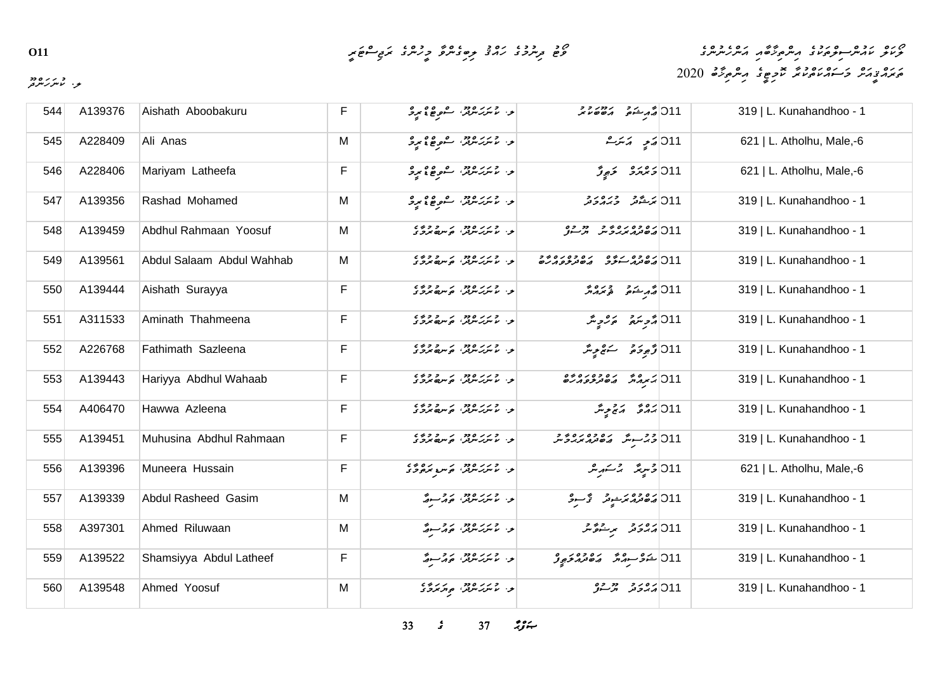*sCw7q7s5w7m< o<n9nOoAw7o< sCq;mAwBoEw7q<m; wBm;vB* م من المرة المرة المرة المرجع المراجع المراجع المراجع المراجع المراجع المراجع المراجع المراجع المراجع المراجع<br>مرين المراجع المراجع المرجع المراجع المراجع المراجع المراجع المراجع المراجع المراجع المراجع المراجع المراجع ال

| 544 | A139376 | Aishath Aboobakuru         | F           | و المتركز مريد الشرق وه و د                                                                                                                                                                                                      | $22222$ $2422$                                        | 319   L. Kunahandhoo - 1  |
|-----|---------|----------------------------|-------------|----------------------------------------------------------------------------------------------------------------------------------------------------------------------------------------------------------------------------------|-------------------------------------------------------|---------------------------|
| 545 | A228409 | Ali Anas                   | М           | و الانترنسويل الشور ده داد.                                                                                                                                                                                                      | 011 <i>  مَرِ بِہ مَسَرَ ہ</i>                        | 621   L. Atholhu, Male,-6 |
| 546 | A228406 | Mariyam Latheefa           | F           | و الاسرپر مرده الشوره و در د                                                                                                                                                                                                     | 011  <i>5 مُدْمَرْة - حَبوت</i> ً                     | 621   L. Atholhu, Male,-6 |
| 547 | A139356 | Rashad Mohamed             | M           | و الأمريكيون الشرح و داده                                                                                                                                                                                                        | 011 كەشگەر قىمەد قر                                   | 319   L. Kunahandhoo - 1  |
| 548 | A139459 | Abdhul Rahmaan Yoosuf      | M           | و. ورز ودو. د ووه و                                                                                                                                                                                                              | 011 <i>ړی ووی پروگر پو</i> ځو                         | 319   L. Kunahandhoo - 1  |
| 549 | A139561 | Abdul Salaam Abdul Wahhab  | M           | و. دربر وده د دوده                                                                                                                                                                                                               | 011 كەھەر كەنتى بەر مەدەرە بەر يەر ئ                  | 319   L. Kunahandhoo - 1  |
| 550 | A139444 | Aishath Surayya            | F           | י הגנים ברי הרבים ברי הרבים ברי הרבים ברי הרבים ברי הרבים ברי הרבים ברי הרבים ברי הרבים ברי הרבים ברי הרבים בר<br>הרבי הרבים ברי הרבים ברי הרבים ברי הרבים ברי הרבים ברי הרבים ברי הרבים ברי הרבים ברי הרבים ברי הרבים ברי הרבים | 011 مَّ مِسْمَعْ فَ <sub>حْ</sub> <i>مَهْرَهُ مَّ</i> | 319   L. Kunahandhoo - 1  |
| 551 | A311533 | Aminath Thahmeena          | $\mathsf F$ | و. دربر ودو. د بر دوره و                                                                                                                                                                                                         | 011  مَّ حِسَمَ مِنْ حِرْجِيمَّ                       | 319   L. Kunahandhoo - 1  |
| 552 | A226768 | Fathimath Sazleena         | F           | و. دربر ودو. د دوده                                                                                                                                                                                                              | 011 ڙَجوحَةُ سَنَجْ مِتَّد                            | 319   L. Kunahandhoo - 1  |
| 553 | A139443 | Hariyya Abdhul Wahaab      | F           | د. دربر ودد.<br>د. بابزرگترین وسط برد د                                                                                                                                                                                          | 011 كيمروش مەھىر مەم                                  | 319   L. Kunahandhoo - 1  |
| 554 | A406470 | Hawwa Azleena              | F           | و. دربر ودو. در دوده.<br>و. د سربرسربر، نوسهه بروی                                                                                                                                                                               | 011  يَرْدُوُ - دَيْجِيسٌ                             | 319   L. Kunahandhoo - 1  |
| 555 | A139451 | Muhusina Abdhul Rahmaan    | F           | و. د برر وود د د وده د                                                                                                                                                                                                           | 011 ج چ سوش می مورد مرکز می                           | 319   L. Kunahandhoo - 1  |
| 556 | A139396 | Muneera Hussain            | $\mathsf F$ | و الانترن من ده.<br>و الانترن نترنس المحاسبة بمنص                                                                                                                                                                                | 011  3 سرپر - پر شہر بھر                              | 621   L. Atholhu, Male,-6 |
| 557 | A139339 | <b>Abdul Rasheed Gasim</b> | M           | و. تأسر را ودو. را و د                                                                                                                                                                                                           | 011 كەھەركە ئوسىر ئۇسوۋ                               | 319   L. Kunahandhoo - 1  |
| 558 | A397301 | Ahmed Riluwaan             | M           | و. تأسر رحمد و در در در کار                                                                                                                                                                                                      | 011   ئەرىخەر بىرىشۇش                                 | 319   L. Kunahandhoo - 1  |
| 559 | A139522 | Shamsiyya Abdul Latheef    | F           | و. تأسر رحمد و در در در                                                                                                                                                                                                          | 011 خۇسەم مەھمدىم                                     | 319   L. Kunahandhoo - 1  |
| 560 | A139548 | Ahmed Yoosuf               | M           | و . ه در ۵۶۵ و در ۵۶۰<br>و . ماس سربر الله مرس                                                                                                                                                                                   | 011 كەبرىق تەرىپى بۇ                                  | 319   L. Kunahandhoo - 1  |

**33** *s* **37** *n***<sub>y</sub> <b>***n*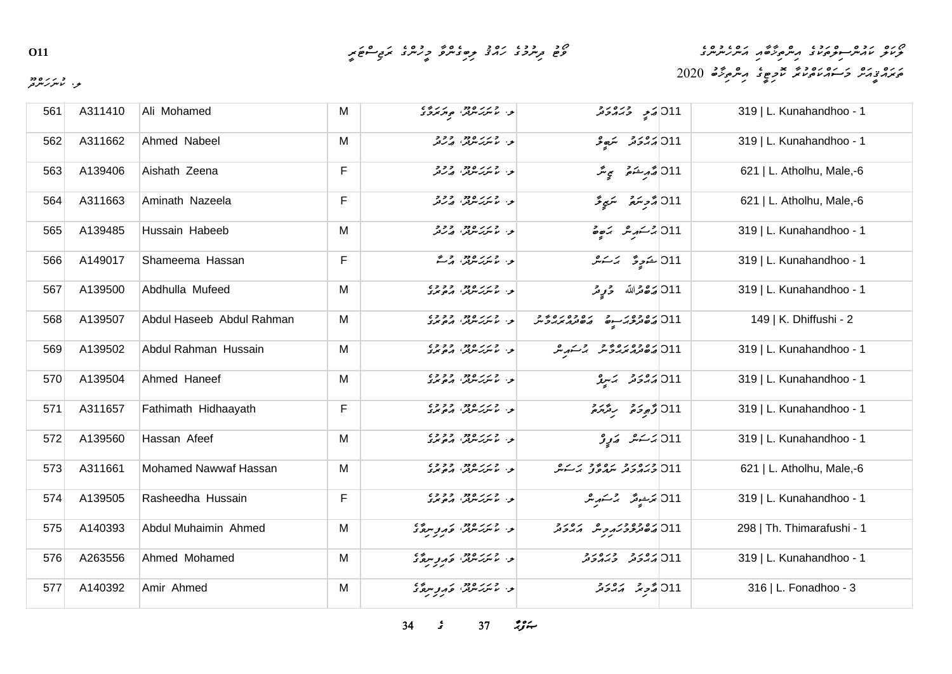*sCw7q7s5w7m< o<n9nOoAw7o< sCq;mAwBoEw7q<m; wBm;vB* م من المرة المرة المرة المرجع المراجع المراجع المراجع المراجع المراجع المراجع المراجع المراجع المراجع المراجع<br>مرين المراجع المراجع المرجع المراجع المراجع المراجع المراجع المراجع المراجع المراجع المراجع المراجع المراجع ال

| 561 | A311410 | Ali Mohamed               | M           | ن الممركز من المركز به بركز به المركز به المركز به المركز به المركز به المركز به المركز به المركز به<br>المركز المركز المركز المركز المركز به المركز به المركز به المركز به المركز به المركز به المركز به المركز به ال | 011 <i>ھَ۔ ج</i> يھوتر                 | 319   L. Kunahandhoo - 1   |
|-----|---------|---------------------------|-------------|------------------------------------------------------------------------------------------------------------------------------------------------------------------------------------------------------------------------|----------------------------------------|----------------------------|
| 562 | A311662 | Ahmed Nabeel              | M           | و . و در دوه . وو و<br>و . ما سرز سرفر . هارفر                                                                                                                                                                         | 011 كەنزى ئىر ئىكتاب ئىش               | 319   L. Kunahandhoo - 1   |
| 563 | A139406 | Aishath Zeena             | F           | و . ه برر ه وه . وو و<br>و . با ببرر ببرفر . ه ر تر                                                                                                                                                                    | 011 <i>۾ ميڪو ڇپڙ</i>                  | 621   L. Atholhu, Male,-6  |
| 564 | A311663 | Aminath Nazeela           | $\mathsf F$ | و. الاندر عام 199                                                                                                                                                                                                      | 011 مٌ <i>وِسَعْهِ مَسْبِع</i> ْ       | 621   L. Atholhu, Male,-6  |
| 565 | A139485 | Hussain Habeeb            | M           |                                                                                                                                                                                                                        | 011 پر شہر شریع تھا                    | 319   L. Kunahandhoo - 1   |
| 566 | A149017 | Shameema Hassan           | F           | ى- ئەسرىرىدى كەرگە                                                                                                                                                                                                     | 011 خوتى - ئەسكەر                      | 319   L. Kunahandhoo - 1   |
| 567 | A139500 | Abdhulla Mufeed           | М           | כן דגיה סכב בכבר<br>כן עיתה ייתה אי הסיבב                                                                                                                                                                              | 011 <i>مَەھىر</i> اللە ئ <i>ۇي</i> تر  | 319   L. Kunahandhoo - 1   |
| 568 | A139507 | Abdul Haseeb Abdul Rahman | M           |                                                                                                                                                                                                                        | 011) ره وه رکب سره مسره ده دره بر در ا | 149   K. Dhiffushi - 2     |
| 569 | A139502 | Abdul Rahman Hussain      | M           | و. 2007 ووو 2005<br>و. لاس سربر سرچي اړه جري                                                                                                                                                                           | 011 كەھەرمەر ئەسىر بىر ئەسكىرىش        | 319   L. Kunahandhoo - 1   |
| 570 | A139504 | Ahmed Haneef              | M           | و . در ره دو .<br>و . د سربر سرفر . دره مرد                                                                                                                                                                            | 011  پَرْرُوَتْرَ کَسِرِیْ             | 319   L. Kunahandhoo - 1   |
| 571 | A311657 | Fathimath Hidhaayath      | F           | و. دربر دور دور.<br>و. ناس سربر الدومرد                                                                                                                                                                                | 011 زَّەپەرَة بەرَّەرْ                 | 319   L. Kunahandhoo - 1   |
| 572 | A139560 | Hassan Afeef              | M           | و. دربره دو دود.<br>و. ناس سربر المرجوبور                                                                                                                                                                              | 011 ټريىش     ټريو ژ                   | 319   L. Kunahandhoo - 1   |
| 573 | A311661 | Mohamed Nawwaf Hassan     | M           | و. ورز ه ده دوه و                                                                                                                                                                                                      | 011 جەيز بەر ئەرگە بەسەش               | 621   L. Atholhu, Male,-6  |
| 574 | A139505 | Rasheedha Hussain         | F           | و. وربر دود. وووه<br>و. ناس سربر سرچ بر                                                                                                                                                                                | 011 مَرْجِعَہٗ کے سَمرِ مُر            | 319   L. Kunahandhoo - 1   |
| 575 | A140393 | Abdul Muhaimin Ahmed      | M           | و المتركز حجم والمعرفين المحديث                                                                                                                                                                                        | 011 رەپرو <i>ۋىروچىر مەدەر</i>         | 298   Th. Thimarafushi - 1 |
| 576 | A263556 | Ahmed Mohamed             | M           | و ، مؤثر مرده و و مرو مرد و الله الله                                                                                                                                                                                  | 011 كەبرو دىرەرد                       | 319   L. Kunahandhoo - 1   |
| 577 | A140392 | Amir Ahmed                | M           | و الأمر رودو المحمد والمرحمة                                                                                                                                                                                           | 011 م <i>جُّوبِرْ مَدْدَ</i> مْر       | 316   L. Fonadhoo - 3      |

**34** *s* 37 *if***<sub>x</sub>**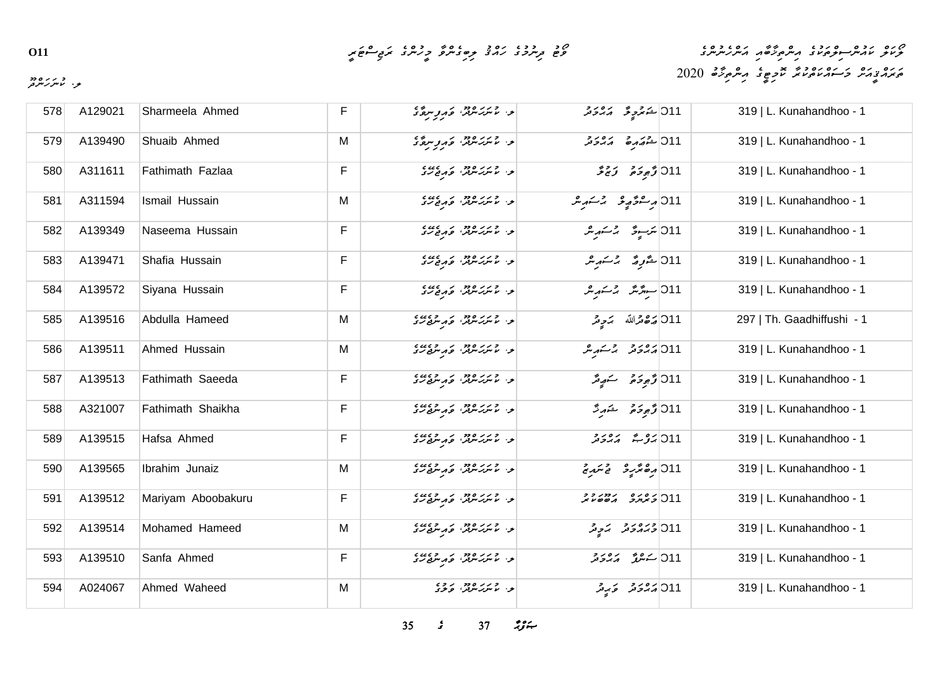*sCw7q7s5w7m< o<n9nOoAw7o< sCq;mAwBoEw7q<m; wBm;vB* م من المرة المرة المرة المرجع المراجع المراجع المراجع المراجع المراجع المراجع المراجع المراجع المراجع المراجع<br>مرين المراجع المراجع المرجع المراجع المراجع المراجع المراجع المراجع المراجع المراجع المراجع المراجع المراجع ال

| 578 | A129021 | Sharmeela Ahmed    | F           | و ، ئامكرىكى ئەروسۇن                                                                                              | 011  خەترى <sub>چ</sub> ى كەبرى تەر  | 319   L. Kunahandhoo - 1   |
|-----|---------|--------------------|-------------|-------------------------------------------------------------------------------------------------------------------|--------------------------------------|----------------------------|
| 579 | A139490 | Shuaib Ahmed       | M           | و المتركز عليه المروسية و                                                                                         | 011 شۇرەھ كەبرىتى                    | 319   L. Kunahandhoo - 1   |
| 580 | A311611 | Fathimath Fazlaa   | F           | و . روبر ه دو.<br>و . را سربر سربل . و بر بی بر ی                                                                 | 011 گەچە قىم قىمى قىلىمىتى ئىل       | 319   L. Kunahandhoo - 1   |
| 581 | A311594 | Ismail Hussain     | M           | و دربر وود در در در<br>و ماسرپرسربو کام در                                                                        | 011 مِرْ شَوَّمٍ فِي سَمَّ سَرَ مِنْ | 319   L. Kunahandhoo - 1   |
| 582 | A139349 | Naseema Hussain    | F           | و دربر وود در در در<br>و ماسرپرسربو کام در                                                                        | 011] نترسوی - پرکشمی شر              | 319   L. Kunahandhoo - 1   |
| 583 | A139471 | Shafia Hussain     | $\mathsf F$ | و دربر وود در در در<br>و ماسرپرسربو کام در                                                                        | 011 ڪوپڙ پڙڪوپٽر                     | 319   L. Kunahandhoo - 1   |
| 584 | A139572 | Siyana Hussain     | F           | و گرمر وود که دوره<br>و گس سربر                                                                                   | 011 سوپر پر پر شہر پر                | 319   L. Kunahandhoo - 1   |
| 585 | A139516 | Abdulla Hameed     | M           | و گرمزمود و در ده ده                                                                                              | 011  رَحْمَة رَاللّه     بَرَدِيْرُ  | 297   Th. Gaadhiffushi - 1 |
| 586 | A139511 | Ahmed Hussain      | M           | و . ه مرکز وجو .<br>د . ما مگرکز ملکو . ه مرکز مرکز                                                               | 011   پروتر بر شهر شر                | 319   L. Kunahandhoo - 1   |
| 587 | A139513 | Fathimath Saeeda   | F           | و مرکز وجود در و دره د                                                                                            | 011 ز <sub>گ</sub> وِدَ مگرونڈ       | 319   L. Kunahandhoo - 1   |
| 588 | A321007 | Fathimath Shaikha  | $\mathsf F$ | و - د در ودو - د د د د د د د د                                                                                    | 011 تۇموقۇ ھەمەتە                    | 319   L. Kunahandhoo - 1   |
| 589 | A139515 | Hafsa Ahmed        | F           | و از در ۱۶۵ و د د د د د د د د<br>او استربر سربر او که سربی برای                                                   | 011 بزوجە بەردىر                     | 319   L. Kunahandhoo - 1   |
| 590 | A139565 | Ibrahim Junaiz     | M           | و المرکز وجود المراد و دره داد.<br>المرکز المرکز المرکز المرکز المرکز المرکز المرکز المرکز المرکز المرکز المرکز ا | 011 مِرْهُ مُرْرِدْ ۔ فَ سَمَدِ ثَمّ | 319   L. Kunahandhoo - 1   |
| 591 | A139512 | Mariyam Aboobakuru | F           | و مرکز وجود در و دره د                                                                                            | $77777$ $2702$ $27011$               | 319   L. Kunahandhoo - 1   |
| 592 | A139514 | Mohamed Hameed     | M           | و . ه شرک ۶۵ و .<br>و . ما شرک سرفر . خ کم سربی مری                                                               | 011  32,353 كەرىگە                   | 319   L. Kunahandhoo - 1   |
| 593 | A139510 | Sanfa Ahmed        | F           | و . ه مرکز وجو .<br>د . ما مگرکز ملکو . ه مرکز مرکز                                                               | 011 سَىشْدَّ مَەجبىر                 | 319   L. Kunahandhoo - 1   |
| 594 | A024067 | Ahmed Waheed       | M           | و. روروده. دوه                                                                                                    | 011   رَرُدَوَتْر _ وَرِيْرُ         | 319   L. Kunahandhoo - 1   |

**35** *s* 37 *n***<sub>y</sub>** *s***<sub>***3***</sub>** *i***<sub>s</sub>** *a***<sub>s</sub>** *i***<sub>s</sub>** *a***<sub>s</sub>** *i***<sub>s</sub>** *a***<sub>s</sub>** *i***<sub>s</sub>** *a***<sub>s</sub>** *i***<sub>s</sub>** *a***<sub>s</sub>** *i**a***<sub>s</sub>** *a***<sub>s</sub>** *i**a***<sub>s</sub>** *a***<sub>s</sub>** *i**a***<sub>s</sub>** *a***<sub>s</sub>** *a***<sub>s</sub>** *a***<sub>s</sub>** *a***<sub>s</sub>** *a***<sub>s</sub>** *a***<sub>s</sub>** *a***<sub>s</sub>** *a***<sub>s</sub>** *a***<sub>s</sub>** *a*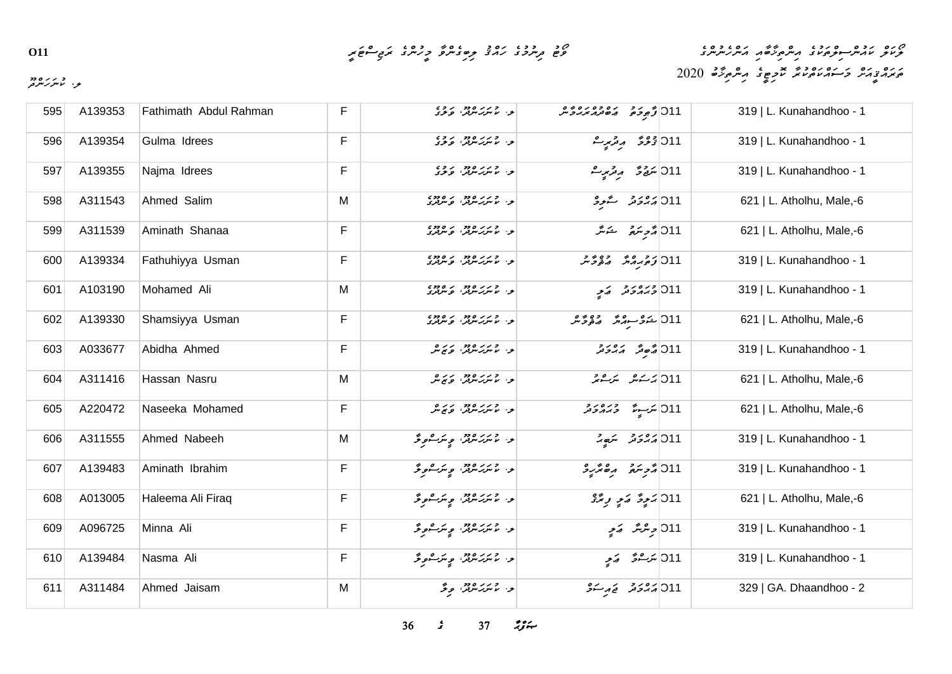*sCw7q7s5w7m< o<n9nOoAw7o< sCq;mAwBoEw7q<m; wBm;vB* م من المرة المرة المرة المرجع المراجع المراجع المراجع المراجع المراجع المراجع المراجع المراجع المراجع المراجع<br>مرين المراجع المراجع المرجع المراجع المراجع المراجع المراجع المراجع المراجع المراجع المراجع المراجع المراجع ال

| <b>33 o</b> ノノ 3 |  |
|------------------|--|
| ىو، مەسرىرسرىر   |  |

| 595 | A139353 | Fathimath Abdul Rahman | $\mathsf F$  | ن د بارگرده در د د د د                           | 011 ژُجِرَة رەپرىرىدىش                  | 319   L. Kunahandhoo - 1  |
|-----|---------|------------------------|--------------|--------------------------------------------------|-----------------------------------------|---------------------------|
| 596 | A139354 | Gulma Idrees           | F            | و. دربر ۵۶۵ د د د د                              | 011  323   مەرتىرىشە                    | 319   L. Kunahandhoo - 1  |
| 597 | A139355 | Najma Idrees           | $\mathsf{F}$ | و. دربر ۵۶۵ د د د د                              | 011 سَھَءٌ مِسْرِبٌ                     | 319   L. Kunahandhoo - 1  |
| 598 | A311543 | Ahmed Salim            | M            | و. دربره دو.<br>د. ناس سربر، وسربری              | 011 كەبرى تەر                           | 621   L. Atholhu, Male,-6 |
| 599 | A311539 | Aminath Shanaa         | F            | ن در در دود.<br>نور امکس کرده کرد کرد            | 011 م <i>گرم متع</i> مد مستق            | 621   L. Atholhu, Male,-6 |
| 600 | A139334 | Fathuhiyya Usman       | F            | ن در در دود.<br>نور امکس کرده کرد کرد            | 011 زَەۡ بِرِمۡمُ ۡ رَوۡ تَحۡدُ         | 319   L. Kunahandhoo - 1  |
| 601 | A103190 | Mohamed Ali            | M            | و . در رودو . رودو .<br>و . ناس پرسربر ، و سربری | 011 دُبَرْدْدَتْر كَمَعِي               | 319   L. Kunahandhoo - 1  |
| 602 | A139330 | Shamsiyya Usman        | F            | و. دربره دو.<br>و. ناس سرفر، وسرفری              | 011 شۇسەم ھەم ھەم                       | 621   L. Atholhu, Male,-6 |
| 603 | A033677 | Abidha Ahmed           | $\mathsf F$  | ى ئەسىر ئەدەر ئەر ئا                             | 011 مُەمَرَّ مَدْدَمَر                  | 319   L. Kunahandhoo - 1  |
| 604 | A311416 | Hassan Nasru           | M            | ى- ئەسىر ئىقرى ئەسىر ئىق                         | 011 كەسەھەر سىرسىقىتى                   | 621   L. Atholhu, Male,-6 |
| 605 | A220472 | Naseeka Mohamed        | $\mathsf{F}$ | ى ئەسىر ئەيزە ئەيز ئاس                           | 011 مَرْسِرَةً وَرَدُوتَرُ              | 621   L. Atholhu, Male,-6 |
| 606 | A311555 | Ahmed Nabeeh           | M            | ى ئاسرىكىرى ئۆسكەنچە                             | 011 كەبرى كىم ئىكتاب ئى                 | 319   L. Kunahandhoo - 1  |
| 607 | A139483 | Aminath Ibrahim        | F            | و ، ئائىرىشلا ، ئەسكەن ئى                        | 011 مُتَّحِسَمُ مِنْ مُرْسِرَة ِ        | 319   L. Kunahandhoo - 1  |
| 608 | A013005 | Haleema Ali Firaq      | F            | و الاسرىر ھەدە بەسكە ئەسكەن ئى                   | 011 ټر پوځ پرې ویژو                     | 621   L. Atholhu, Male,-6 |
| 609 | A096725 | Minna Ali              | F            | ى ئامىر ئەرەپ بەسكەن ئى                          | 011 وِیْرْیَرْ کَمْعٍ                   | 319   L. Kunahandhoo - 1  |
| 610 | A139484 | Nasma Ali              | F            | و ، ئاسرىر مەدە بەسكەن ئى                        | 011 <sub>متر</sub> ودة ك <sub>م</sub> ي | 319   L. Kunahandhoo - 1  |
| 611 | A311484 | Ahmed Jaisam           | M            | ى ئاس شەھر بوگ                                   | 011  <i>222 ق.م.سك</i> ۇ                | 329   GA. Dhaandhoo - 2   |

**36** *s* 37 *if***<sub>x</sub>**